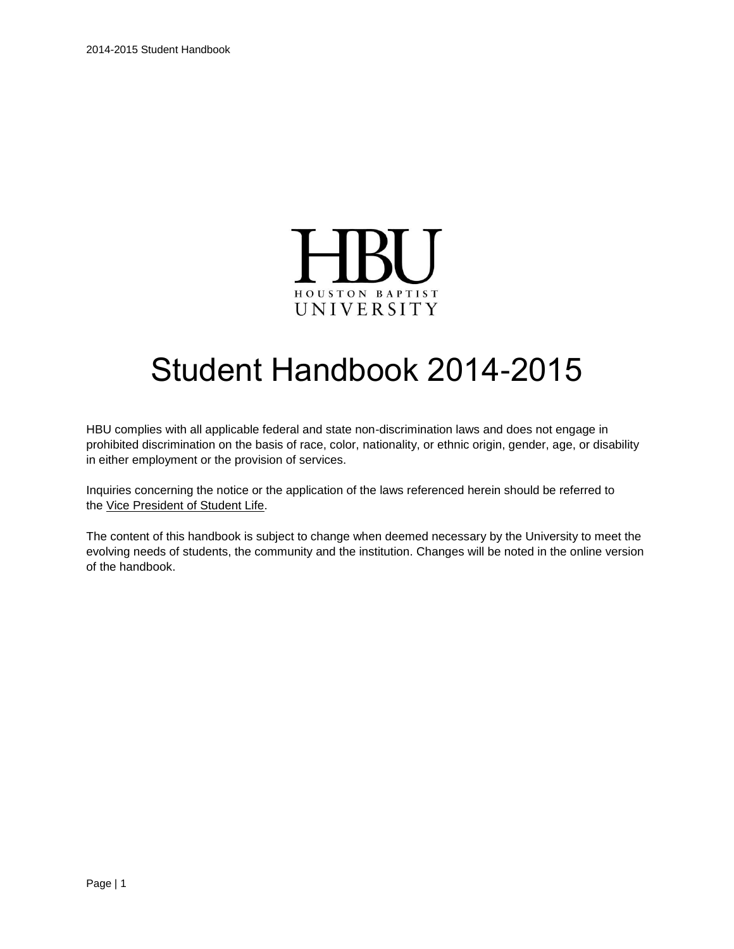

# Student Handbook 2014-2015

HBU complies with all applicable federal and state non-discrimination laws and does not engage in prohibited discrimination on the basis of race, color, nationality, or ethnic origin, gender, age, or disability in either employment or the provision of services.

Inquiries concerning the notice or the application of the laws referenced herein should be referred to the Vice President [of Student Life.](mailto:studentlife@hbu.edu)

The content of this handbook is subject to change when deemed necessary by the University to meet the evolving needs of students, the community and the institution. Changes will be noted in the online version of the handbook.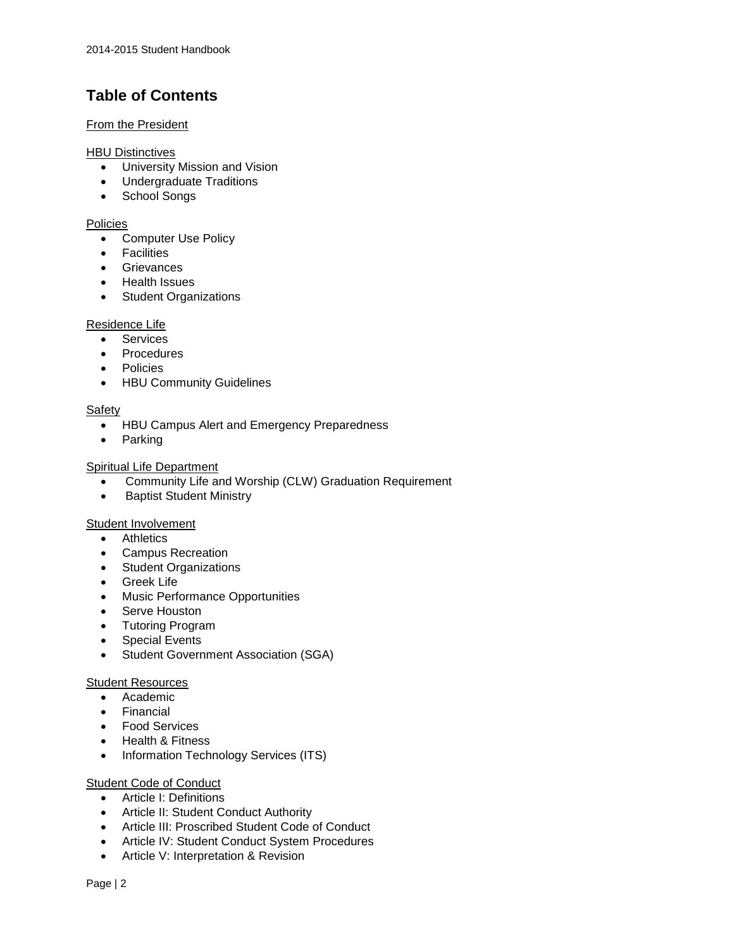## **Table of Contents**

#### **[From the President](https://hbu.edu/Students-Alumni/Student-Resources/Student-Handbook/From-the-President.aspx)**

#### **[HBU Distinctives](https://hbu.edu/Students-Alumni/Student-Resources/Student-Handbook/HBU-Distinctives.aspx)**

- University Mission and Vision
- Undergraduate Traditions
- School Songs

#### [Policies](https://hbu.edu/Students-Alumni/Student-Resources/Student-Handbook/Policies.aspx)

- Computer Use Policy
- Facilities
- **•** Grievances
- Health Issues
- Student Organizations

#### [Residence Life](https://hbu.edu/Students-Alumni/Student-Resources/Student-Handbook/Residence-Life.aspx)

- **•** Services
- Procedures
- Policies
- HBU Community Guidelines

#### [Safety](https://hbu.edu/Students-Alumni/Student-Resources/Student-Handbook/Safety.aspx)

- HBU Campus Alert and Emergency Preparedness
- Parking

#### [Spiritual Life Department](https://hbu.edu/Students-Alumni/Student-Resources/Student-Handbook/Spiritual-Life-Department.aspx)

- Community Life and Worship (CLW) Graduation Requirement
- Baptist Student Ministry

#### Student [Involvement](https://hbu.edu/Students-Alumni/Student-Resources/Student-Handbook/Student-Involvment.aspx)

- Athletics
- Campus Recreation
- Student Organizations
- Greek Life
- Music Performance Opportunities
- Serve Houston
- Tutoring Program
- Special Events
- Student Government Association (SGA)

#### [Student Resources](https://hbu.edu/Students-Alumni/Student-Resources/Student-Handbook/Student-Resources.aspx)

- Academic
- Financial
- Food Services
- Health & Fitness
- Information Technology Services (ITS)

#### [Student Code of Conduct](https://hbu.edu/Students-Alumni/Student-Resources/Student-Handbook/Student-Code-of-Conduct.aspx)

- Article I: Definitions
- Article II: Student Conduct Authority
- Article III: Proscribed Student Code of Conduct
- Article IV: Student Conduct System Procedures
- Article V: Interpretation & Revision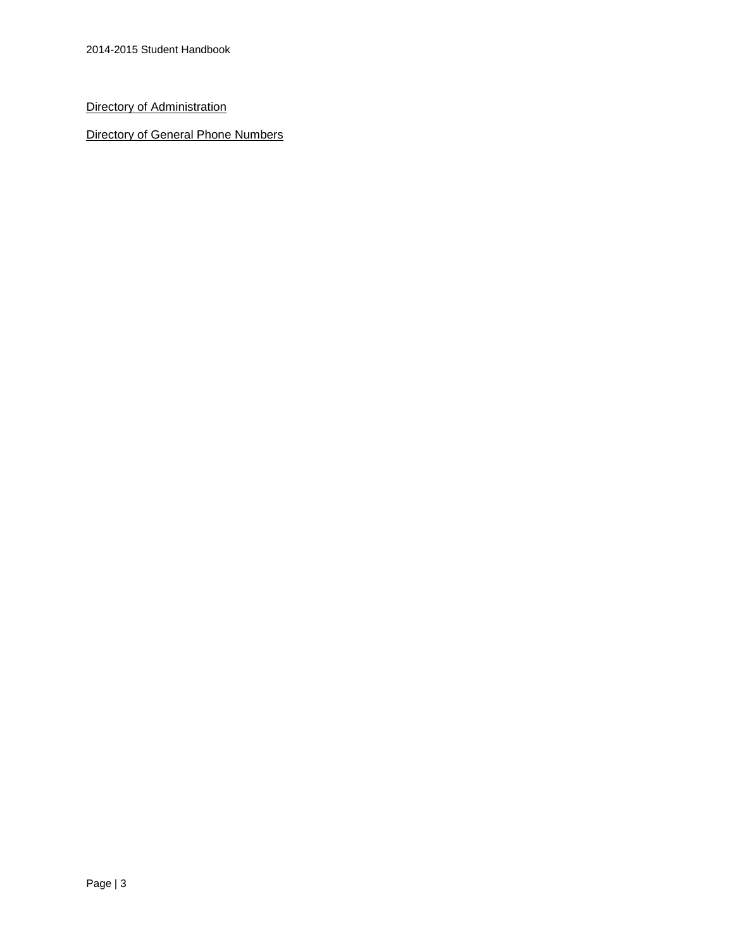[Directory of Administration](https://hbu.edu/About-HBU/General-Information/University-Leadership/University-Administrative-Team.aspx)

[Directory of General Phone Numbers](https://hbu.edu/About-HBU/Resources/Directory.aspx)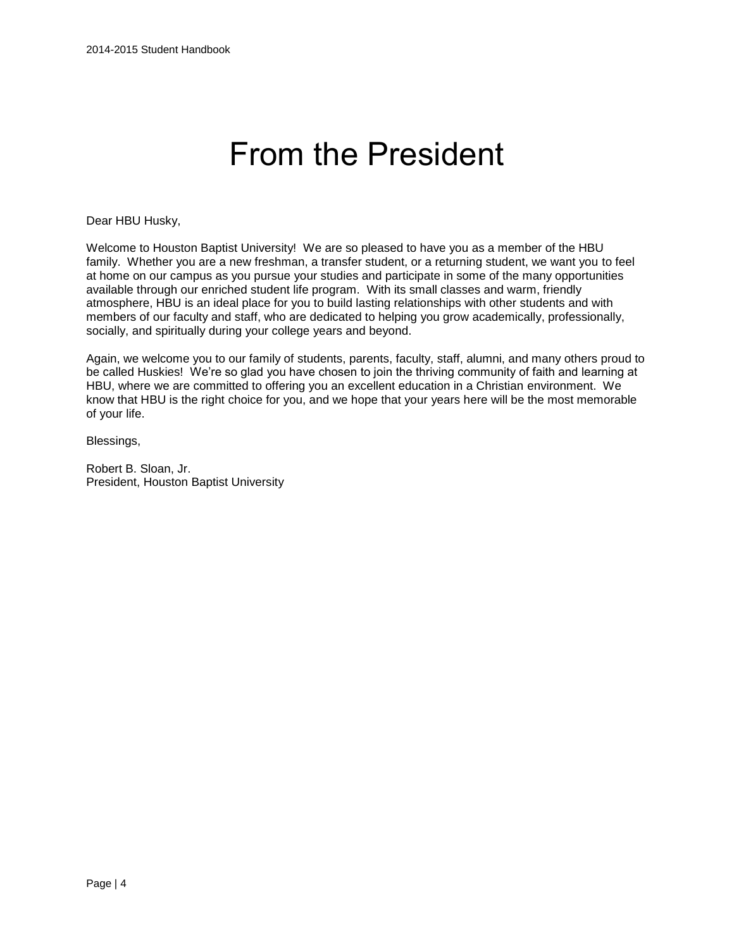# From the President

Dear HBU Husky,

Welcome to Houston Baptist University! We are so pleased to have you as a member of the HBU family. Whether you are a new freshman, a transfer student, or a returning student, we want you to feel at home on our campus as you pursue your studies and participate in some of the many opportunities available through our enriched student life program. With its small classes and warm, friendly atmosphere, HBU is an ideal place for you to build lasting relationships with other students and with members of our faculty and staff, who are dedicated to helping you grow academically, professionally, socially, and spiritually during your college years and beyond.

Again, we welcome you to our family of students, parents, faculty, staff, alumni, and many others proud to be called Huskies! We're so glad you have chosen to join the thriving community of faith and learning at HBU, where we are committed to offering you an excellent education in a Christian environment. We know that HBU is the right choice for you, and we hope that your years here will be the most memorable of your life.

Blessings,

Robert B. Sloan, Jr. President, Houston Baptist University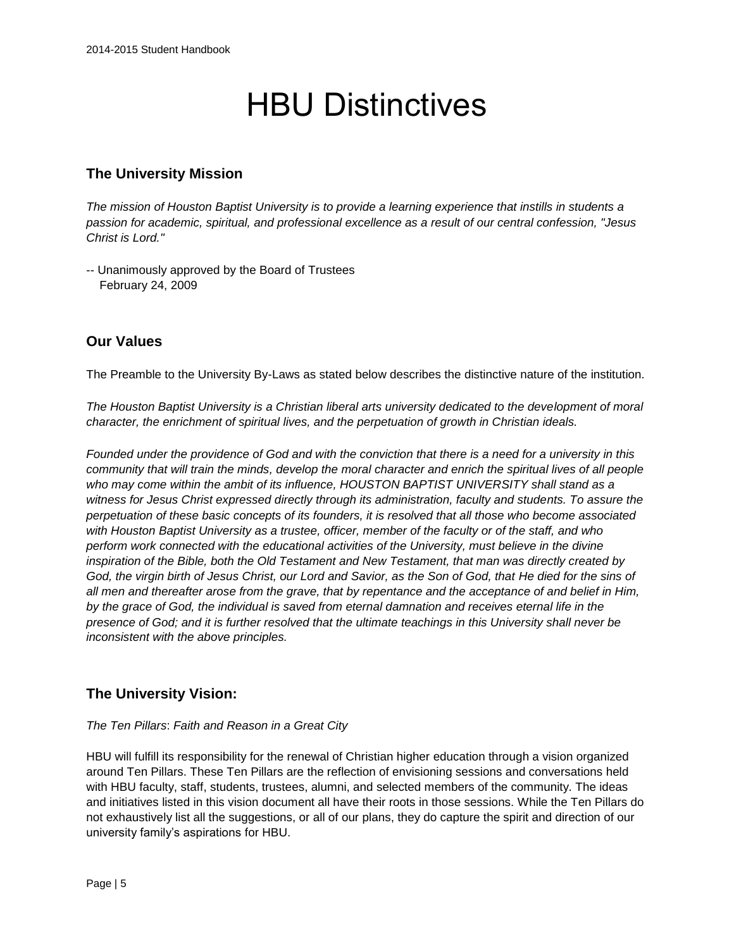# HBU Distinctives

## **The University Mission**

*The mission of Houston Baptist University is to provide a learning experience that instills in students a passion for academic, spiritual, and professional excellence as a result of our central confession, "Jesus Christ is Lord."*

-- Unanimously approved by the Board of Trustees February 24, 2009

## **Our Values**

The Preamble to the University By-Laws as stated below describes the distinctive nature of the institution.

*The Houston Baptist University is a Christian liberal arts university dedicated to the development of moral character, the enrichment of spiritual lives, and the perpetuation of growth in Christian ideals.*

*Founded under the providence of God and with the conviction that there is a need for a university in this community that will train the minds, develop the moral character and enrich the spiritual lives of all people who may come within the ambit of its influence, HOUSTON BAPTIST UNIVERSITY shall stand as a witness for Jesus Christ expressed directly through its administration, faculty and students. To assure the perpetuation of these basic concepts of its founders, it is resolved that all those who become associated with Houston Baptist University as a trustee, officer, member of the faculty or of the staff, and who perform work connected with the educational activities of the University, must believe in the divine inspiration of the Bible, both the Old Testament and New Testament, that man was directly created by God, the virgin birth of Jesus Christ, our Lord and Savior, as the Son of God, that He died for the sins of all men and thereafter arose from the grave, that by repentance and the acceptance of and belief in Him, by the grace of God, the individual is saved from eternal damnation and receives eternal life in the presence of God; and it is further resolved that the ultimate teachings in this University shall never be inconsistent with the above principles.*

## **The University Vision:**

#### *The Ten Pillars*: *Faith and Reason in a Great City*

HBU will fulfill its responsibility for the renewal of Christian higher education through a vision organized around Ten Pillars. These Ten Pillars are the reflection of envisioning sessions and conversations held with HBU faculty, staff, students, trustees, alumni, and selected members of the community. The ideas and initiatives listed in this vision document all have their roots in those sessions. While the Ten Pillars do not exhaustively list all the suggestions, or all of our plans, they do capture the spirit and direction of our university family's aspirations for HBU.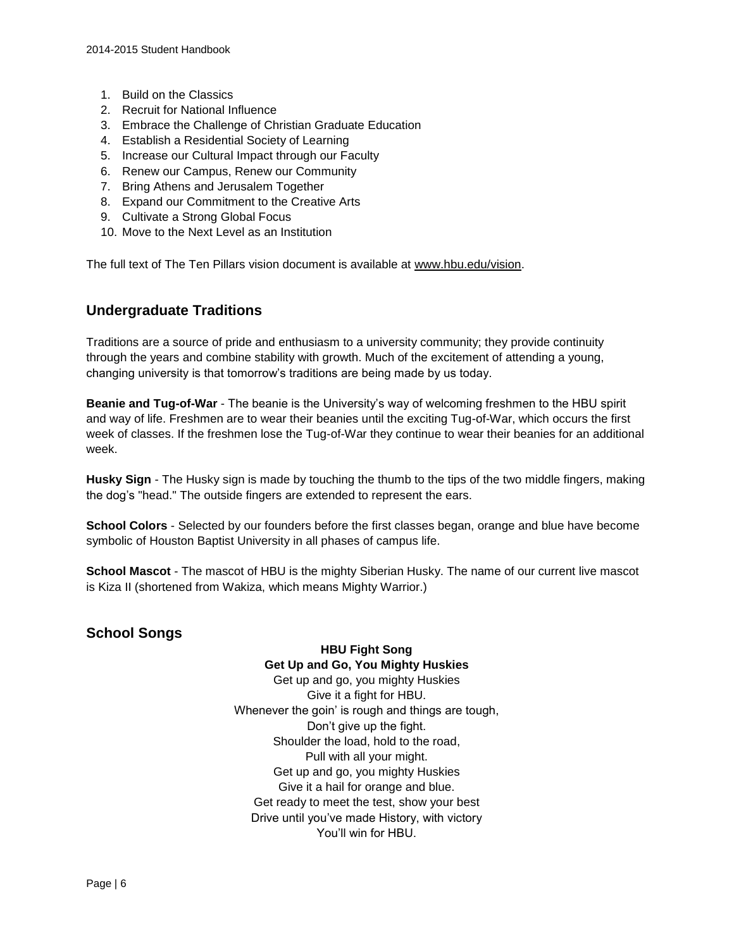- 1. Build on the Classics
- 2. Recruit for National Influence
- 3. Embrace the Challenge of Christian Graduate Education
- 4. Establish a Residential Society of Learning
- 5. Increase our Cultural Impact through our Faculty
- 6. Renew our Campus, Renew our Community
- 7. Bring Athens and Jerusalem Together
- 8. Expand our Commitment to the Creative Arts
- 9. Cultivate a Strong Global Focus
- 10. Move to the Next Level as an Institution

The full text of The Ten Pillars vision document is available at [www.hbu.edu/vision.](http://www.hbu.edu/vision)

## **Undergraduate Traditions**

Traditions are a source of pride and enthusiasm to a university community; they provide continuity through the years and combine stability with growth. Much of the excitement of attending a young, changing university is that tomorrow's traditions are being made by us today.

**Beanie and Tug-of-War** - The beanie is the University's way of welcoming freshmen to the HBU spirit and way of life. Freshmen are to wear their beanies until the exciting Tug-of-War, which occurs the first week of classes. If the freshmen lose the Tug-of-War they continue to wear their beanies for an additional week.

**Husky Sign** - The Husky sign is made by touching the thumb to the tips of the two middle fingers, making the dog's "head." The outside fingers are extended to represent the ears.

**School Colors** - Selected by our founders before the first classes began, orange and blue have become symbolic of Houston Baptist University in all phases of campus life.

**School Mascot** - The mascot of HBU is the mighty Siberian Husky. The name of our current live mascot is Kiza II (shortened from Wakiza, which means Mighty Warrior.)

## **School Songs**

**HBU Fight Song Get Up and Go, You Mighty Huskies**  Get up and go, you mighty Huskies Give it a fight for HBU. Whenever the goin' is rough and things are tough, Don't give up the fight. Shoulder the load, hold to the road, Pull with all your might. Get up and go, you mighty Huskies Give it a hail for orange and blue. Get ready to meet the test, show your best Drive until you've made History, with victory You'll win for HBU.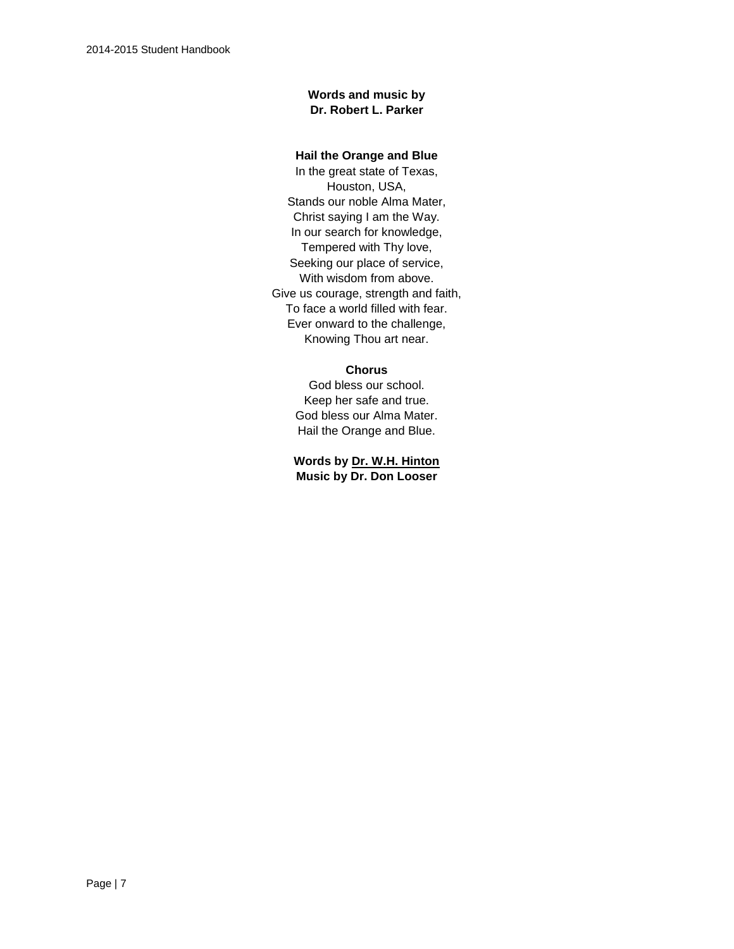#### **Words and music by Dr. Robert L. Parker**

#### **Hail the Orange and Blue**

In the great state of Texas, Houston, USA, Stands our noble Alma Mater, Christ saying I am the Way. In our search for knowledge, Tempered with Thy love, Seeking our place of service, With wisdom from above. Give us courage, strength and faith, To face a world filled with fear. Ever onward to the challenge, Knowing Thou art near.

#### **Chorus**

God bless our school. Keep her safe and true. God bless our Alma Mater. Hail the Orange and Blue.

**Words by [Dr. W.H. Hinton](https://hbu.edu/About-HBU/General-Information/University-Leadership/Presidents-of-HBU/Dr-William-H-Hinton.aspx) Music by Dr. Don Looser**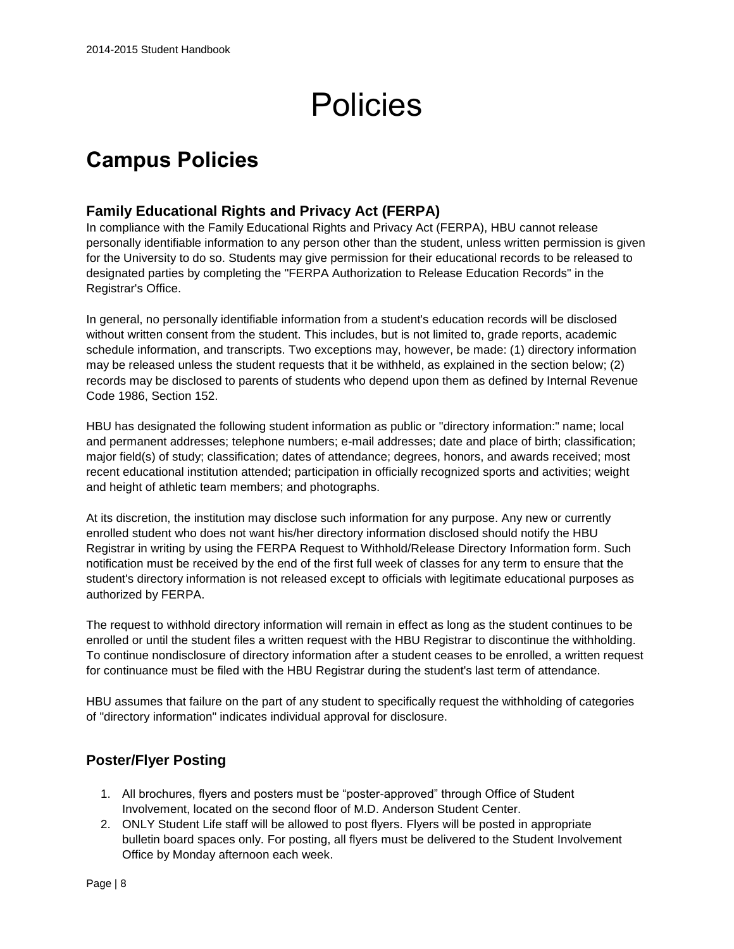# Policies

## **Campus Policies**

## **Family Educational Rights and Privacy Act (FERPA)**

In compliance with the Family Educational Rights and Privacy Act (FERPA), HBU cannot release personally identifiable information to any person other than the student, unless written permission is given for the University to do so. Students may give permission for their educational records to be released to designated parties by completing the "FERPA Authorization to Release Education Records" in the Registrar's Office.

In general, no personally identifiable information from a student's education records will be disclosed without written consent from the student. This includes, but is not limited to, grade reports, academic schedule information, and transcripts. Two exceptions may, however, be made: (1) directory information may be released unless the student requests that it be withheld, as explained in the section below; (2) records may be disclosed to parents of students who depend upon them as defined by Internal Revenue Code 1986, Section 152.

HBU has designated the following student information as public or "directory information:" name; local and permanent addresses; telephone numbers; e-mail addresses; date and place of birth; classification; major field(s) of study; classification; dates of attendance; degrees, honors, and awards received; most recent educational institution attended; participation in officially recognized sports and activities; weight and height of athletic team members; and photographs.

At its discretion, the institution may disclose such information for any purpose. Any new or currently enrolled student who does not want his/her directory information disclosed should notify the HBU Registrar in writing by using the FERPA Request to Withhold/Release Directory Information form. Such notification must be received by the end of the first full week of classes for any term to ensure that the student's directory information is not released except to officials with legitimate educational purposes as authorized by FERPA.

The request to withhold directory information will remain in effect as long as the student continues to be enrolled or until the student files a written request with the HBU Registrar to discontinue the withholding. To continue nondisclosure of directory information after a student ceases to be enrolled, a written request for continuance must be filed with the HBU Registrar during the student's last term of attendance.

HBU assumes that failure on the part of any student to specifically request the withholding of categories of "directory information" indicates individual approval for disclosure.

## **Poster/Flyer Posting**

- 1. All brochures, flyers and posters must be "poster-approved" through Office of Student Involvement, located on the second floor of M.D. Anderson Student Center.
- 2. ONLY Student Life staff will be allowed to post flyers. Flyers will be posted in appropriate bulletin board spaces only. For posting, all flyers must be delivered to the Student Involvement Office by Monday afternoon each week.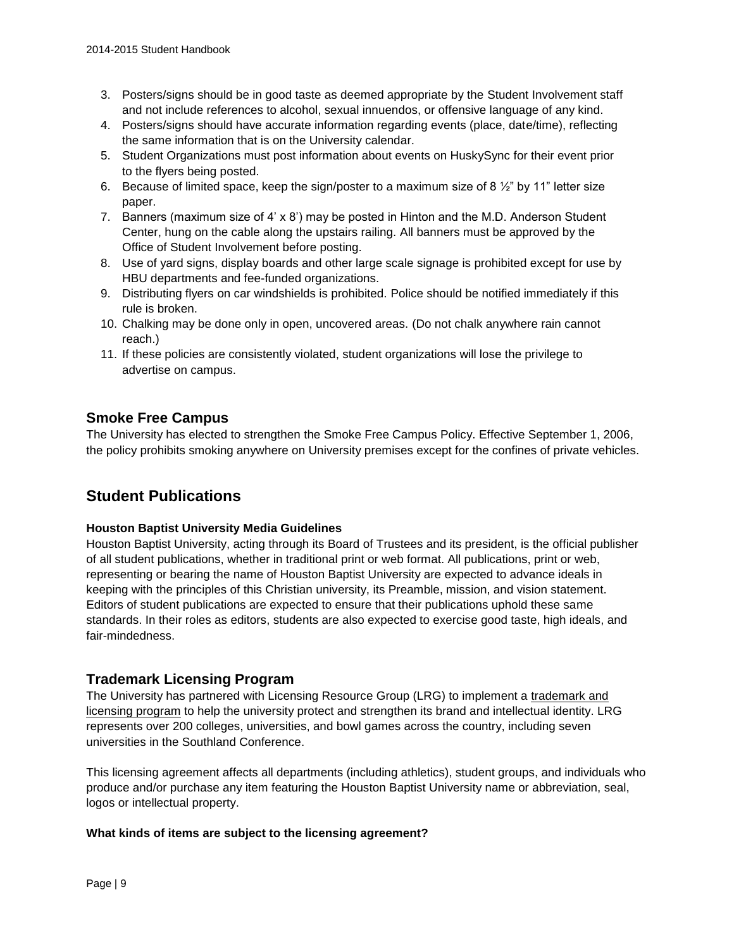- 3. Posters/signs should be in good taste as deemed appropriate by the Student Involvement staff and not include references to alcohol, sexual innuendos, or offensive language of any kind.
- 4. Posters/signs should have accurate information regarding events (place, date/time), reflecting the same information that is on the University calendar.
- 5. Student Organizations must post information about events on HuskySync for their event prior to the flyers being posted.
- 6. Because of limited space, keep the sign/poster to a maximum size of 8  $\frac{1}{2}$ " by 11" letter size paper.
- 7. Banners (maximum size of 4' x 8') may be posted in Hinton and the M.D. Anderson Student Center, hung on the cable along the upstairs railing. All banners must be approved by the Office of Student Involvement before posting.
- 8. Use of yard signs, display boards and other large scale signage is prohibited except for use by HBU departments and fee-funded organizations.
- 9. Distributing flyers on car windshields is prohibited. Police should be notified immediately if this rule is broken.
- 10. Chalking may be done only in open, uncovered areas. (Do not chalk anywhere rain cannot reach.)
- 11. If these policies are consistently violated, student organizations will lose the privilege to advertise on campus.

## **Smoke Free Campus**

The University has elected to strengthen the Smoke Free Campus Policy. Effective September 1, 2006, the policy prohibits smoking anywhere on University premises except for the confines of private vehicles.

## **Student Publications**

#### **Houston Baptist University Media Guidelines**

Houston Baptist University, acting through its Board of Trustees and its president, is the official publisher of all student publications, whether in traditional print or web format. All publications, print or web, representing or bearing the name of Houston Baptist University are expected to advance ideals in keeping with the principles of this Christian university, its Preamble, mission, and vision statement. Editors of student publications are expected to ensure that their publications uphold these same standards. In their roles as editors, students are also expected to exercise good taste, high ideals, and fair-mindedness.

### **Trademark Licensing Program**

The University has partnered with Licensing Resource Group (LRG) to implement a [trademark and](http://www.hbu.edu/HBU/media/HBU/publications/UniversityPolicies/HBULogoTrademarkLicensing.pdf)  [licensing program](http://www.hbu.edu/HBU/media/HBU/publications/UniversityPolicies/HBULogoTrademarkLicensing.pdf) to help the university protect and strengthen its brand and intellectual identity. LRG represents over 200 colleges, universities, and bowl games across the country, including seven universities in the Southland Conference.

This licensing agreement affects all departments (including athletics), student groups, and individuals who produce and/or purchase any item featuring the Houston Baptist University name or abbreviation, seal, logos or intellectual property.

#### **What kinds of items are subject to the licensing agreement?**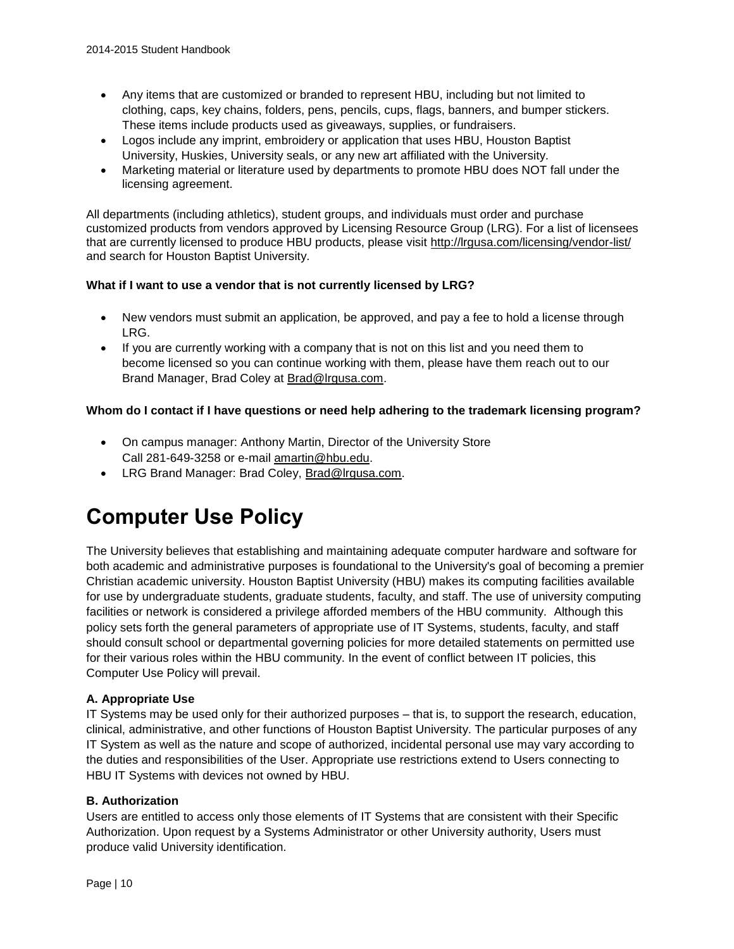- Any items that are customized or branded to represent HBU, including but not limited to clothing, caps, key chains, folders, pens, pencils, cups, flags, banners, and bumper stickers. These items include products used as giveaways, supplies, or fundraisers.
- Logos include any imprint, embroidery or application that uses HBU, Houston Baptist University, Huskies, University seals, or any new art affiliated with the University.
- Marketing material or literature used by departments to promote HBU does NOT fall under the licensing agreement.

All departments (including athletics), student groups, and individuals must order and purchase customized products from vendors approved by Licensing Resource Group (LRG). For a list of licensees that are currently licensed to produce HBU products, please visit<http://lrgusa.com/licensing/vendor-list/> and search for Houston Baptist University.

#### **What if I want to use a vendor that is not currently licensed by LRG?**

- New vendors must submit an application, be approved, and pay a fee to hold a license through LRG.
- If you are currently working with a company that is not on this list and you need them to become licensed so you can continue working with them, please have them reach out to our Brand Manager, Brad Coley at [Brad@lrgusa.com.](mailto:Brad@lrgusa.com)

#### **Whom do I contact if I have questions or need help adhering to the trademark licensing program?**

- On campus manager: Anthony Martin, Director of the University Store Call 281-649-3258 or e-mai[l amartin@hbu.edu.](mailto:amartin@hbu.edu)
- LRG Brand Manager: Brad Coley, [Brad@lrgusa.com.](mailto:Brad@lrgusa.com)

## **Computer Use Policy**

The University believes that establishing and maintaining adequate computer hardware and software for both academic and administrative purposes is foundational to the University's goal of becoming a premier Christian academic university. Houston Baptist University (HBU) makes its computing facilities available for use by undergraduate students, graduate students, faculty, and staff. The use of university computing facilities or network is considered a privilege afforded members of the HBU community. Although this policy sets forth the general parameters of appropriate use of IT Systems, students, faculty, and staff should consult school or departmental governing policies for more detailed statements on permitted use for their various roles within the HBU community. In the event of conflict between IT policies, this Computer Use Policy will prevail.

#### **A. Appropriate Use**

IT Systems may be used only for their authorized purposes – that is, to support the research, education, clinical, administrative, and other functions of Houston Baptist University. The particular purposes of any IT System as well as the nature and scope of authorized, incidental personal use may vary according to the duties and responsibilities of the User. Appropriate use restrictions extend to Users connecting to HBU IT Systems with devices not owned by HBU.

#### **B. Authorization**

Users are entitled to access only those elements of IT Systems that are consistent with their Specific Authorization. Upon request by a Systems Administrator or other University authority, Users must produce valid University identification.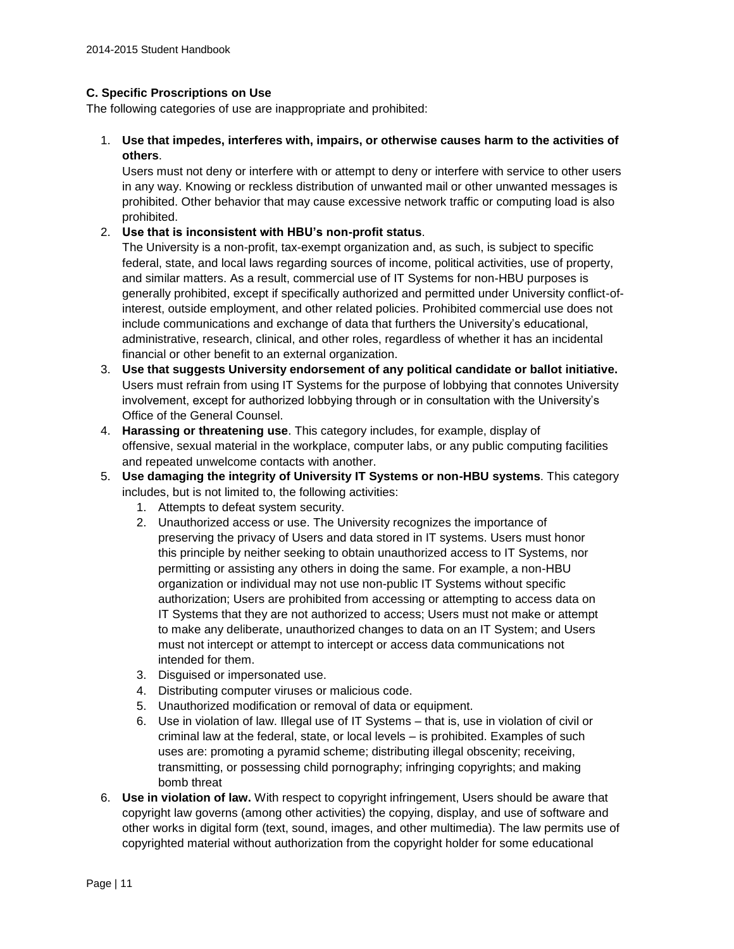#### **C. Specific Proscriptions on Use**

The following categories of use are inappropriate and prohibited:

1. **Use that impedes, interferes with, impairs, or otherwise causes harm to the activities of others**.

Users must not deny or interfere with or attempt to deny or interfere with service to other users in any way. Knowing or reckless distribution of unwanted mail or other unwanted messages is prohibited. Other behavior that may cause excessive network traffic or computing load is also prohibited.

#### 2. **Use that is inconsistent with HBU's non-profit status**.

The University is a non-profit, tax-exempt organization and, as such, is subject to specific federal, state, and local laws regarding sources of income, political activities, use of property, and similar matters. As a result, commercial use of IT Systems for non-HBU purposes is generally prohibited, except if specifically authorized and permitted under University conflict-ofinterest, outside employment, and other related policies. Prohibited commercial use does not include communications and exchange of data that furthers the University's educational, administrative, research, clinical, and other roles, regardless of whether it has an incidental financial or other benefit to an external organization.

- 3. **Use that suggests University endorsement of any political candidate or ballot initiative.** Users must refrain from using IT Systems for the purpose of lobbying that connotes University involvement, except for authorized lobbying through or in consultation with the University's Office of the General Counsel.
- 4. **Harassing or threatening use**. This category includes, for example, display of offensive, sexual material in the workplace, computer labs, or any public computing facilities and repeated unwelcome contacts with another.
- 5. **Use damaging the integrity of University IT Systems or non-HBU systems**. This category includes, but is not limited to, the following activities:
	- 1. Attempts to defeat system security.
	- 2. Unauthorized access or use. The University recognizes the importance of preserving the privacy of Users and data stored in IT systems. Users must honor this principle by neither seeking to obtain unauthorized access to IT Systems, nor permitting or assisting any others in doing the same. For example, a non-HBU organization or individual may not use non-public IT Systems without specific authorization; Users are prohibited from accessing or attempting to access data on IT Systems that they are not authorized to access; Users must not make or attempt to make any deliberate, unauthorized changes to data on an IT System; and Users must not intercept or attempt to intercept or access data communications not intended for them.
	- 3. Disguised or impersonated use.
	- 4. Distributing computer viruses or malicious code.
	- 5. Unauthorized modification or removal of data or equipment.
	- 6. Use in violation of law. Illegal use of IT Systems that is, use in violation of civil or criminal law at the federal, state, or local levels – is prohibited. Examples of such uses are: promoting a pyramid scheme; distributing illegal obscenity; receiving, transmitting, or possessing child pornography; infringing copyrights; and making bomb threat
- 6. **Use in violation of law.** With respect to copyright infringement, Users should be aware that copyright law governs (among other activities) the copying, display, and use of software and other works in digital form (text, sound, images, and other multimedia). The law permits use of copyrighted material without authorization from the copyright holder for some educational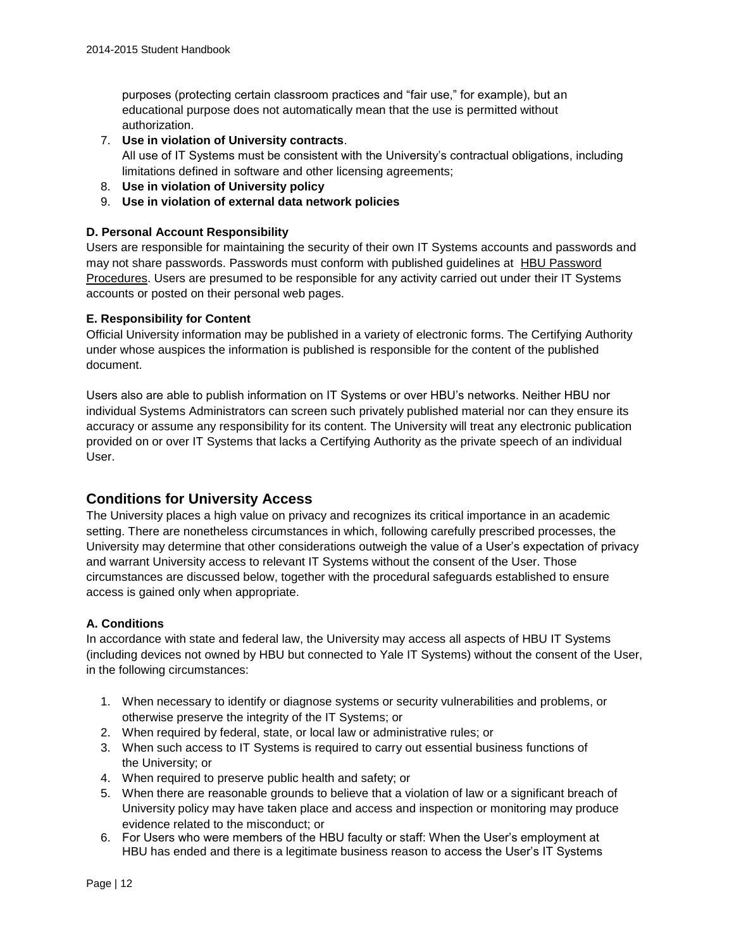purposes (protecting certain classroom practices and "fair use," for example), but an educational purpose does not automatically mean that the use is permitted without authorization.

7. **Use in violation of University contracts**.

All use of IT Systems must be consistent with the University's contractual obligations, including limitations defined in software and other licensing agreements;

- 8. **Use in violation of University policy**
- 9. **Use in violation of external data network policies**

#### **D. Personal Account Responsibility**

Users are responsible for maintaining the security of their own IT Systems accounts and passwords and may not share passwords. Passwords must conform with published guidelines at [HBU Password](http://hbu.edu/PasswordRequirements)  [Procedures.](http://hbu.edu/PasswordRequirements) Users are presumed to be responsible for any activity carried out under their IT Systems accounts or posted on their personal web pages.

#### **E. Responsibility for Content**

Official University information may be published in a variety of electronic forms. The Certifying Authority under whose auspices the information is published is responsible for the content of the published document.

Users also are able to publish information on IT Systems or over HBU's networks. Neither HBU nor individual Systems Administrators can screen such privately published material nor can they ensure its accuracy or assume any responsibility for its content. The University will treat any electronic publication provided on or over IT Systems that lacks a Certifying Authority as the private speech of an individual User.

### **Conditions for University Access**

The University places a high value on privacy and recognizes its critical importance in an academic setting. There are nonetheless circumstances in which, following carefully prescribed processes, the University may determine that other considerations outweigh the value of a User's expectation of privacy and warrant University access to relevant IT Systems without the consent of the User. Those circumstances are discussed below, together with the procedural safeguards established to ensure access is gained only when appropriate.

#### **A. Conditions**

In accordance with state and federal law, the University may access all aspects of HBU IT Systems (including devices not owned by HBU but connected to Yale IT Systems) without the consent of the User, in the following circumstances:

- 1. When necessary to identify or diagnose systems or security vulnerabilities and problems, or otherwise preserve the integrity of the IT Systems; or
- 2. When required by federal, state, or local law or administrative rules; or
- 3. When such access to IT Systems is required to carry out essential business functions of the University; or
- 4. When required to preserve public health and safety; or
- 5. When there are reasonable grounds to believe that a violation of law or a significant breach of University policy may have taken place and access and inspection or monitoring may produce evidence related to the misconduct; or
- 6. For Users who were members of the HBU faculty or staff: When the User's employment at HBU has ended and there is a legitimate business reason to access the User's IT Systems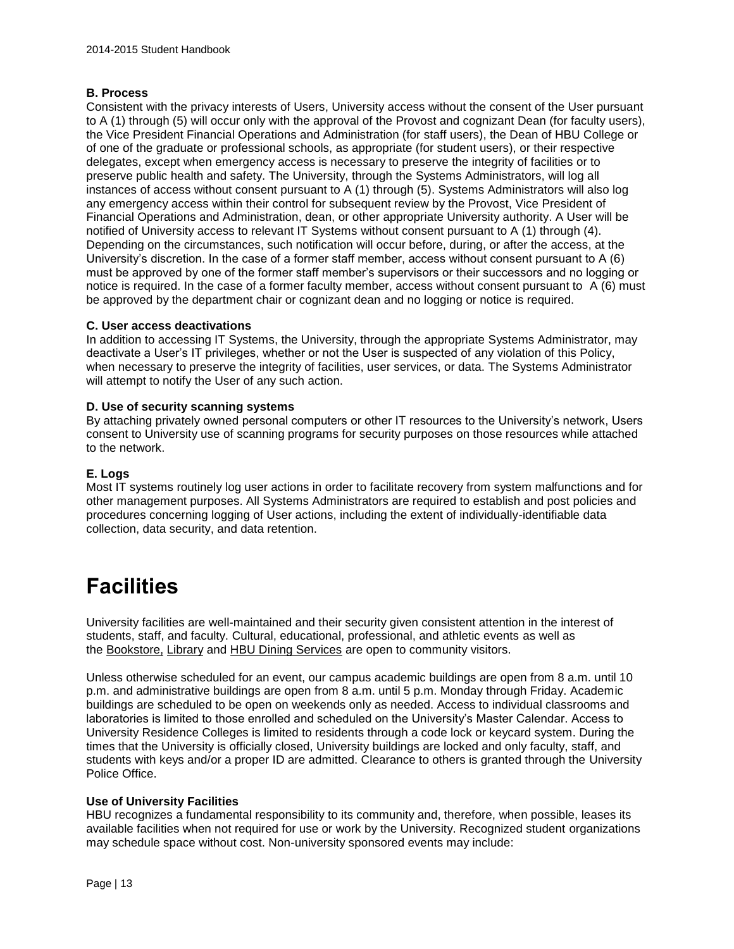#### **B. Process**

Consistent with the privacy interests of Users, University access without the consent of the User pursuant to A (1) through (5) will occur only with the approval of the Provost and cognizant Dean (for faculty users), the Vice President Financial Operations and Administration (for staff users), the Dean of HBU College or of one of the graduate or professional schools, as appropriate (for student users), or their respective delegates, except when emergency access is necessary to preserve the integrity of facilities or to preserve public health and safety. The University, through the Systems Administrators, will log all instances of access without consent pursuant to A (1) through (5). Systems Administrators will also log any emergency access within their control for subsequent review by the Provost, Vice President of Financial Operations and Administration, dean, or other appropriate University authority. A User will be notified of University access to relevant IT Systems without consent pursuant to A (1) through (4). Depending on the circumstances, such notification will occur before, during, or after the access, at the University's discretion. In the case of a former staff member, access without consent pursuant to A (6) must be approved by one of the former staff member's supervisors or their successors and no logging or notice is required. In the case of a former faculty member, access without consent pursuant to A (6) must be approved by the department chair or cognizant dean and no logging or notice is required.

#### **C. User access deactivations**

In addition to accessing IT Systems, the University, through the appropriate Systems Administrator, may deactivate a User's IT privileges, whether or not the User is suspected of any violation of this Policy, when necessary to preserve the integrity of facilities, user services, or data. The Systems Administrator will attempt to notify the User of any such action.

#### **D. Use of security scanning systems**

By attaching privately owned personal computers or other IT resources to the University's network, Users consent to University use of scanning programs for security purposes on those resources while attached to the network.

#### **E. Logs**

Most IT systems routinely log user actions in order to facilitate recovery from system malfunctions and for other management purposes. All Systems Administrators are required to establish and post policies and procedures concerning logging of User actions, including the extent of individually-identifiable data collection, data security, and data retention.

## **Facilities**

University facilities are well-maintained and their security given consistent attention in the interest of students, staff, and faculty. Cultural, educational, professional, and athletic events as well as the [Bookstore,](http://www.hbubookstore.com/) [Library](http://www.hbu.edu/About-HBU/The-Campus/Facilities/Moody-Library.aspx) and [HBU Dining Services](http://www.campusdish.com/en-US/CSSW/HoustonBaptist) are open to community visitors.

Unless otherwise scheduled for an event, our campus academic buildings are open from 8 a.m. until 10 p.m. and administrative buildings are open from 8 a.m. until 5 p.m. Monday through Friday. Academic buildings are scheduled to be open on weekends only as needed. Access to individual classrooms and laboratories is limited to those enrolled and scheduled on the University's Master Calendar. Access to University Residence Colleges is limited to residents through a code lock or keycard system. During the times that the University is officially closed, University buildings are locked and only faculty, staff, and students with keys and/or a proper ID are admitted. Clearance to others is granted through the University Police Office.

#### **Use of University Facilities**

HBU recognizes a fundamental responsibility to its community and, therefore, when possible, leases its available facilities when not required for use or work by the University. Recognized student organizations may schedule space without cost. Non-university sponsored events may include: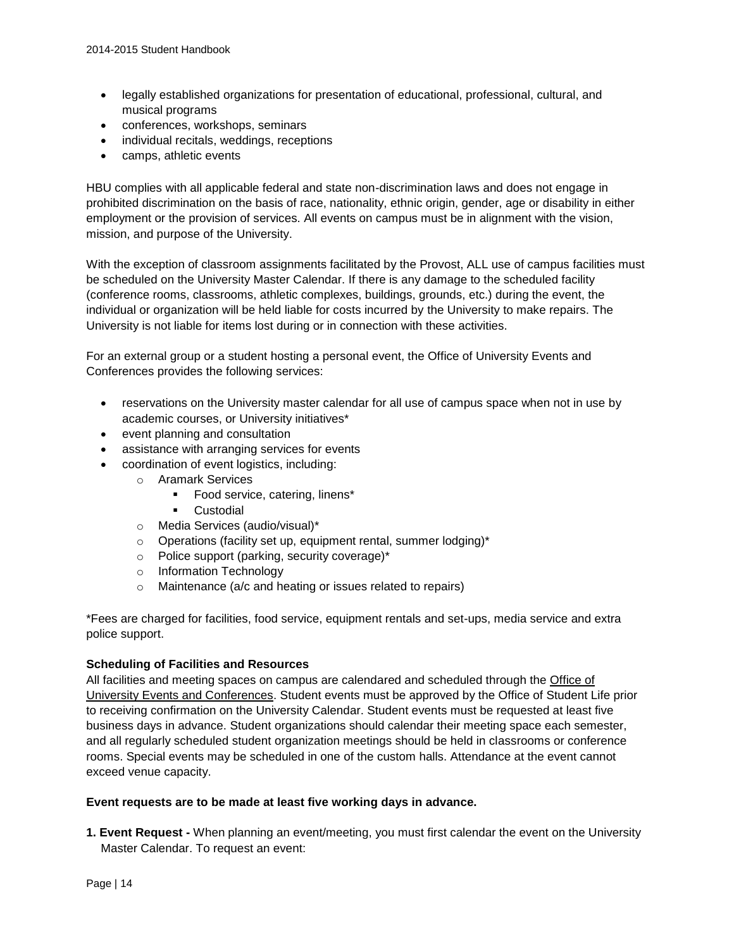- legally established organizations for presentation of educational, professional, cultural, and musical programs
- conferences, workshops, seminars
- individual recitals, weddings, receptions
- camps, athletic events

HBU complies with all applicable federal and state non-discrimination laws and does not engage in prohibited discrimination on the basis of race, nationality, ethnic origin, gender, age or disability in either employment or the provision of services. All events on campus must be in alignment with the vision, mission, and purpose of the University.

With the exception of classroom assignments facilitated by the Provost, ALL use of campus facilities must be scheduled on the University Master Calendar. If there is any damage to the scheduled facility (conference rooms, classrooms, athletic complexes, buildings, grounds, etc.) during the event, the individual or organization will be held liable for costs incurred by the University to make repairs. The University is not liable for items lost during or in connection with these activities.

For an external group or a student hosting a personal event, the Office of University Events and Conferences provides the following services:

- reservations on the University master calendar for all use of campus space when not in use by academic courses, or University initiatives\*
- event planning and consultation
- assistance with arranging services for events
- coordination of event logistics, including:
	- o Aramark Services
		- **Food service, catering, linens\***
		- **Custodial**
	- o Media Services (audio/visual)\*
	- o Operations (facility set up, equipment rental, summer lodging)\*
	- o Police support (parking, security coverage)\*
	- o Information Technology
	- o Maintenance (a/c and heating or issues related to repairs)

\*Fees are charged for facilities, food service, equipment rentals and set-ups, media service and extra police support.

#### **Scheduling of Facilities and Resources**

All facilities and meeting spaces on campus are calendared and scheduled through the [Office of](https://hbu.edu/About-HBU/Resources/University-Events-and-Conferences.aspx)  [University Events and Conferences.](https://hbu.edu/About-HBU/Resources/University-Events-and-Conferences.aspx) Student events must be approved by the Office of Student Life prior to receiving confirmation on the University Calendar. Student events must be requested at least five business days in advance. Student organizations should calendar their meeting space each semester, and all regularly scheduled student organization meetings should be held in classrooms or conference rooms. Special events may be scheduled in one of the custom halls. Attendance at the event cannot exceed venue capacity.

#### **Event requests are to be made at least five working days in advance.**

**1. Event Request -** When planning an event/meeting, you must first calendar the event on the University Master Calendar. To request an event: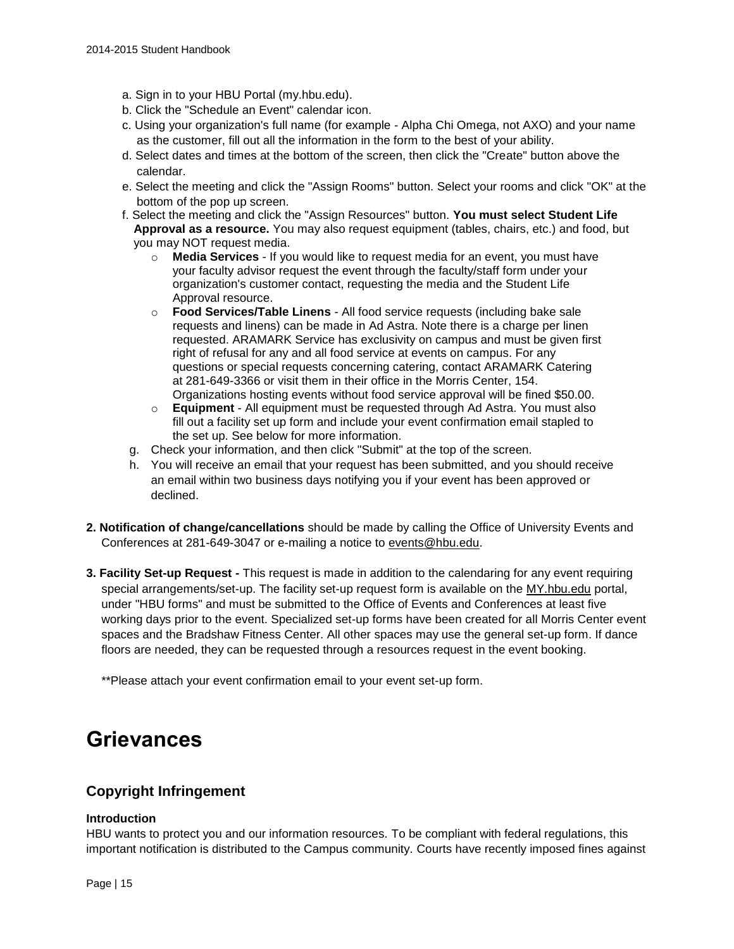- a. Sign in to your HBU Portal (my.hbu.edu).
- b. Click the "Schedule an Event" calendar icon.
- c. Using your organization's full name (for example Alpha Chi Omega, not AXO) and your name as the customer, fill out all the information in the form to the best of your ability.
- d. Select dates and times at the bottom of the screen, then click the "Create" button above the calendar.
- e. Select the meeting and click the "Assign Rooms" button. Select your rooms and click "OK" at the bottom of the pop up screen.
- f. Select the meeting and click the "Assign Resources" button. **You must select Student Life Approval as a resource.** You may also request equipment (tables, chairs, etc.) and food, but you may NOT request media.
	- o **Media Services** If you would like to request media for an event, you must have your faculty advisor request the event through the faculty/staff form under your organization's customer contact, requesting the media and the Student Life Approval resource.
	- o **Food Services/Table Linens** All food service requests (including bake sale requests and linens) can be made in Ad Astra. Note there is a charge per linen requested. ARAMARK Service has exclusivity on campus and must be given first right of refusal for any and all food service at events on campus. For any questions or special requests concerning catering, contact ARAMARK Catering at 281-649-3366 or visit them in their office in the Morris Center, 154. Organizations hosting events without food service approval will be fined \$50.00.
	- o **Equipment** All equipment must be requested through Ad Astra. You must also fill out a facility set up form and include your event confirmation email stapled to the set up. See below for more information.
	- g. Check your information, and then click "Submit" at the top of the screen.
- h. You will receive an email that your request has been submitted, and you should receive an email within two business days notifying you if your event has been approved or declined.
- **2. Notification of change/cancellations** should be made by calling the Office of University Events and Conferences at 281-649-3047 or e-mailing a notice to [events@hbu.edu.](mailto:events@hbu.edu)
- **3. Facility Set-up Request -** This request is made in addition to the calendaring for any event requiring special arrangements/set-up. The facility set-up request form is available on the [MY.hbu.edu](http://my.hbu.edu/) portal, under "HBU forms" and must be submitted to the Office of Events and Conferences at least five working days prior to the event. Specialized set-up forms have been created for all Morris Center event spaces and the Bradshaw Fitness Center. All other spaces may use the general set-up form. If dance floors are needed, they can be requested through a resources request in the event booking.

\*\*Please attach your event confirmation email to your event set-up form.

## **Grievances**

## **Copyright Infringement**

#### **Introduction**

HBU wants to protect you and our information resources. To be compliant with federal regulations, this important notification is distributed to the Campus community. Courts have recently imposed fines against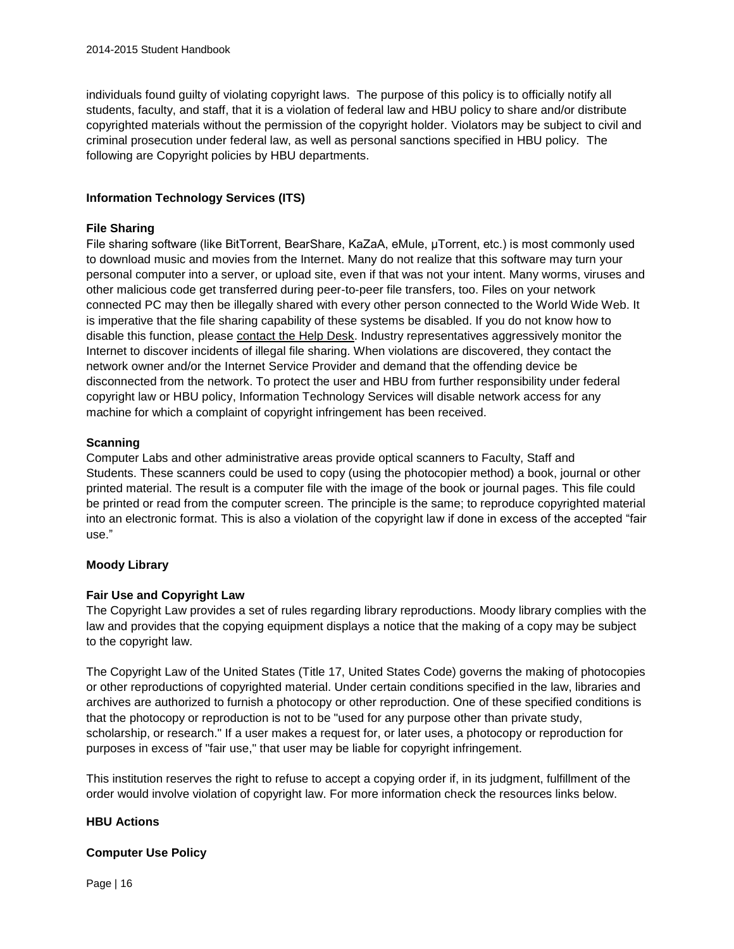individuals found guilty of violating copyright laws. The purpose of this policy is to officially notify all students, faculty, and staff, that it is a violation of federal law and HBU policy to share and/or distribute copyrighted materials without the permission of the copyright holder. Violators may be subject to civil and criminal prosecution under federal law, as well as personal sanctions specified in HBU policy. The following are Copyright policies by HBU departments.

#### **Information Technology Services (ITS)**

#### **File Sharing**

File sharing software (like BitTorrent, BearShare, KaZaA, eMule, μTorrent, etc.) is most commonly used to download music and movies from the Internet. Many do not realize that this software may turn your personal computer into a server, or upload site, even if that was not your intent. Many worms, viruses and other malicious code get transferred during peer-to-peer file transfers, too. Files on your network connected PC may then be illegally shared with every other person connected to the World Wide Web. It is imperative that the file sharing capability of these systems be disabled. If you do not know how to disable this function, please [contact the Help Desk.](http://www.hbu.edu/Students-Alumni/Student-Resources/Information-Technology-Services-(ITS).aspx) Industry representatives aggressively monitor the Internet to discover incidents of illegal file sharing. When violations are discovered, they contact the network owner and/or the Internet Service Provider and demand that the offending device be disconnected from the network. To protect the user and HBU from further responsibility under federal copyright law or HBU policy, Information Technology Services will disable network access for any machine for which a complaint of copyright infringement has been received.

#### **Scanning**

Computer Labs and other administrative areas provide optical scanners to Faculty, Staff and Students. These scanners could be used to copy (using the photocopier method) a book, journal or other printed material. The result is a computer file with the image of the book or journal pages. This file could be printed or read from the computer screen. The principle is the same; to reproduce copyrighted material into an electronic format. This is also a violation of the copyright law if done in excess of the accepted "fair use."

#### **Moody Library**

#### **Fair Use and Copyright Law**

The Copyright Law provides a set of rules regarding library reproductions. Moody library complies with the law and provides that the copying equipment displays a notice that the making of a copy may be subject to the copyright law.

The Copyright Law of the United States (Title 17, United States Code) governs the making of photocopies or other reproductions of copyrighted material. Under certain conditions specified in the law, libraries and archives are authorized to furnish a photocopy or other reproduction. One of these specified conditions is that the photocopy or reproduction is not to be "used for any purpose other than private study, scholarship, or research." If a user makes a request for, or later uses, a photocopy or reproduction for purposes in excess of "fair use," that user may be liable for copyright infringement.

This institution reserves the right to refuse to accept a copying order if, in its judgment, fulfillment of the order would involve violation of copyright law. For more information check the resources links below.

#### **HBU Actions**

#### **Computer Use Policy**

Page | 16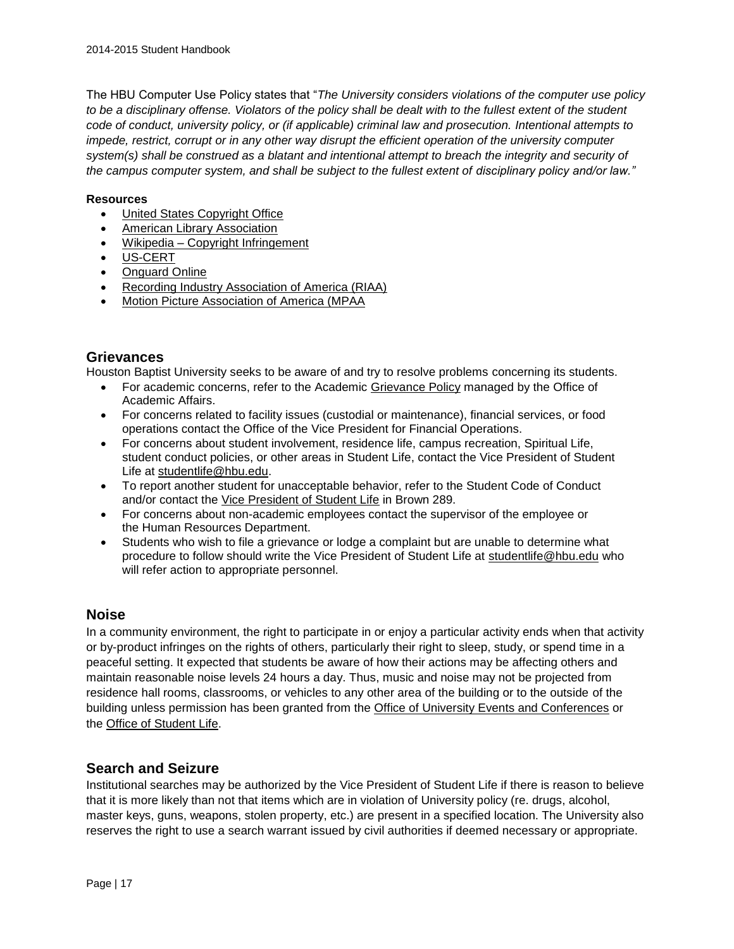The HBU Computer Use Policy states that "*The University considers violations of the computer use policy to be a disciplinary offense. Violators of the policy shall be dealt with to the fullest extent of the student code of conduct, university policy, or (if applicable) criminal law and prosecution. Intentional attempts to impede, restrict, corrupt or in any other way disrupt the efficient operation of the university computer system(s) shall be construed as a blatant and intentional attempt to breach the integrity and security of the campus computer system, and shall be subject to the fullest extent of disciplinary policy and/or law."*

#### **Resources**

- [United States Copyright Office](http://www.copyright.gov/title17/92chap5.html#504)
- [American Library Association](http://www.ala.org/ala/aboutala/offices/wo/woissues/copyrightb/copyright.cfm)
- Wikipedia [Copyright Infringement](http://en.wikipedia.org/wiki/Copyright_infringement)
- [US-CERT](http://www.us-cert.gov/cas/tips/ST05-004.html)
- [Onguard Online](http://www.onguardonline.gov/topics/p2p-security.aspx)
- [Recording Industry Association of America \(RIAA\)](http://www.riaa.com/)
- [Motion Picture Association of America \(MPAA](http://www.mpaa.org/)

#### **Grievances**

Houston Baptist University seeks to be aware of and try to resolve problems concerning its students.

- For academic concerns, refer to the Academic [Grievance Policy](https://hbu.edu/HBU/media/HBU/publications/academics/AcademicGrievanceProcess.pdf) managed by the Office of Academic Affairs.
- For concerns related to facility issues (custodial or maintenance), financial services, or food operations contact the Office of the Vice President for Financial Operations.
- For concerns about student involvement, residence life, campus recreation, Spiritual Life, student conduct policies, or other areas in Student Life, contact the Vice President of Student Life at [studentlife@hbu.edu.](mailto:studentlife@hbu.edu)
- To report another student for unacceptable behavior, refer to the Student Code of Conduct and/or contact the [Vice President of Student Life](mailto:studentlife@hbu.edu) in Brown 289.
- For concerns about non-academic employees contact the supervisor of the employee or the Human Resources Department.
- Students who wish to file a grievance or lodge a complaint but are unable to determine what procedure to follow should write the Vice President of Student Life at [studentlife@hbu.edu](mailto:studentlife@hbu.edu) who will refer action to appropriate personnel.

### **Noise**

In a community environment, the right to participate in or enjoy a particular activity ends when that activity or by-product infringes on the rights of others, particularly their right to sleep, study, or spend time in a peaceful setting. It expected that students be aware of how their actions may be affecting others and maintain reasonable noise levels 24 hours a day. Thus, music and noise may not be projected from residence hall rooms, classrooms, or vehicles to any other area of the building or to the outside of the building unless permission has been granted from the [Office of University Events and Conferences](https://hbu.edu/About-HBU/Resources/University-Events-and-Conferences.aspx) or the [Office of Student Life.](mailto:studentlife@hbu.edu)

### **Search and Seizure**

Institutional searches may be authorized by the Vice President of Student Life if there is reason to believe that it is more likely than not that items which are in violation of University policy (re. drugs, alcohol, master keys, guns, weapons, stolen property, etc.) are present in a specified location. The University also reserves the right to use a search warrant issued by civil authorities if deemed necessary or appropriate.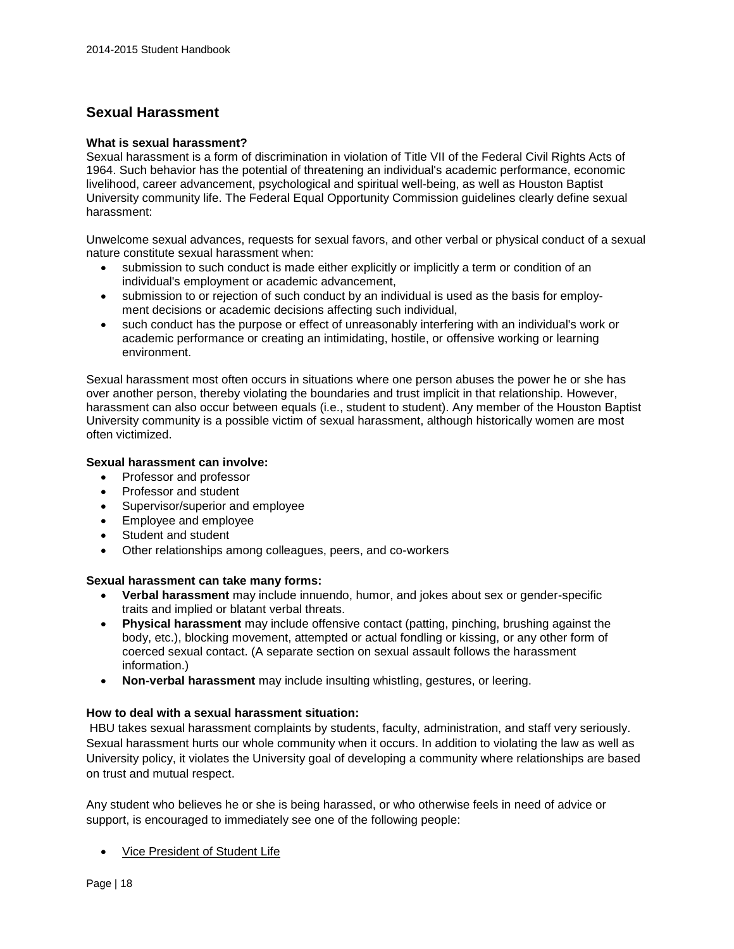## **Sexual Harassment**

#### **What is sexual harassment?**

Sexual harassment is a form of discrimination in violation of Title VII of the Federal Civil Rights Acts of 1964. Such behavior has the potential of threatening an individual's academic performance, economic livelihood, career advancement, psychological and spiritual well-being, as well as Houston Baptist University community life. The Federal Equal Opportunity Commission guidelines clearly define sexual harassment:

Unwelcome sexual advances, requests for sexual favors, and other verbal or physical conduct of a sexual nature constitute sexual harassment when:

- submission to such conduct is made either explicitly or implicitly a term or condition of an individual's employment or academic advancement,
- submission to or rejection of such conduct by an individual is used as the basis for employment decisions or academic decisions affecting such individual,
- such conduct has the purpose or effect of unreasonably interfering with an individual's work or academic performance or creating an intimidating, hostile, or offensive working or learning environment.

Sexual harassment most often occurs in situations where one person abuses the power he or she has over another person, thereby violating the boundaries and trust implicit in that relationship. However, harassment can also occur between equals (i.e., student to student). Any member of the Houston Baptist University community is a possible victim of sexual harassment, although historically women are most often victimized.

#### **Sexual harassment can involve:**

- Professor and professor
- Professor and student
- Supervisor/superior and employee
- Employee and employee
- Student and student
- Other relationships among colleagues, peers, and co-workers

#### **Sexual harassment can take many forms:**

- **Verbal harassment** may include innuendo, humor, and jokes about sex or gender-specific traits and implied or blatant verbal threats.
- **Physical harassment** may include offensive contact (patting, pinching, brushing against the body, etc.), blocking movement, attempted or actual fondling or kissing, or any other form of coerced sexual contact. (A separate section on sexual assault follows the harassment information.)
- **Non-verbal harassment** may include insulting whistling, gestures, or leering.

#### **How to deal with a sexual harassment situation:**

HBU takes sexual harassment complaints by students, faculty, administration, and staff very seriously. Sexual harassment hurts our whole community when it occurs. In addition to violating the law as well as University policy, it violates the University goal of developing a community where relationships are based on trust and mutual respect.

Any student who believes he or she is being harassed, or who otherwise feels in need of advice or support, is encouraged to immediately see one of the following people:

[Vice President of Student Life](mailto:wgoodwin@hbu.edu)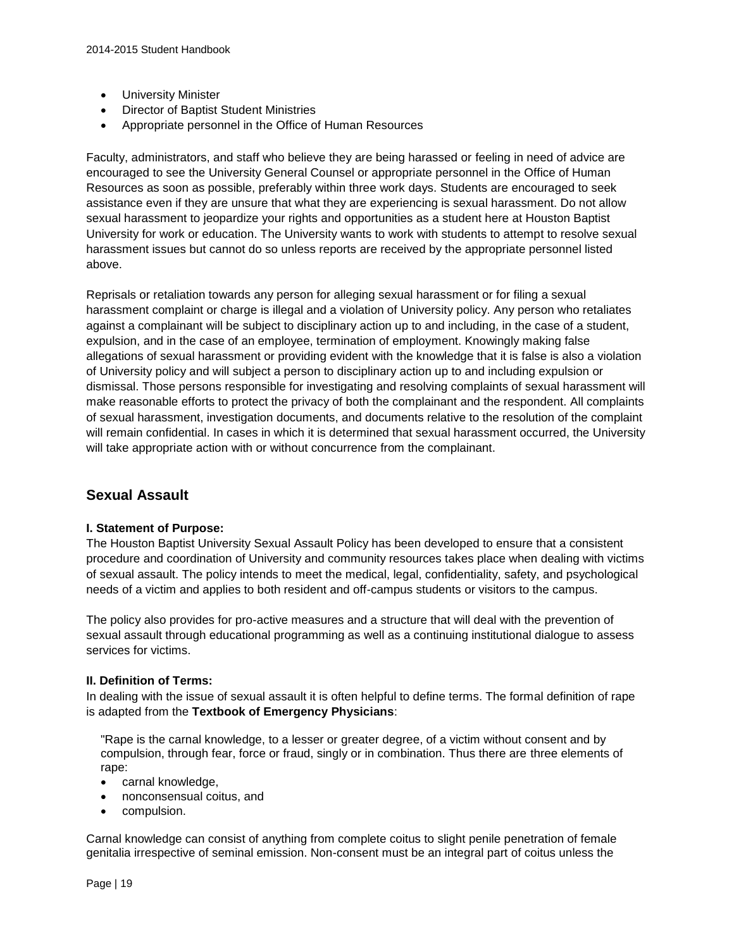- University Minister
- Director of Baptist Student Ministries
- Appropriate personnel in the Office of Human Resources

Faculty, administrators, and staff who believe they are being harassed or feeling in need of advice are encouraged to see the University General Counsel or appropriate personnel in the Office of Human Resources as soon as possible, preferably within three work days. Students are encouraged to seek assistance even if they are unsure that what they are experiencing is sexual harassment. Do not allow sexual harassment to jeopardize your rights and opportunities as a student here at Houston Baptist University for work or education. The University wants to work with students to attempt to resolve sexual harassment issues but cannot do so unless reports are received by the appropriate personnel listed above.

Reprisals or retaliation towards any person for alleging sexual harassment or for filing a sexual harassment complaint or charge is illegal and a violation of University policy. Any person who retaliates against a complainant will be subject to disciplinary action up to and including, in the case of a student, expulsion, and in the case of an employee, termination of employment. Knowingly making false allegations of sexual harassment or providing evident with the knowledge that it is false is also a violation of University policy and will subject a person to disciplinary action up to and including expulsion or dismissal. Those persons responsible for investigating and resolving complaints of sexual harassment will make reasonable efforts to protect the privacy of both the complainant and the respondent. All complaints of sexual harassment, investigation documents, and documents relative to the resolution of the complaint will remain confidential. In cases in which it is determined that sexual harassment occurred, the University will take appropriate action with or without concurrence from the complainant.

## **Sexual Assault**

#### **I. Statement of Purpose:**

The Houston Baptist University Sexual Assault Policy has been developed to ensure that a consistent procedure and coordination of University and community resources takes place when dealing with victims of sexual assault. The policy intends to meet the medical, legal, confidentiality, safety, and psychological needs of a victim and applies to both resident and off-campus students or visitors to the campus.

The policy also provides for pro-active measures and a structure that will deal with the prevention of sexual assault through educational programming as well as a continuing institutional dialogue to assess services for victims.

#### **II. Definition of Terms:**

In dealing with the issue of sexual assault it is often helpful to define terms. The formal definition of rape is adapted from the **Textbook of Emergency Physicians**:

"Rape is the carnal knowledge, to a lesser or greater degree, of a victim without consent and by compulsion, through fear, force or fraud, singly or in combination. Thus there are three elements of rape:

- carnal knowledge,
- nonconsensual coitus, and
- compulsion.

Carnal knowledge can consist of anything from complete coitus to slight penile penetration of female genitalia irrespective of seminal emission. Non-consent must be an integral part of coitus unless the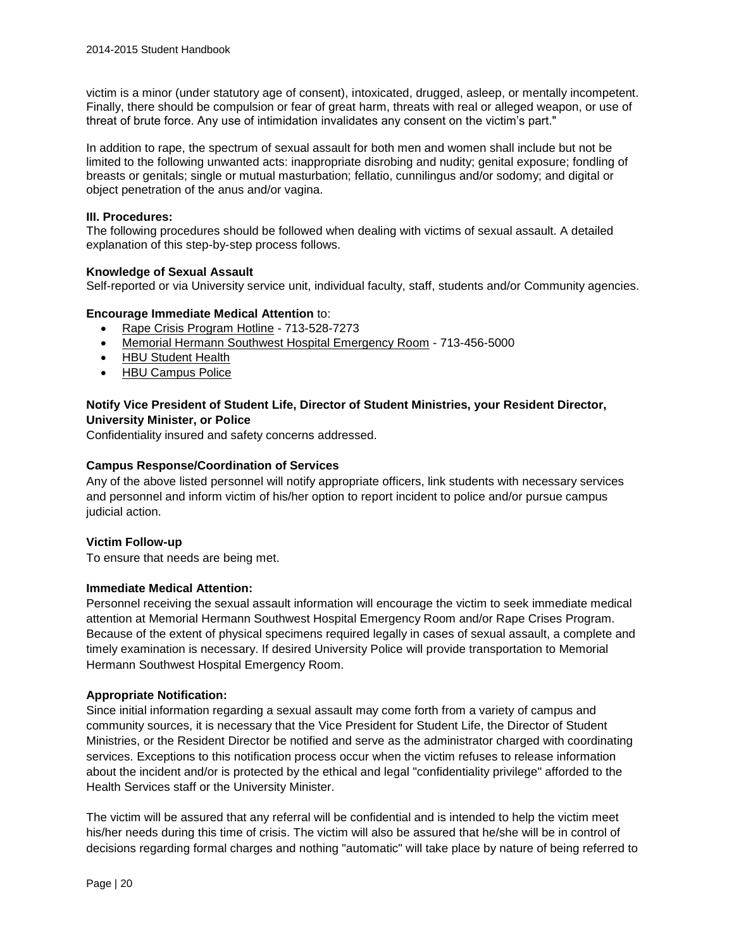victim is a minor (under statutory age of consent), intoxicated, drugged, asleep, or mentally incompetent. Finally, there should be compulsion or fear of great harm, threats with real or alleged weapon, or use of threat of brute force. Any use of intimidation invalidates any consent on the victim's part."

In addition to rape, the spectrum of sexual assault for both men and women shall include but not be limited to the following unwanted acts: inappropriate disrobing and nudity; genital exposure; fondling of breasts or genitals; single or mutual masturbation; fellatio, cunnilingus and/or sodomy; and digital or object penetration of the anus and/or vagina.

#### **III. Procedures:**

The following procedures should be followed when dealing with victims of sexual assault. A detailed explanation of this step-by-step process follows.

#### **Knowledge of Sexual Assault**

Self-reported or via University service unit, individual faculty, staff, students and/or Community agencies.

#### **Encourage Immediate Medical Attention** to:

- [Rape Crisis Program Hotline](http://www.hawc.org/) 713-528-7273
- [Memorial Hermann Southwest Hospital Emergency Room](http://www.memorialhermann.org/locations/southwest/) 713-456-5000
- [HBU Student Health](http://www.hbu.edu/Students-Alumni/Student-Resources/Health-Services.aspx)
- [HBU Campus Police](http://www.hbu.edu/About-HBU/The-Campus/Police-Parking.aspx)

#### **Notify Vice President of Student Life, Director of Student Ministries, your Resident Director, University Minister, or Police**

Confidentiality insured and safety concerns addressed.

#### **Campus Response/Coordination of Services**

Any of the above listed personnel will notify appropriate officers, link students with necessary services and personnel and inform victim of his/her option to report incident to police and/or pursue campus judicial action.

#### **Victim Follow-up**

To ensure that needs are being met.

#### **Immediate Medical Attention:**

Personnel receiving the sexual assault information will encourage the victim to seek immediate medical attention at Memorial Hermann Southwest Hospital Emergency Room and/or Rape Crises Program. Because of the extent of physical specimens required legally in cases of sexual assault, a complete and timely examination is necessary. If desired University Police will provide transportation to Memorial Hermann Southwest Hospital Emergency Room.

#### **Appropriate Notification:**

Since initial information regarding a sexual assault may come forth from a variety of campus and community sources, it is necessary that the Vice President for Student Life, the Director of Student Ministries, or the Resident Director be notified and serve as the administrator charged with coordinating services. Exceptions to this notification process occur when the victim refuses to release information about the incident and/or is protected by the ethical and legal "confidentiality privilege" afforded to the Health Services staff or the University Minister.

The victim will be assured that any referral will be confidential and is intended to help the victim meet his/her needs during this time of crisis. The victim will also be assured that he/she will be in control of decisions regarding formal charges and nothing "automatic" will take place by nature of being referred to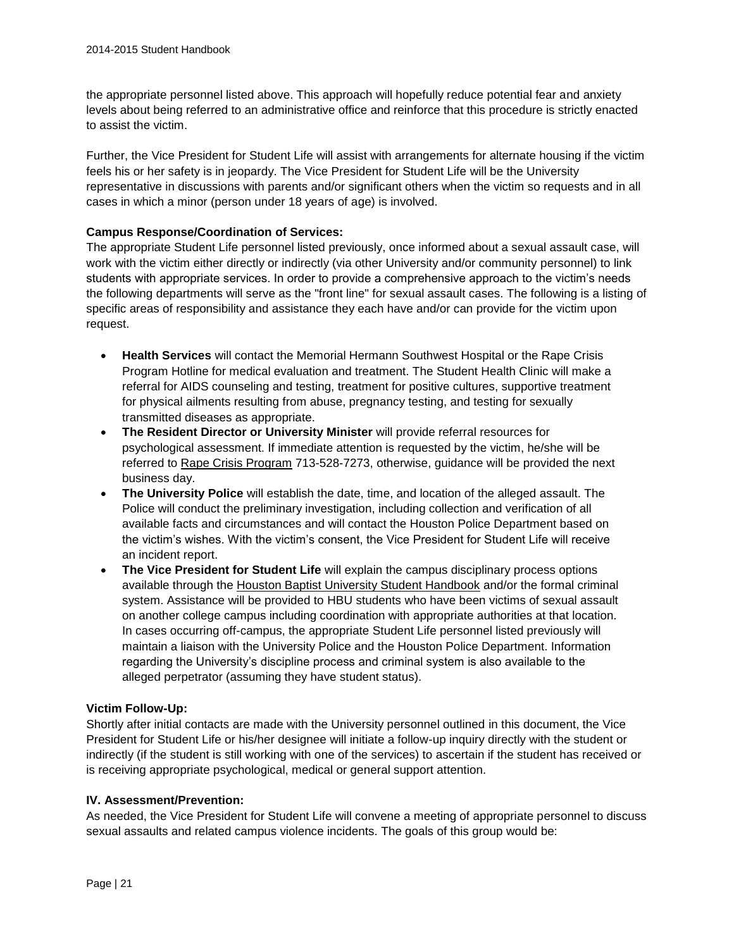the appropriate personnel listed above. This approach will hopefully reduce potential fear and anxiety levels about being referred to an administrative office and reinforce that this procedure is strictly enacted to assist the victim.

Further, the Vice President for Student Life will assist with arrangements for alternate housing if the victim feels his or her safety is in jeopardy. The Vice President for Student Life will be the University representative in discussions with parents and/or significant others when the victim so requests and in all cases in which a minor (person under 18 years of age) is involved.

#### **Campus Response/Coordination of Services:**

The appropriate Student Life personnel listed previously, once informed about a sexual assault case, will work with the victim either directly or indirectly (via other University and/or community personnel) to link students with appropriate services. In order to provide a comprehensive approach to the victim's needs the following departments will serve as the "front line" for sexual assault cases. The following is a listing of specific areas of responsibility and assistance they each have and/or can provide for the victim upon request.

- **Health Services** will contact the Memorial Hermann Southwest Hospital or the Rape Crisis Program Hotline for medical evaluation and treatment. The Student Health Clinic will make a referral for AIDS counseling and testing, treatment for positive cultures, supportive treatment for physical ailments resulting from abuse, pregnancy testing, and testing for sexually transmitted diseases as appropriate.
- **The Resident Director or University Minister** will provide referral resources for psychological assessment. If immediate attention is requested by the victim, he/she will be referred to [Rape Crisis Program](http://www.hawc.org/) 713-528-7273, otherwise, guidance will be provided the next business day.
- **The University Police** will establish the date, time, and location of the alleged assault. The Police will conduct the preliminary investigation, including collection and verification of all available facts and circumstances and will contact the Houston Police Department based on the victim's wishes. With the victim's consent, the Vice President for Student Life will receive an incident report.
- **The Vice President for Student Life** will explain the campus disciplinary process options available through the [Houston Baptist University Student Handbook](http://www.hbu.edu/HBU/media/HBU/publications/academics/StudentHandbook_current.pdf) and/or the formal criminal system. Assistance will be provided to HBU students who have been victims of sexual assault on another college campus including coordination with appropriate authorities at that location. In cases occurring off-campus, the appropriate Student Life personnel listed previously will maintain a liaison with the University Police and the Houston Police Department. Information regarding the University's discipline process and criminal system is also available to the alleged perpetrator (assuming they have student status).

#### **Victim Follow-Up:**

Shortly after initial contacts are made with the University personnel outlined in this document, the Vice President for Student Life or his/her designee will initiate a follow-up inquiry directly with the student or indirectly (if the student is still working with one of the services) to ascertain if the student has received or is receiving appropriate psychological, medical or general support attention.

#### **IV. Assessment/Prevention:**

As needed, the Vice President for Student Life will convene a meeting of appropriate personnel to discuss sexual assaults and related campus violence incidents. The goals of this group would be: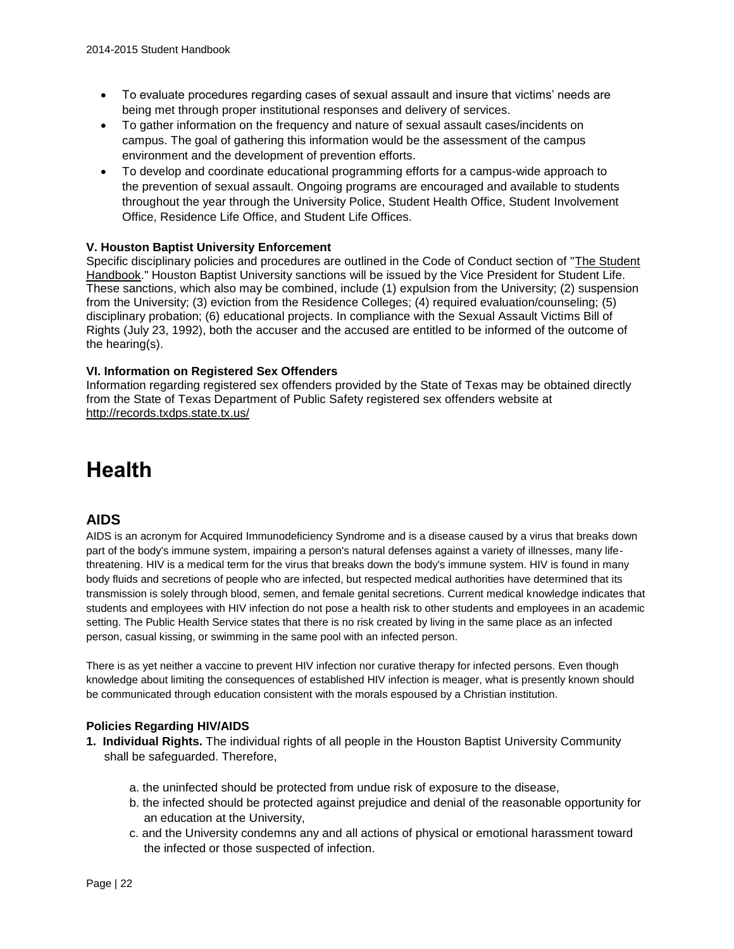- To evaluate procedures regarding cases of sexual assault and insure that victims' needs are being met through proper institutional responses and delivery of services.
- To gather information on the frequency and nature of sexual assault cases/incidents on campus. The goal of gathering this information would be the assessment of the campus environment and the development of prevention efforts.
- To develop and coordinate educational programming efforts for a campus-wide approach to the prevention of sexual assault. Ongoing programs are encouraged and available to students throughout the year through the University Police, Student Health Office, Student Involvement Office, Residence Life Office, and Student Life Offices.

#### **V. Houston Baptist University Enforcement**

Specific disciplinary policies and procedures are outlined in the Code of Conduct section of ["The Student](http://www.hbu.edu/HBU/media/HBU/publications/academics/StudentHandbook_current.pdf)  [Handbook.](http://www.hbu.edu/HBU/media/HBU/publications/academics/StudentHandbook_current.pdf)" Houston Baptist University sanctions will be issued by the Vice President for Student Life. These sanctions, which also may be combined, include (1) expulsion from the University; (2) suspension from the University; (3) eviction from the Residence Colleges; (4) required evaluation/counseling; (5) disciplinary probation; (6) educational projects. In compliance with the Sexual Assault Victims Bill of Rights (July 23, 1992), both the accuser and the accused are entitled to be informed of the outcome of the hearing(s).

#### **VI. Information on Registered Sex Offenders**

Information regarding registered sex offenders provided by the State of Texas may be obtained directly from the State of Texas Department of Public Safety registered sex offenders website at <http://records.txdps.state.tx.us/>

## **Health**

### **AIDS**

AIDS is an acronym for Acquired Immunodeficiency Syndrome and is a disease caused by a virus that breaks down part of the body's immune system, impairing a person's natural defenses against a variety of illnesses, many lifethreatening. HIV is a medical term for the virus that breaks down the body's immune system. HIV is found in many body fluids and secretions of people who are infected, but respected medical authorities have determined that its transmission is solely through blood, semen, and female genital secretions. Current medical knowledge indicates that students and employees with HIV infection do not pose a health risk to other students and employees in an academic setting. The Public Health Service states that there is no risk created by living in the same place as an infected person, casual kissing, or swimming in the same pool with an infected person.

There is as yet neither a vaccine to prevent HIV infection nor curative therapy for infected persons. Even though knowledge about limiting the consequences of established HIV infection is meager, what is presently known should be communicated through education consistent with the morals espoused by a Christian institution.

#### **Policies Regarding HIV/AIDS**

- **1. Individual Rights.** The individual rights of all people in the Houston Baptist University Community shall be safeguarded. Therefore,
	- a. the uninfected should be protected from undue risk of exposure to the disease,
	- b. the infected should be protected against prejudice and denial of the reasonable opportunity for an education at the University,
	- c. and the University condemns any and all actions of physical or emotional harassment toward the infected or those suspected of infection.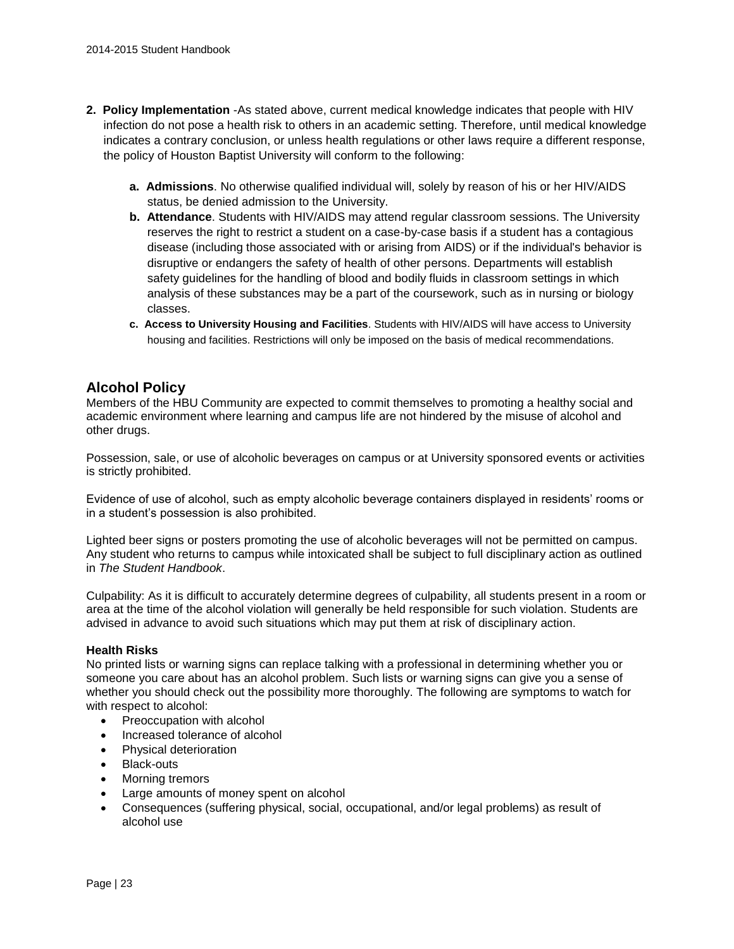- **2. Policy Implementation** -As stated above, current medical knowledge indicates that people with HIV infection do not pose a health risk to others in an academic setting. Therefore, until medical knowledge indicates a contrary conclusion, or unless health regulations or other laws require a different response, the policy of Houston Baptist University will conform to the following:
	- **a. Admissions**. No otherwise qualified individual will, solely by reason of his or her HIV/AIDS status, be denied admission to the University.
	- **b. Attendance**. Students with HIV/AIDS may attend regular classroom sessions. The University reserves the right to restrict a student on a case-by-case basis if a student has a contagious disease (including those associated with or arising from AIDS) or if the individual's behavior is disruptive or endangers the safety of health of other persons. Departments will establish safety guidelines for the handling of blood and bodily fluids in classroom settings in which analysis of these substances may be a part of the coursework, such as in nursing or biology classes.
	- **c. Access to University Housing and Facilities**. Students with HIV/AIDS will have access to University housing and facilities. Restrictions will only be imposed on the basis of medical recommendations.

## **Alcohol Policy**

Members of the HBU Community are expected to commit themselves to promoting a healthy social and academic environment where learning and campus life are not hindered by the misuse of alcohol and other drugs.

Possession, sale, or use of alcoholic beverages on campus or at University sponsored events or activities is strictly prohibited.

Evidence of use of alcohol, such as empty alcoholic beverage containers displayed in residents' rooms or in a student's possession is also prohibited.

Lighted beer signs or posters promoting the use of alcoholic beverages will not be permitted on campus. Any student who returns to campus while intoxicated shall be subject to full disciplinary action as outlined in *The Student Handbook*.

Culpability: As it is difficult to accurately determine degrees of culpability, all students present in a room or area at the time of the alcohol violation will generally be held responsible for such violation. Students are advised in advance to avoid such situations which may put them at risk of disciplinary action.

#### **Health Risks**

No printed lists or warning signs can replace talking with a professional in determining whether you or someone you care about has an alcohol problem. Such lists or warning signs can give you a sense of whether you should check out the possibility more thoroughly. The following are symptoms to watch for with respect to alcohol:

- Preoccupation with alcohol
- Increased tolerance of alcohol
- Physical deterioration
- Black-outs
- Morning tremors
- Large amounts of money spent on alcohol
- Consequences (suffering physical, social, occupational, and/or legal problems) as result of alcohol use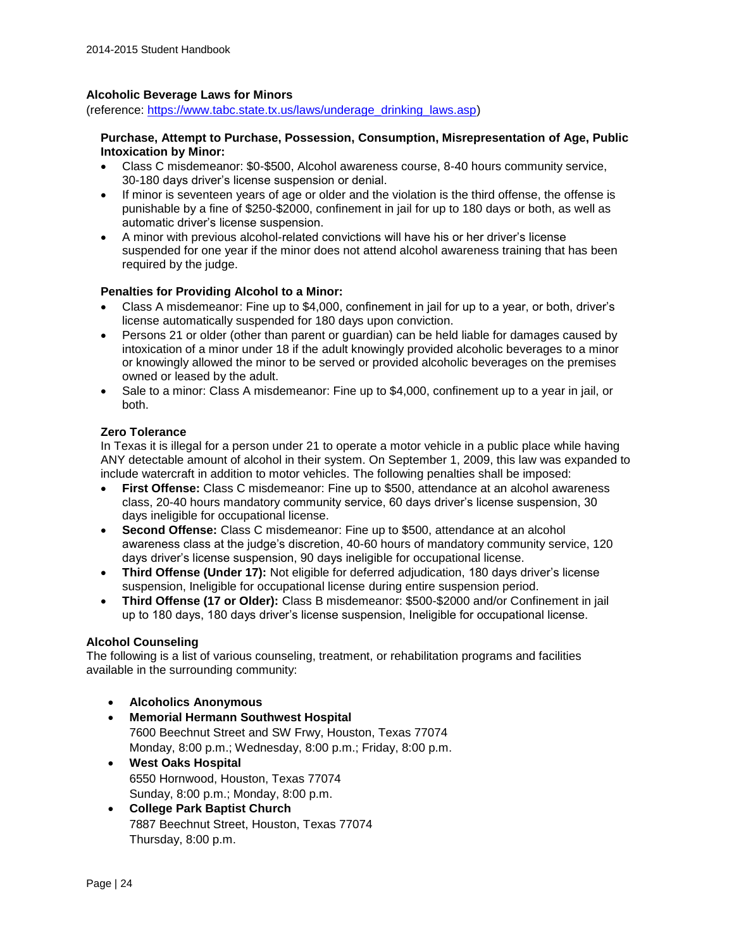#### **Alcoholic Beverage Laws for Minors**

(reference: [https://www.tabc.state.tx.us/laws/underage\\_drinking\\_laws.asp\)](https://www.tabc.state.tx.us/laws/underage_drinking_laws.asp)

#### **Purchase, Attempt to Purchase, Possession, Consumption, Misrepresentation of Age, Public Intoxication by Minor:**

- Class C misdemeanor: \$0-\$500, Alcohol awareness course, 8-40 hours community service, 30-180 days driver's license suspension or denial.
- If minor is seventeen years of age or older and the violation is the third offense, the offense is punishable by a fine of \$250-\$2000, confinement in jail for up to 180 days or both, as well as automatic driver's license suspension.
- A minor with previous alcohol-related convictions will have his or her driver's license suspended for one year if the minor does not attend alcohol awareness training that has been required by the judge.

#### **Penalties for Providing Alcohol to a Minor:**

- Class A misdemeanor: Fine up to \$4,000, confinement in jail for up to a year, or both, driver's license automatically suspended for 180 days upon conviction.
- Persons 21 or older (other than parent or guardian) can be held liable for damages caused by intoxication of a minor under 18 if the adult knowingly provided alcoholic beverages to a minor or knowingly allowed the minor to be served or provided alcoholic beverages on the premises owned or leased by the adult.
- Sale to a minor: Class A misdemeanor: Fine up to \$4,000, confinement up to a year in jail, or both.

#### **Zero Tolerance**

In Texas it is illegal for a person under 21 to operate a motor vehicle in a public place while having ANY detectable amount of alcohol in their system. On September 1, 2009, this law was expanded to include watercraft in addition to motor vehicles. The following penalties shall be imposed:

- **First Offense:** Class C misdemeanor: Fine up to \$500, attendance at an alcohol awareness class, 20-40 hours mandatory community service, 60 days driver's license suspension, 30 days ineligible for occupational license.
- **Second Offense:** Class C misdemeanor: Fine up to \$500, attendance at an alcohol awareness class at the judge's discretion, 40-60 hours of mandatory community service, 120 days driver's license suspension, 90 days ineligible for occupational license.
- **Third Offense (Under 17):** Not eligible for deferred adjudication, 180 days driver's license suspension, Ineligible for occupational license during entire suspension period.
- **Third Offense (17 or Older):** Class B misdemeanor: \$500-\$2000 and/or Confinement in jail up to 180 days, 180 days driver's license suspension, Ineligible for occupational license.

#### **Alcohol Counseling**

The following is a list of various counseling, treatment, or rehabilitation programs and facilities available in the surrounding community:

- **Alcoholics Anonymous**
- **Memorial Hermann Southwest Hospital** 7600 Beechnut Street and SW Frwy, Houston, Texas 77074 Monday, 8:00 p.m.; Wednesday, 8:00 p.m.; Friday, 8:00 p.m.
- **West Oaks Hospital** 6550 Hornwood, Houston, Texas 77074 Sunday, 8:00 p.m.; Monday, 8:00 p.m.
- **College Park Baptist Church** 7887 Beechnut Street, Houston, Texas 77074 Thursday, 8:00 p.m.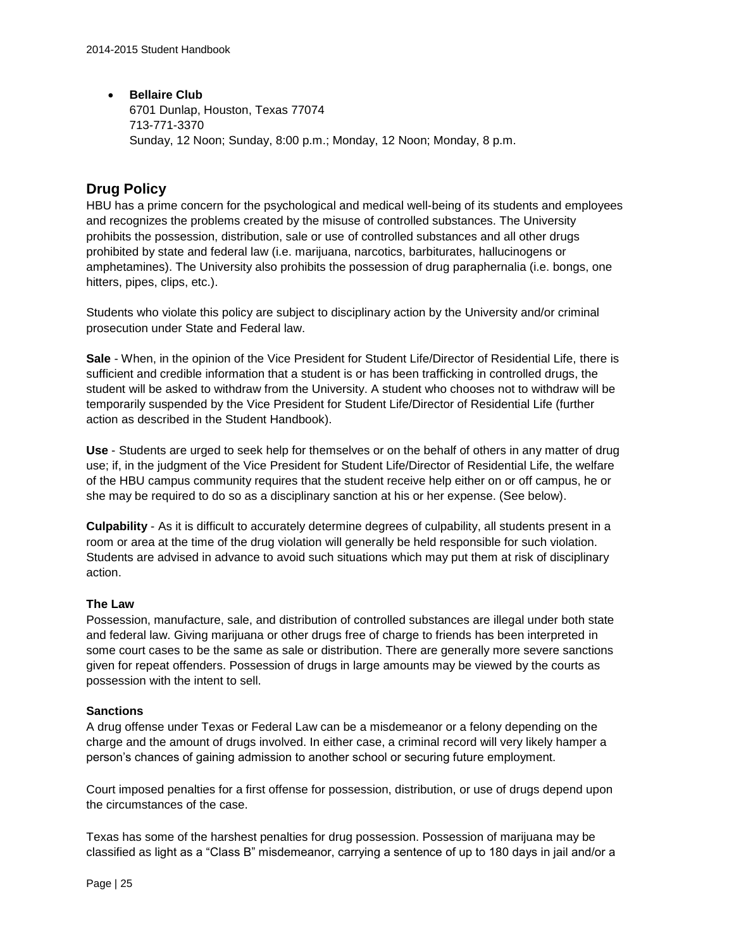#### **•** Bellaire Club

6701 Dunlap, Houston, Texas 77074 713-771-3370 Sunday, 12 Noon; Sunday, 8:00 p.m.; Monday, 12 Noon; Monday, 8 p.m.

## **Drug Policy**

HBU has a prime concern for the psychological and medical well-being of its students and employees and recognizes the problems created by the misuse of controlled substances. The University prohibits the possession, distribution, sale or use of controlled substances and all other drugs prohibited by state and federal law (i.e. marijuana, narcotics, barbiturates, hallucinogens or amphetamines). The University also prohibits the possession of drug paraphernalia (i.e. bongs, one hitters, pipes, clips, etc.).

Students who violate this policy are subject to disciplinary action by the University and/or criminal prosecution under State and Federal law.

**Sale** - When, in the opinion of the Vice President for Student Life/Director of Residential Life, there is sufficient and credible information that a student is or has been trafficking in controlled drugs, the student will be asked to withdraw from the University. A student who chooses not to withdraw will be temporarily suspended by the Vice President for Student Life/Director of Residential Life (further action as described in the Student Handbook).

**Use** - Students are urged to seek help for themselves or on the behalf of others in any matter of drug use; if, in the judgment of the Vice President for Student Life/Director of Residential Life, the welfare of the HBU campus community requires that the student receive help either on or off campus, he or she may be required to do so as a disciplinary sanction at his or her expense. (See below).

**Culpability** - As it is difficult to accurately determine degrees of culpability, all students present in a room or area at the time of the drug violation will generally be held responsible for such violation. Students are advised in advance to avoid such situations which may put them at risk of disciplinary action.

#### **The Law**

Possession, manufacture, sale, and distribution of controlled substances are illegal under both state and federal law. Giving marijuana or other drugs free of charge to friends has been interpreted in some court cases to be the same as sale or distribution. There are generally more severe sanctions given for repeat offenders. Possession of drugs in large amounts may be viewed by the courts as possession with the intent to sell.

#### **Sanctions**

A drug offense under Texas or Federal Law can be a misdemeanor or a felony depending on the charge and the amount of drugs involved. In either case, a criminal record will very likely hamper a person's chances of gaining admission to another school or securing future employment.

Court imposed penalties for a first offense for possession, distribution, or use of drugs depend upon the circumstances of the case.

Texas has some of the harshest penalties for drug possession. Possession of marijuana may be classified as light as a "Class B" misdemeanor, carrying a sentence of up to 180 days in jail and/or a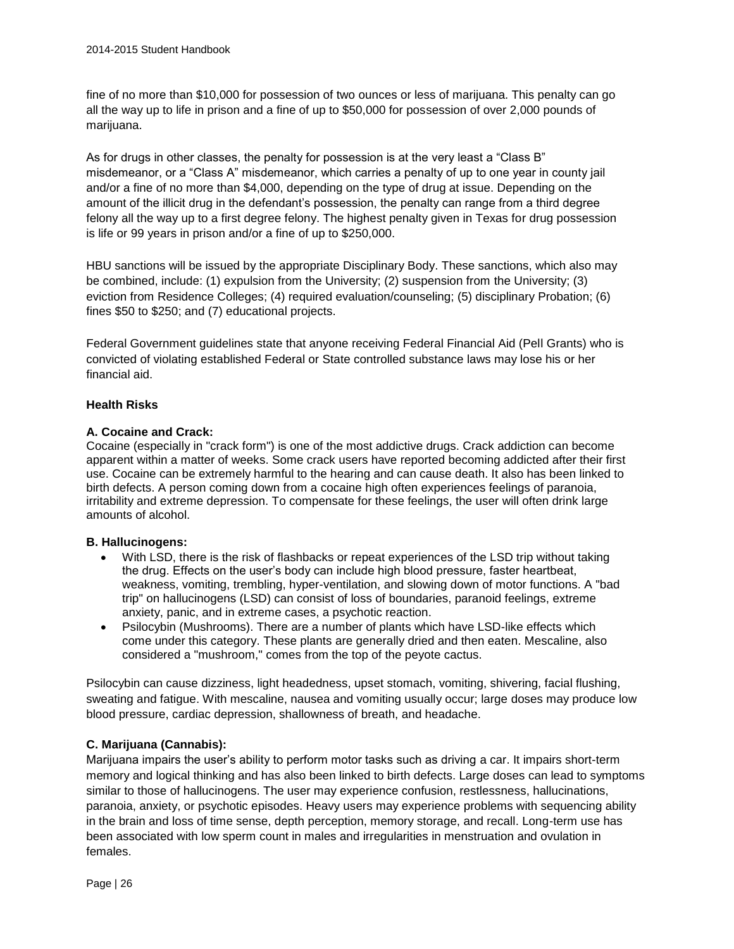fine of no more than \$10,000 for possession of two ounces or less of marijuana. This penalty can go all the way up to life in prison and a fine of up to \$50,000 for possession of over 2,000 pounds of marijuana.

As for drugs in other classes, the penalty for possession is at the very least a "Class B" misdemeanor, or a "Class A" misdemeanor, which carries a penalty of up to one year in county jail and/or a fine of no more than \$4,000, depending on the type of drug at issue. Depending on the amount of the illicit drug in the defendant's possession, the penalty can range from a third degree felony all the way up to a first degree felony. The highest penalty given in Texas for drug possession is life or 99 years in prison and/or a fine of up to \$250,000.

HBU sanctions will be issued by the appropriate Disciplinary Body. These sanctions, which also may be combined, include: (1) expulsion from the University; (2) suspension from the University; (3) eviction from Residence Colleges; (4) required evaluation/counseling; (5) disciplinary Probation; (6) fines \$50 to \$250; and (7) educational projects.

Federal Government guidelines state that anyone receiving Federal Financial Aid (Pell Grants) who is convicted of violating established Federal or State controlled substance laws may lose his or her financial aid.

#### **Health Risks**

#### **A. Cocaine and Crack:**

Cocaine (especially in "crack form") is one of the most addictive drugs. Crack addiction can become apparent within a matter of weeks. Some crack users have reported becoming addicted after their first use. Cocaine can be extremely harmful to the hearing and can cause death. It also has been linked to birth defects. A person coming down from a cocaine high often experiences feelings of paranoia, irritability and extreme depression. To compensate for these feelings, the user will often drink large amounts of alcohol.

#### **B. Hallucinogens:**

- With LSD, there is the risk of flashbacks or repeat experiences of the LSD trip without taking the drug. Effects on the user's body can include high blood pressure, faster heartbeat, weakness, vomiting, trembling, hyper-ventilation, and slowing down of motor functions. A "bad trip" on hallucinogens (LSD) can consist of loss of boundaries, paranoid feelings, extreme anxiety, panic, and in extreme cases, a psychotic reaction.
- Psilocybin (Mushrooms). There are a number of plants which have LSD-like effects which come under this category. These plants are generally dried and then eaten. Mescaline, also considered a "mushroom," comes from the top of the peyote cactus.

Psilocybin can cause dizziness, light headedness, upset stomach, vomiting, shivering, facial flushing, sweating and fatigue. With mescaline, nausea and vomiting usually occur; large doses may produce low blood pressure, cardiac depression, shallowness of breath, and headache.

#### **C. Marijuana (Cannabis):**

Marijuana impairs the user's ability to perform motor tasks such as driving a car. It impairs short-term memory and logical thinking and has also been linked to birth defects. Large doses can lead to symptoms similar to those of hallucinogens. The user may experience confusion, restlessness, hallucinations, paranoia, anxiety, or psychotic episodes. Heavy users may experience problems with sequencing ability in the brain and loss of time sense, depth perception, memory storage, and recall. Long-term use has been associated with low sperm count in males and irregularities in menstruation and ovulation in females.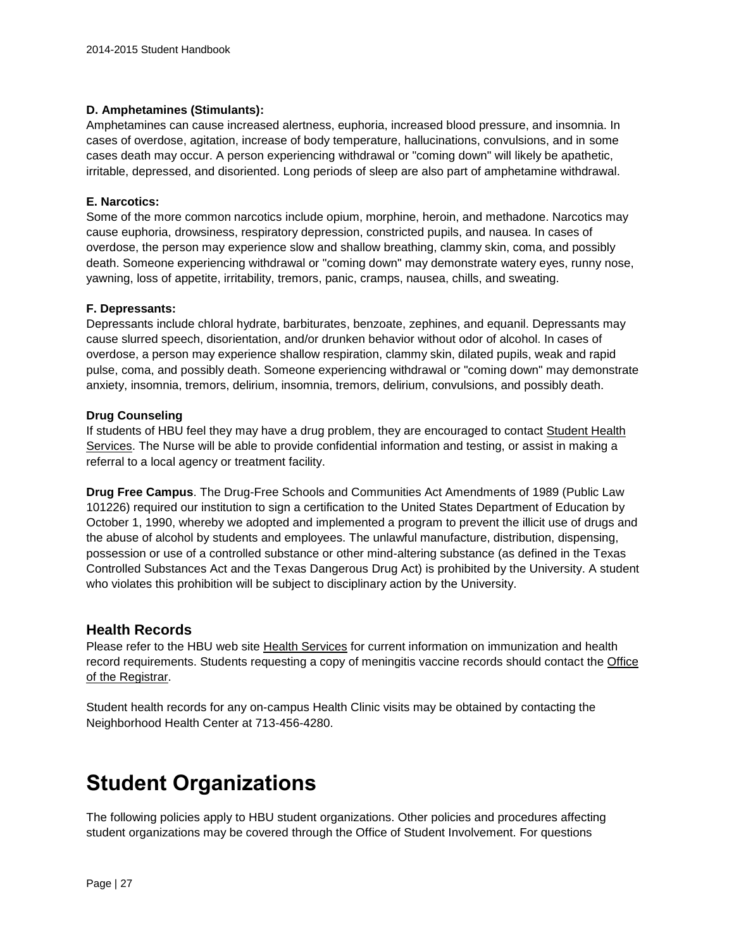#### **D. Amphetamines (Stimulants):**

Amphetamines can cause increased alertness, euphoria, increased blood pressure, and insomnia. In cases of overdose, agitation, increase of body temperature, hallucinations, convulsions, and in some cases death may occur. A person experiencing withdrawal or "coming down" will likely be apathetic, irritable, depressed, and disoriented. Long periods of sleep are also part of amphetamine withdrawal.

#### **E. Narcotics:**

Some of the more common narcotics include opium, morphine, heroin, and methadone. Narcotics may cause euphoria, drowsiness, respiratory depression, constricted pupils, and nausea. In cases of overdose, the person may experience slow and shallow breathing, clammy skin, coma, and possibly death. Someone experiencing withdrawal or "coming down" may demonstrate watery eyes, runny nose, yawning, loss of appetite, irritability, tremors, panic, cramps, nausea, chills, and sweating.

#### **F. Depressants:**

Depressants include chloral hydrate, barbiturates, benzoate, zephines, and equanil. Depressants may cause slurred speech, disorientation, and/or drunken behavior without odor of alcohol. In cases of overdose, a person may experience shallow respiration, clammy skin, dilated pupils, weak and rapid pulse, coma, and possibly death. Someone experiencing withdrawal or "coming down" may demonstrate anxiety, insomnia, tremors, delirium, insomnia, tremors, delirium, convulsions, and possibly death.

#### **Drug Counseling**

If students of HBU feel they may have a drug problem, they are encouraged to contact [Student Health](http://www.hbu.edu/About-HBU/Resources/Health-Services.aspx)  [Services.](http://www.hbu.edu/About-HBU/Resources/Health-Services.aspx) The Nurse will be able to provide confidential information and testing, or assist in making a referral to a local agency or treatment facility.

**Drug Free Campus**. The Drug-Free Schools and Communities Act Amendments of 1989 (Public Law 101226) required our institution to sign a certification to the United States Department of Education by October 1, 1990, whereby we adopted and implemented a program to prevent the illicit use of drugs and the abuse of alcohol by students and employees. The unlawful manufacture, distribution, dispensing, possession or use of a controlled substance or other mind-altering substance (as defined in the Texas Controlled Substances Act and the Texas Dangerous Drug Act) is prohibited by the University. A student who violates this prohibition will be subject to disciplinary action by the University.

#### **Health Records**

Please refer to the HBU web site [Health Services](https://hbu.edu/About-HBU/Resources/Health-Services/New-Student-Requirements.aspx) for current information on immunization and health record requirements. Students requesting a copy of meningitis vaccine records should contact the [Office](mailto:registrar@hbu.edu)  [of the Registrar.](mailto:registrar@hbu.edu)

Student health records for any on-campus Health Clinic visits may be obtained by contacting the Neighborhood Health Center at 713-456-4280.

## **Student Organizations**

The following policies apply to HBU student organizations. Other policies and procedures affecting student organizations may be covered through the Office of Student Involvement. For questions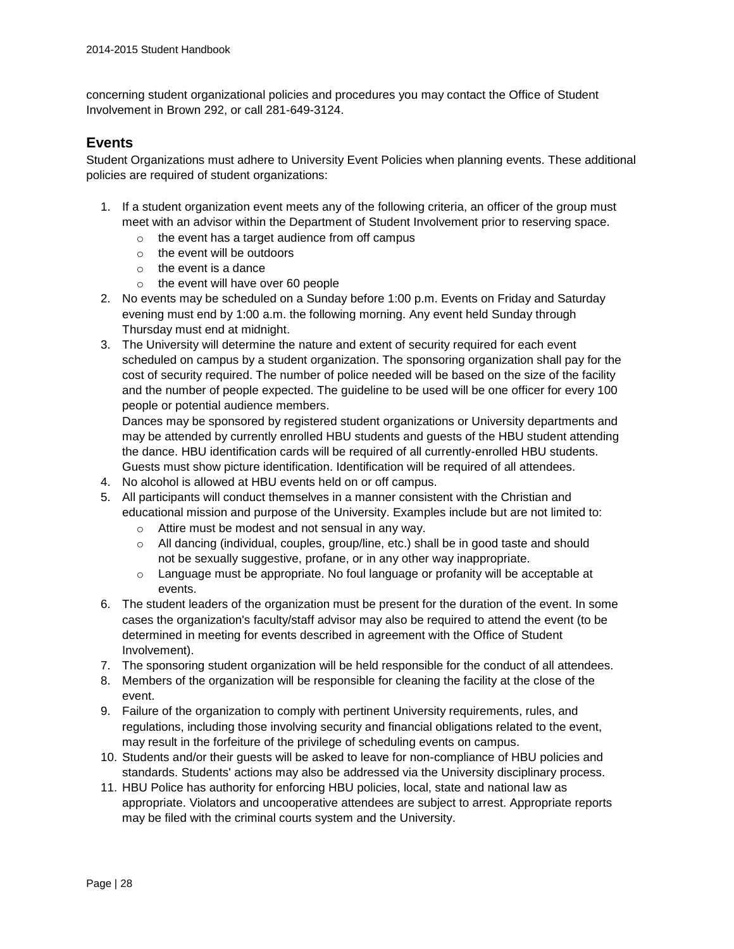concerning student organizational policies and procedures you may contact the Office of Student Involvement in Brown 292, or call 281-649-3124.

#### **Events**

Student Organizations must adhere to University Event Policies when planning events. These additional policies are required of student organizations:

- 1. If a student organization event meets any of the following criteria, an officer of the group must meet with an advisor within the Department of Student Involvement prior to reserving space.
	- o the event has a target audience from off campus
	- o the event will be outdoors
	- $\circ$  the event is a dance
	- o the event will have over 60 people
- 2. No events may be scheduled on a Sunday before 1:00 p.m. Events on Friday and Saturday evening must end by 1:00 a.m. the following morning. Any event held Sunday through Thursday must end at midnight.
- 3. The University will determine the nature and extent of security required for each event scheduled on campus by a student organization. The sponsoring organization shall pay for the cost of security required. The number of police needed will be based on the size of the facility and the number of people expected. The guideline to be used will be one officer for every 100 people or potential audience members.

Dances may be sponsored by registered student organizations or University departments and may be attended by currently enrolled HBU students and guests of the HBU student attending the dance. HBU identification cards will be required of all currently-enrolled HBU students. Guests must show picture identification. Identification will be required of all attendees.

- 4. No alcohol is allowed at HBU events held on or off campus.
- 5. All participants will conduct themselves in a manner consistent with the Christian and educational mission and purpose of the University. Examples include but are not limited to:
	- o Attire must be modest and not sensual in any way.
	- $\circ$  All dancing (individual, couples, group/line, etc.) shall be in good taste and should not be sexually suggestive, profane, or in any other way inappropriate.
	- o Language must be appropriate. No foul language or profanity will be acceptable at events.
- 6. The student leaders of the organization must be present for the duration of the event. In some cases the organization's faculty/staff advisor may also be required to attend the event (to be determined in meeting for events described in agreement with the Office of Student Involvement).
- 7. The sponsoring student organization will be held responsible for the conduct of all attendees.
- 8. Members of the organization will be responsible for cleaning the facility at the close of the event.
- 9. Failure of the organization to comply with pertinent University requirements, rules, and regulations, including those involving security and financial obligations related to the event, may result in the forfeiture of the privilege of scheduling events on campus.
- 10. Students and/or their guests will be asked to leave for non-compliance of HBU policies and standards. Students' actions may also be addressed via the University disciplinary process.
- 11. HBU Police has authority for enforcing HBU policies, local, state and national law as appropriate. Violators and uncooperative attendees are subject to arrest. Appropriate reports may be filed with the criminal courts system and the University.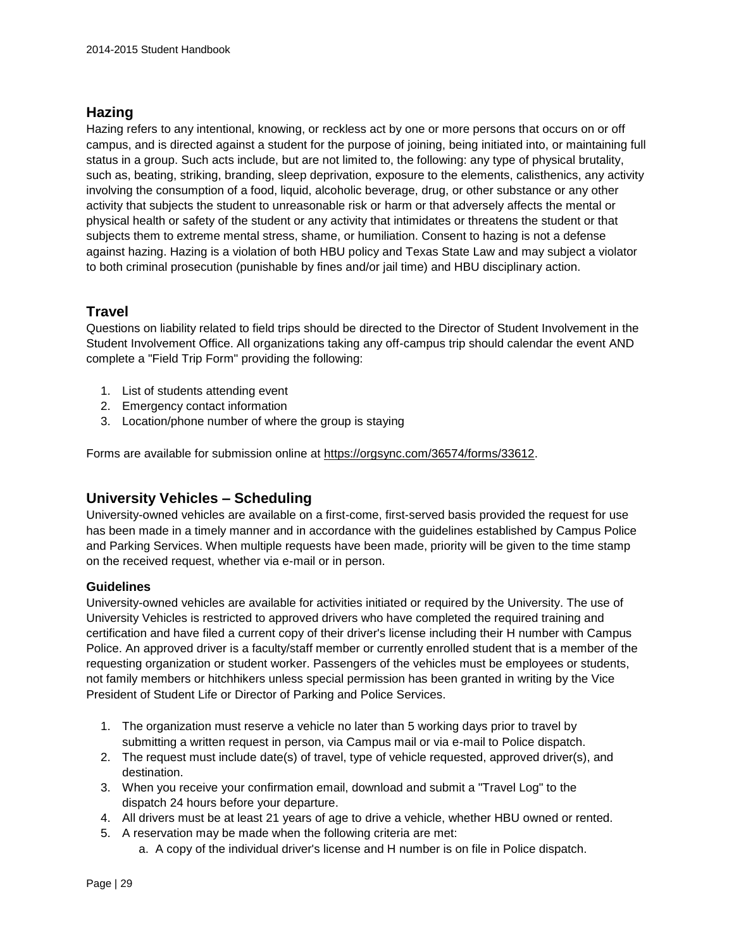## **Hazing**

Hazing refers to any intentional, knowing, or reckless act by one or more persons that occurs on or off campus, and is directed against a student for the purpose of joining, being initiated into, or maintaining full status in a group. Such acts include, but are not limited to, the following: any type of physical brutality, such as, beating, striking, branding, sleep deprivation, exposure to the elements, calisthenics, any activity involving the consumption of a food, liquid, alcoholic beverage, drug, or other substance or any other activity that subjects the student to unreasonable risk or harm or that adversely affects the mental or physical health or safety of the student or any activity that intimidates or threatens the student or that subjects them to extreme mental stress, shame, or humiliation. Consent to hazing is not a defense against hazing. Hazing is a violation of both HBU policy and Texas State Law and may subject a violator to both criminal prosecution (punishable by fines and/or jail time) and HBU disciplinary action.

## **Travel**

Questions on liability related to field trips should be directed to the Director of Student Involvement in the Student Involvement Office. All organizations taking any off-campus trip should calendar the event AND complete a "Field Trip Form" providing the following:

- 1. List of students attending event
- 2. Emergency contact information
- 3. Location/phone number of where the group is staying

Forms are available for submission online at [https://orgsync.com/36574/forms/33612.](https://orgsync.com/36574/forms/33612)

## **University Vehicles – Scheduling**

University-owned vehicles are available on a first-come, first-served basis provided the request for use has been made in a timely manner and in accordance with the guidelines established by Campus Police and Parking Services. When multiple requests have been made, priority will be given to the time stamp on the received request, whether via e-mail or in person.

#### **Guidelines**

University-owned vehicles are available for activities initiated or required by the University. The use of University Vehicles is restricted to approved drivers who have completed the required training and certification and have filed a current copy of their driver's license including their H number with Campus Police. An approved driver is a faculty/staff member or currently enrolled student that is a member of the requesting organization or student worker. Passengers of the vehicles must be employees or students, not family members or hitchhikers unless special permission has been granted in writing by the Vice President of Student Life or Director of Parking and Police Services.

- 1. The organization must reserve a vehicle no later than 5 working days prior to travel by submitting a written request in person, via Campus mail or via e-mail to Police dispatch.
- 2. The request must include date(s) of travel, type of vehicle requested, approved driver(s), and destination.
- 3. When you receive your confirmation email, download and submit a "Travel Log" to the dispatch 24 hours before your departure.
- 4. All drivers must be at least 21 years of age to drive a vehicle, whether HBU owned or rented.
- 5. A reservation may be made when the following criteria are met:
	- a. A copy of the individual driver's license and H number is on file in Police dispatch.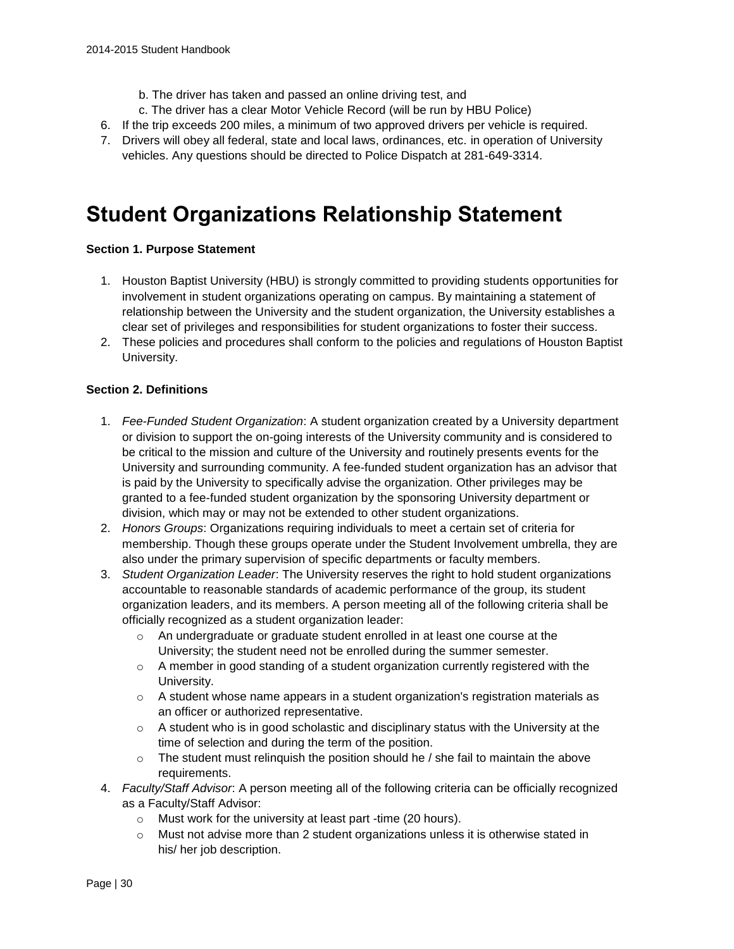- b. The driver has taken and passed an online driving test, and
- c. The driver has a clear Motor Vehicle Record (will be run by HBU Police)
- 6. If the trip exceeds 200 miles, a minimum of two approved drivers per vehicle is required.
- 7. Drivers will obey all federal, state and local laws, ordinances, etc. in operation of University vehicles. Any questions should be directed to Police Dispatch at 281-649-3314.

## **Student Organizations Relationship Statement**

#### **Section 1. Purpose Statement**

- 1. Houston Baptist University (HBU) is strongly committed to providing students opportunities for involvement in student organizations operating on campus. By maintaining a statement of relationship between the University and the student organization, the University establishes a clear set of privileges and responsibilities for student organizations to foster their success.
- 2. These policies and procedures shall conform to the policies and regulations of Houston Baptist University.

#### **Section 2. Definitions**

- 1. *Fee-Funded Student Organization*: A student organization created by a University department or division to support the on-going interests of the University community and is considered to be critical to the mission and culture of the University and routinely presents events for the University and surrounding community. A fee-funded student organization has an advisor that is paid by the University to specifically advise the organization. Other privileges may be granted to a fee-funded student organization by the sponsoring University department or division, which may or may not be extended to other student organizations.
- 2. *Honors Groups*: Organizations requiring individuals to meet a certain set of criteria for membership. Though these groups operate under the Student Involvement umbrella, they are also under the primary supervision of specific departments or faculty members.
- 3. *Student Organization Leader*: The University reserves the right to hold student organizations accountable to reasonable standards of academic performance of the group, its student organization leaders, and its members. A person meeting all of the following criteria shall be officially recognized as a student organization leader:
	- $\circ$  An undergraduate or graduate student enrolled in at least one course at the University; the student need not be enrolled during the summer semester.
	- $\circ$  A member in good standing of a student organization currently registered with the University.
	- $\circ$  A student whose name appears in a student organization's registration materials as an officer or authorized representative.
	- $\circ$  A student who is in good scholastic and disciplinary status with the University at the time of selection and during the term of the position.
	- $\circ$  The student must relinquish the position should he / she fail to maintain the above requirements.
- 4. *Faculty/Staff Advisor*: A person meeting all of the following criteria can be officially recognized as a Faculty/Staff Advisor:
	- o Must work for the university at least part -time (20 hours).
	- $\circ$  Must not advise more than 2 student organizations unless it is otherwise stated in his/ her job description.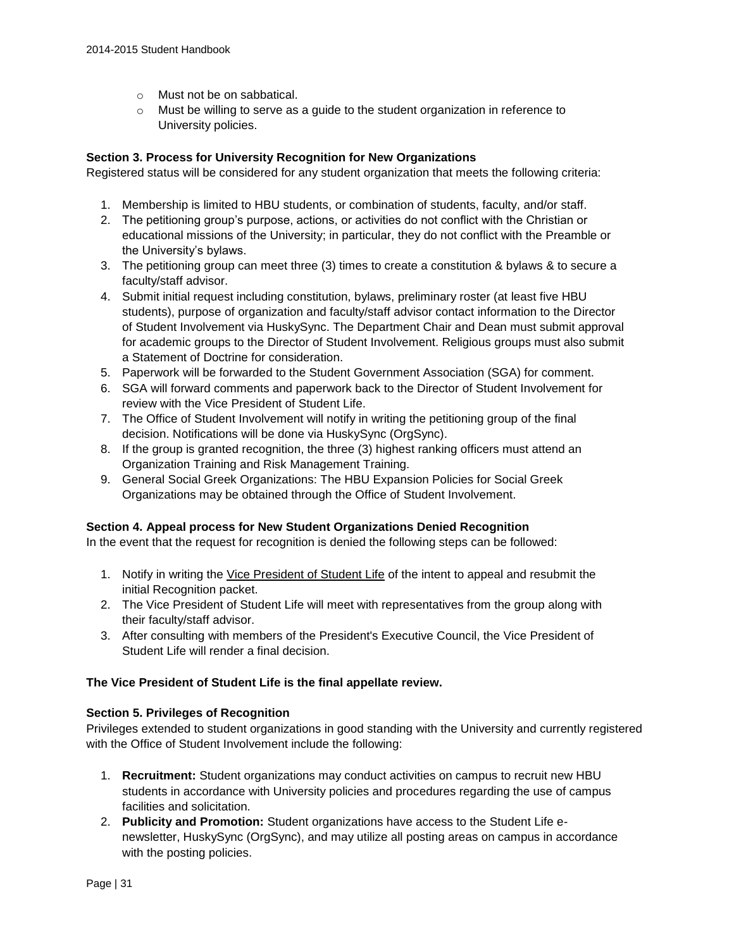- o Must not be on sabbatical.
- $\circ$  Must be willing to serve as a guide to the student organization in reference to University policies.

#### **Section 3. Process for University Recognition for New Organizations**

Registered status will be considered for any student organization that meets the following criteria:

- 1. Membership is limited to HBU students, or combination of students, faculty, and/or staff.
- 2. The petitioning group's purpose, actions, or activities do not conflict with the Christian or educational missions of the University; in particular, they do not conflict with the Preamble or the University's bylaws.
- 3. The petitioning group can meet three (3) times to create a constitution & bylaws & to secure a faculty/staff advisor.
- 4. Submit initial request including constitution, bylaws, preliminary roster (at least five HBU students), purpose of organization and faculty/staff advisor contact information to the Director of Student Involvement via HuskySync. The Department Chair and Dean must submit approval for academic groups to the Director of Student Involvement. Religious groups must also submit a Statement of Doctrine for consideration.
- 5. Paperwork will be forwarded to the Student Government Association (SGA) for comment.
- 6. SGA will forward comments and paperwork back to the Director of Student Involvement for review with the Vice President of Student Life.
- 7. The Office of Student Involvement will notify in writing the petitioning group of the final decision. Notifications will be done via HuskySync (OrgSync).
- 8. If the group is granted recognition, the three (3) highest ranking officers must attend an Organization Training and Risk Management Training.
- 9. General Social Greek Organizations: The HBU Expansion Policies for Social Greek Organizations may be obtained through the Office of Student Involvement.

#### **Section 4. Appeal process for New Student Organizations Denied Recognition**

In the event that the request for recognition is denied the following steps can be followed:

- 1. Notify in writing the [Vice President of Student Life](mailto:studentlife@hbu.edu) of the intent to appeal and resubmit the initial Recognition packet.
- 2. The Vice President of Student Life will meet with representatives from the group along with their faculty/staff advisor.
- 3. After consulting with members of the President's Executive Council, the Vice President of Student Life will render a final decision.

#### **The Vice President of Student Life is the final appellate review.**

#### **Section 5. Privileges of Recognition**

Privileges extended to student organizations in good standing with the University and currently registered with the Office of Student Involvement include the following:

- 1. **Recruitment:** Student organizations may conduct activities on campus to recruit new HBU students in accordance with University policies and procedures regarding the use of campus facilities and solicitation.
- 2. **Publicity and Promotion:** Student organizations have access to the Student Life enewsletter, HuskySync (OrgSync), and may utilize all posting areas on campus in accordance with the posting policies.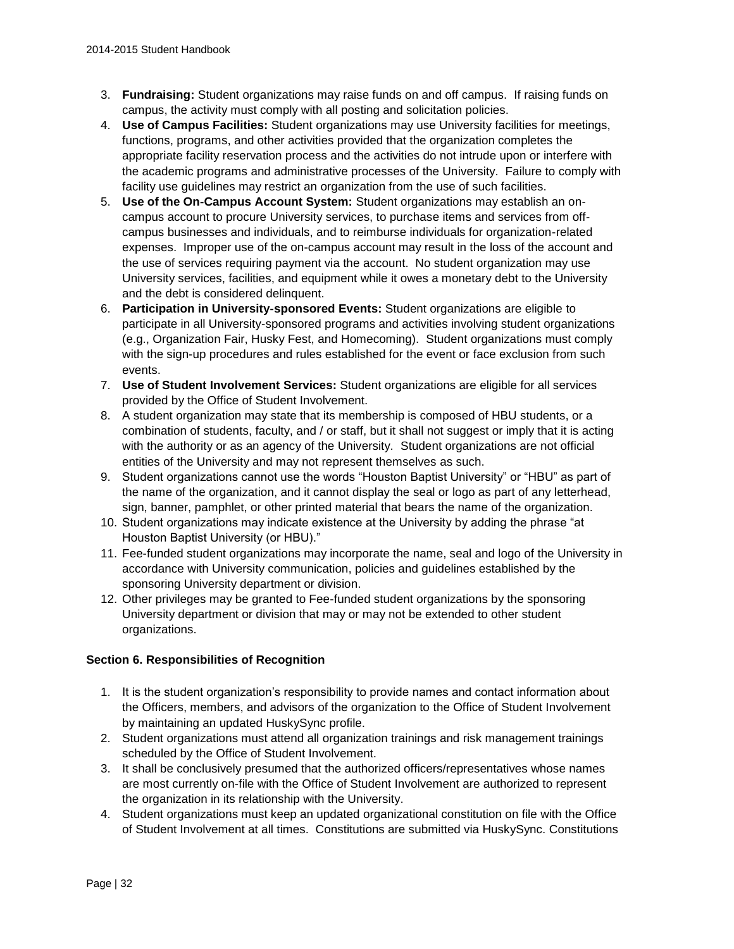- 3. **Fundraising:** Student organizations may raise funds on and off campus. If raising funds on campus, the activity must comply with all posting and solicitation policies.
- 4. **Use of Campus Facilities:** Student organizations may use University facilities for meetings, functions, programs, and other activities provided that the organization completes the appropriate facility reservation process and the activities do not intrude upon or interfere with the academic programs and administrative processes of the University. Failure to comply with facility use guidelines may restrict an organization from the use of such facilities.
- 5. **Use of the On-Campus Account System:** Student organizations may establish an oncampus account to procure University services, to purchase items and services from offcampus businesses and individuals, and to reimburse individuals for organization-related expenses. Improper use of the on-campus account may result in the loss of the account and the use of services requiring payment via the account. No student organization may use University services, facilities, and equipment while it owes a monetary debt to the University and the debt is considered delinquent.
- 6. **Participation in University-sponsored Events:** Student organizations are eligible to participate in all University-sponsored programs and activities involving student organizations (e.g., Organization Fair, Husky Fest, and Homecoming). Student organizations must comply with the sign-up procedures and rules established for the event or face exclusion from such events.
- 7. **Use of Student Involvement Services:** Student organizations are eligible for all services provided by the Office of Student Involvement.
- 8. A student organization may state that its membership is composed of HBU students, or a combination of students, faculty, and / or staff, but it shall not suggest or imply that it is acting with the authority or as an agency of the University. Student organizations are not official entities of the University and may not represent themselves as such.
- 9. Student organizations cannot use the words "Houston Baptist University" or "HBU" as part of the name of the organization, and it cannot display the seal or logo as part of any letterhead, sign, banner, pamphlet, or other printed material that bears the name of the organization.
- 10. Student organizations may indicate existence at the University by adding the phrase "at Houston Baptist University (or HBU)."
- 11. Fee-funded student organizations may incorporate the name, seal and logo of the University in accordance with University communication, policies and guidelines established by the sponsoring University department or division.
- 12. Other privileges may be granted to Fee-funded student organizations by the sponsoring University department or division that may or may not be extended to other student organizations.

### **Section 6. Responsibilities of Recognition**

- 1. It is the student organization's responsibility to provide names and contact information about the Officers, members, and advisors of the organization to the Office of Student Involvement by maintaining an updated HuskySync profile.
- 2. Student organizations must attend all organization trainings and risk management trainings scheduled by the Office of Student Involvement.
- 3. It shall be conclusively presumed that the authorized officers/representatives whose names are most currently on-file with the Office of Student Involvement are authorized to represent the organization in its relationship with the University.
- 4. Student organizations must keep an updated organizational constitution on file with the Office of Student Involvement at all times. Constitutions are submitted via HuskySync. Constitutions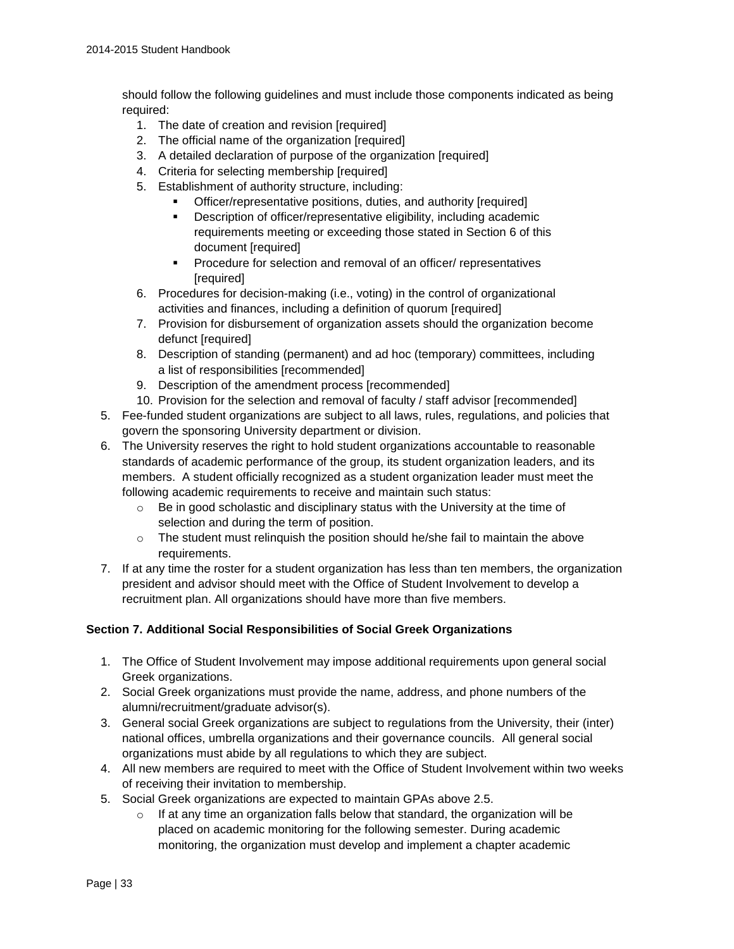should follow the following guidelines and must include those components indicated as being required:

- 1. The date of creation and revision [required]
- 2. The official name of the organization [required]
- 3. A detailed declaration of purpose of the organization [required]
- 4. Criteria for selecting membership [required]
- 5. Establishment of authority structure, including:
	- Officer/representative positions, duties, and authority [required]
	- **•** Description of officer/representative eligibility, including academic requirements meeting or exceeding those stated in Section 6 of this document [required]
	- **Procedure for selection and removal of an officer/ representatives** [required]
- 6. Procedures for decision-making (i.e., voting) in the control of organizational activities and finances, including a definition of quorum [required]
- 7. Provision for disbursement of organization assets should the organization become defunct [required]
- 8. Description of standing (permanent) and ad hoc (temporary) committees, including a list of responsibilities [recommended]
- 9. Description of the amendment process [recommended]
- 10. Provision for the selection and removal of faculty / staff advisor [recommended]
- 5. Fee-funded student organizations are subject to all laws, rules, regulations, and policies that govern the sponsoring University department or division.
- 6. The University reserves the right to hold student organizations accountable to reasonable standards of academic performance of the group, its student organization leaders, and its members. A student officially recognized as a student organization leader must meet the following academic requirements to receive and maintain such status:
	- o Be in good scholastic and disciplinary status with the University at the time of selection and during the term of position.
	- $\circ$  The student must relinguish the position should he/she fail to maintain the above requirements.
- 7. If at any time the roster for a student organization has less than ten members, the organization president and advisor should meet with the Office of Student Involvement to develop a recruitment plan. All organizations should have more than five members.

#### **Section 7. Additional Social Responsibilities of Social Greek Organizations**

- 1. The Office of Student Involvement may impose additional requirements upon general social Greek organizations.
- 2. Social Greek organizations must provide the name, address, and phone numbers of the alumni/recruitment/graduate advisor(s).
- 3. General social Greek organizations are subject to regulations from the University, their (inter) national offices, umbrella organizations and their governance councils. All general social organizations must abide by all regulations to which they are subject.
- 4. All new members are required to meet with the Office of Student Involvement within two weeks of receiving their invitation to membership.
- 5. Social Greek organizations are expected to maintain GPAs above 2.5.
	- $\circ$  If at any time an organization falls below that standard, the organization will be placed on academic monitoring for the following semester. During academic monitoring, the organization must develop and implement a chapter academic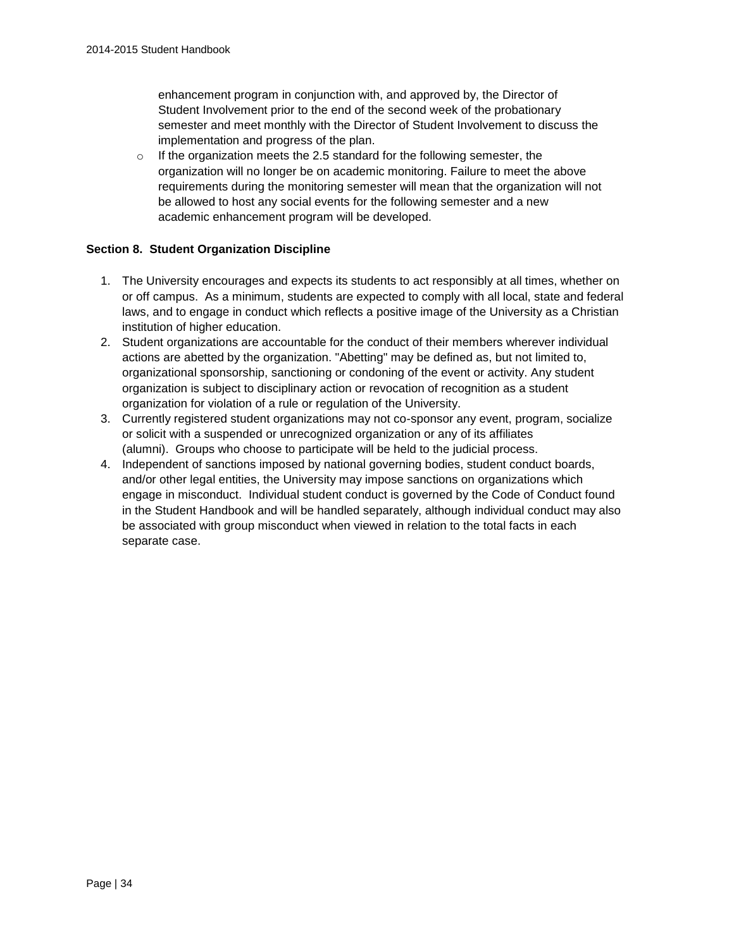enhancement program in conjunction with, and approved by, the Director of Student Involvement prior to the end of the second week of the probationary semester and meet monthly with the Director of Student Involvement to discuss the implementation and progress of the plan.

 $\circ$  If the organization meets the 2.5 standard for the following semester, the organization will no longer be on academic monitoring. Failure to meet the above requirements during the monitoring semester will mean that the organization will not be allowed to host any social events for the following semester and a new academic enhancement program will be developed.

#### **Section 8. Student Organization Discipline**

- 1. The University encourages and expects its students to act responsibly at all times, whether on or off campus. As a minimum, students are expected to comply with all local, state and federal laws, and to engage in conduct which reflects a positive image of the University as a Christian institution of higher education.
- 2. Student organizations are accountable for the conduct of their members wherever individual actions are abetted by the organization. "Abetting" may be defined as, but not limited to, organizational sponsorship, sanctioning or condoning of the event or activity. Any student organization is subject to disciplinary action or revocation of recognition as a student organization for violation of a rule or regulation of the University.
- 3. Currently registered student organizations may not co-sponsor any event, program, socialize or solicit with a suspended or unrecognized organization or any of its affiliates (alumni). Groups who choose to participate will be held to the judicial process.
- 4. Independent of sanctions imposed by national governing bodies, student conduct boards, and/or other legal entities, the University may impose sanctions on organizations which engage in misconduct. Individual student conduct is governed by the Code of Conduct found in the Student Handbook and will be handled separately, although individual conduct may also be associated with group misconduct when viewed in relation to the total facts in each separate case.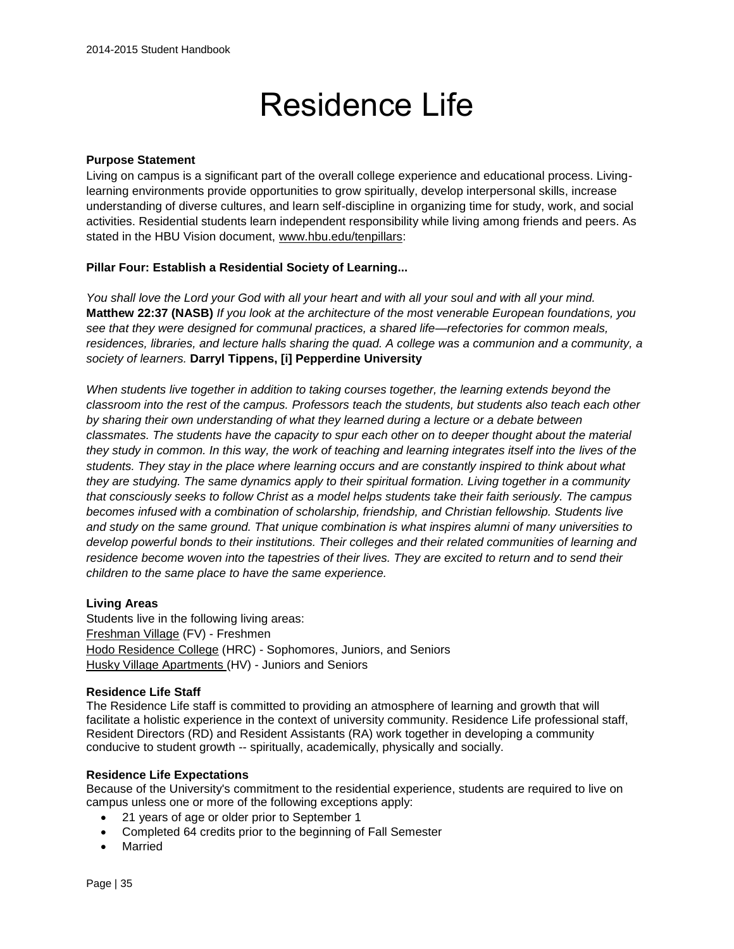# Residence Life

#### **Purpose Statement**

Living on campus is a significant part of the overall college experience and educational process. Livinglearning environments provide opportunities to grow spiritually, develop interpersonal skills, increase understanding of diverse cultures, and learn self-discipline in organizing time for study, work, and social activities. Residential students learn independent responsibility while living among friends and peers. As stated in the HBU Vision document, [www.hbu.edu/tenpillars:](https://hbu.edu/About-HBU/General-Information/The-Ten-Pillars.aspx)

#### **[Pillar Four: Establish a Residential Society of Learning...](https://hbu.edu/About-HBU/General-Information/The-Ten-Pillars/A-Residential-Society.aspx)**

*You shall love the Lord your God with all your heart and with all your soul and with all your mind.*  **Matthew 22:37 (NASB)** *If you look at the architecture of the most venerable European foundations, you see that they were designed for communal practices, a shared life—refectories for common meals, residences, libraries, and lecture halls sharing the quad. A college was a communion and a community, a society of learners.* **Darryl Tippens, [i] Pepperdine University** 

*When students live together in addition to taking courses together, the learning extends beyond the classroom into the rest of the campus. Professors teach the students, but students also teach each other by sharing their own understanding of what they learned during a lecture or a debate between classmates. The students have the capacity to spur each other on to deeper thought about the material they study in common. In this way, the work of teaching and learning integrates itself into the lives of the students. They stay in the place where learning occurs and are constantly inspired to think about what they are studying. The same dynamics apply to their spiritual formation. Living together in a community that consciously seeks to follow Christ as a model helps students take their faith seriously. The campus becomes infused with a combination of scholarship, friendship, and Christian fellowship. Students live and study on the same ground. That unique combination is what inspires alumni of many universities to develop powerful bonds to their institutions. Their colleges and their related communities of learning and residence become woven into the tapestries of their lives. They are excited to return and to send their children to the same place to have the same experience.* 

#### **Living Areas**

Students live in the following living areas: [Freshman Village](https://hbu.edu/Students-Alumni/Student-Information/Residence-Life/Residence-Housing/Residence-Colleges.aspx) (FV) - Freshmen [Hodo Residence College](https://hbu.edu/Students-Alumni/Student-Information/Residence-Life/Residence-Housing/The-Lake-House.aspx) (HRC) - Sophomores, Juniors, and Seniors [Husky Village Apartments \(](https://hbu.edu/Students-Alumni/Student-Information/Residence-Life/Residence-Housing/Husky-Village.aspx)HV) - Juniors and Seniors

#### **Residence Life Staff**

The Residence Life staff is committed to providing an atmosphere of learning and growth that will facilitate a holistic experience in the context of university community. Residence Life professional staff, Resident Directors (RD) and Resident Assistants (RA) work together in developing a community conducive to student growth -- spiritually, academically, physically and socially.

#### **Residence Life Expectations**

Because of the University's commitment to the residential experience, students are required to live on campus unless one or more of the following exceptions apply:

- 21 years of age or older prior to September 1
- Completed 64 credits prior to the beginning of Fall Semester
- Married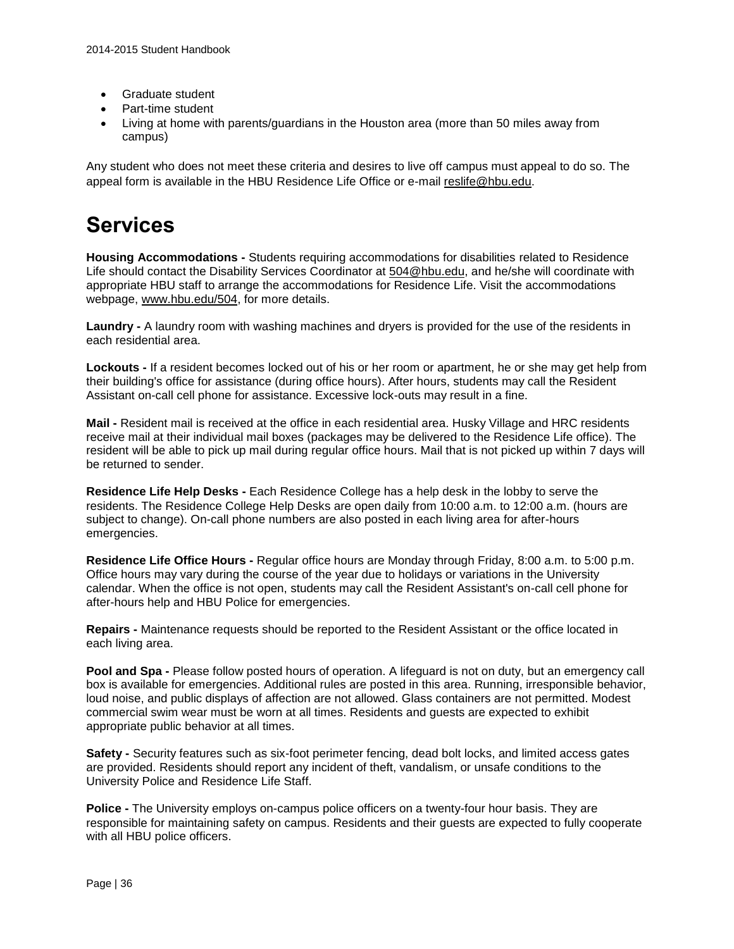- Graduate student
- Part-time student
- Living at home with parents/guardians in the Houston area (more than 50 miles away from campus)

Any student who does not meet these criteria and desires to live off campus must appeal to do so. The appeal form is available in the HBU Residence Life Office or e-mail [reslife@hbu.edu.](mailto:reslife@hbu.edu)

## **Services**

**Housing Accommodations -** Students requiring accommodations for disabilities related to Residence Life should contact the Disability Services Coordinator at [504@hbu.edu,](mailto:504@hbu.edu) and he/she will coordinate with appropriate HBU staff to arrange the accommodations for Residence Life. Visit the accommodations webpage, [www.hbu.edu/504,](http://www.hbu.edu/504) for more details.

**Laundry -** A laundry room with washing machines and dryers is provided for the use of the residents in each residential area.

**Lockouts -** If a resident becomes locked out of his or her room or apartment, he or she may get help from their building's office for assistance (during office hours). After hours, students may call the Resident Assistant on-call cell phone for assistance. Excessive lock-outs may result in a fine.

**Mail -** Resident mail is received at the office in each residential area. Husky Village and HRC residents receive mail at their individual mail boxes (packages may be delivered to the Residence Life office). The resident will be able to pick up mail during regular office hours. Mail that is not picked up within 7 days will be returned to sender.

**Residence Life Help Desks -** Each Residence College has a help desk in the lobby to serve the residents. The Residence College Help Desks are open daily from 10:00 a.m. to 12:00 a.m. (hours are subject to change). On-call phone numbers are also posted in each living area for after-hours emergencies.

**Residence Life Office Hours -** Regular office hours are Monday through Friday, 8:00 a.m. to 5:00 p.m. Office hours may vary during the course of the year due to holidays or variations in the University calendar. When the office is not open, students may call the Resident Assistant's on-call cell phone for after-hours help and HBU Police for emergencies.

**Repairs -** Maintenance requests should be reported to the Resident Assistant or the office located in each living area.

**Pool and Spa -** Please follow posted hours of operation. A lifeguard is not on duty, but an emergency call box is available for emergencies. Additional rules are posted in this area. Running, irresponsible behavior, loud noise, and public displays of affection are not allowed. Glass containers are not permitted. Modest commercial swim wear must be worn at all times. Residents and guests are expected to exhibit appropriate public behavior at all times.

**Safety -** Security features such as six-foot perimeter fencing, dead bolt locks, and limited access gates are provided. Residents should report any incident of theft, vandalism, or unsafe conditions to the University Police and Residence Life Staff.

**Police -** The University employs on-campus police officers on a twenty-four hour basis. They are responsible for maintaining safety on campus. Residents and their guests are expected to fully cooperate with all HBU police officers.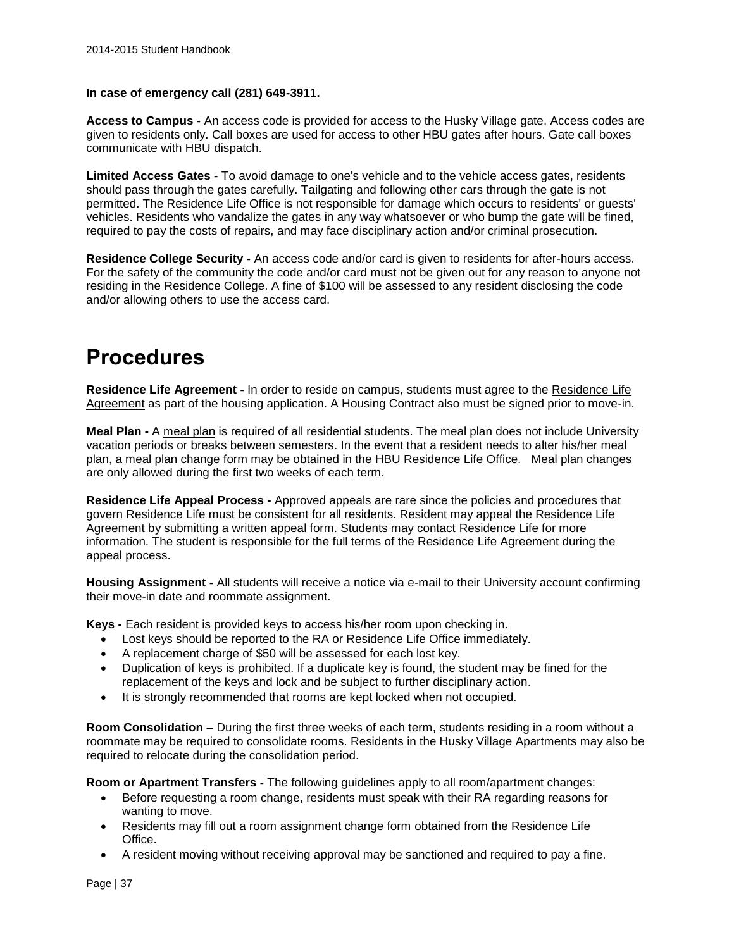#### **In case of emergency call (281) 649-3911.**

**Access to Campus -** An access code is provided for access to the Husky Village gate. Access codes are given to residents only. Call boxes are used for access to other HBU gates after hours. Gate call boxes communicate with HBU dispatch.

**Limited Access Gates -** To avoid damage to one's vehicle and to the vehicle access gates, residents should pass through the gates carefully. Tailgating and following other cars through the gate is not permitted. The Residence Life Office is not responsible for damage which occurs to residents' or guests' vehicles. Residents who vandalize the gates in any way whatsoever or who bump the gate will be fined, required to pay the costs of repairs, and may face disciplinary action and/or criminal prosecution.

**Residence College Security -** An access code and/or card is given to residents for after-hours access. For the safety of the community the code and/or card must not be given out for any reason to anyone not residing in the Residence College. A fine of \$100 will be assessed to any resident disclosing the code and/or allowing others to use the access card.

# **Procedures**

**Residence Life Agreement -** In order to reside on campus, students must agree to the [Residence Life](https://hbu.edu/Students-Alumni/Student-Information/Residence-Life/Residence-Housing/Housing-Details/Housing-Agreement.aspx)  [Agreement](https://hbu.edu/Students-Alumni/Student-Information/Residence-Life/Residence-Housing/Housing-Details/Housing-Agreement.aspx) as part of the housing application. A Housing Contract also must be signed prior to move-in.

**Meal Plan -** A [meal plan](https://hbu.edu/Students-Alumni/Student-Information/Residence-Life/Residence-Housing/Housing-Details/Dining-Memberships.aspx) is required of all residential students. The meal plan does not include University vacation periods or breaks between semesters. In the event that a resident needs to alter his/her meal plan, a meal plan change form may be obtained in the HBU Residence Life Office. Meal plan changes are only allowed during the first two weeks of each term.

**Residence Life Appeal Process -** Approved appeals are rare since the policies and procedures that govern Residence Life must be consistent for all residents. Resident may appeal the Residence Life Agreement by submitting a written appeal form. Students may contact Residence Life for more information. The student is responsible for the full terms of the Residence Life Agreement during the appeal process.

**Housing Assignment -** All students will receive a notice via e-mail to their University account confirming their move-in date and roommate assignment.

**Keys -** Each resident is provided keys to access his/her room upon checking in.

- Lost keys should be reported to the RA or Residence Life Office immediately.
- A replacement charge of \$50 will be assessed for each lost key.
- Duplication of keys is prohibited. If a duplicate key is found, the student may be fined for the replacement of the keys and lock and be subject to further disciplinary action.
- It is strongly recommended that rooms are kept locked when not occupied.

**Room Consolidation –** During the first three weeks of each term, students residing in a room without a roommate may be required to consolidate rooms. Residents in the Husky Village Apartments may also be required to relocate during the consolidation period.

**Room or Apartment Transfers -** The following guidelines apply to all room/apartment changes:

- Before requesting a room change, residents must speak with their RA regarding reasons for wanting to move.
- Residents may fill out a room assignment change form obtained from the Residence Life Office.
- A resident moving without receiving approval may be sanctioned and required to pay a fine.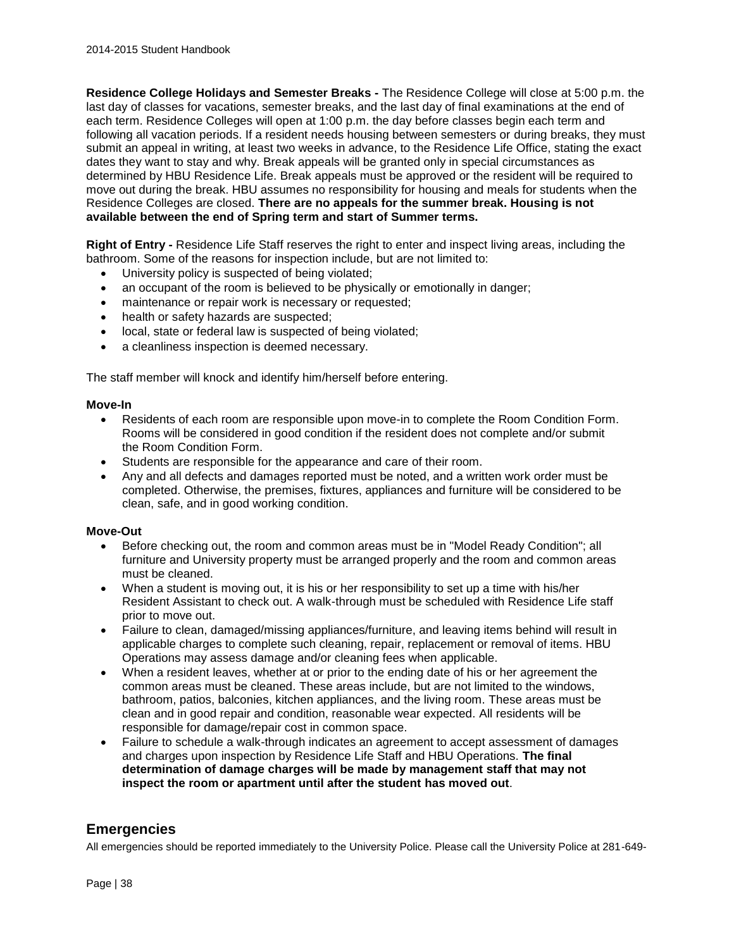**Residence College Holidays and Semester Breaks -** The Residence College will close at 5:00 p.m. the last day of classes for vacations, semester breaks, and the last day of final examinations at the end of each term. Residence Colleges will open at 1:00 p.m. the day before classes begin each term and following all vacation periods. If a resident needs housing between semesters or during breaks, they must submit an appeal in writing, at least two weeks in advance, to the Residence Life Office, stating the exact dates they want to stay and why. Break appeals will be granted only in special circumstances as determined by HBU Residence Life. Break appeals must be approved or the resident will be required to move out during the break. HBU assumes no responsibility for housing and meals for students when the Residence Colleges are closed. **There are no appeals for the summer break. Housing is not available between the end of Spring term and start of Summer terms.**

**Right of Entry -** Residence Life Staff reserves the right to enter and inspect living areas, including the bathroom. Some of the reasons for inspection include, but are not limited to:

- University policy is suspected of being violated;
- an occupant of the room is believed to be physically or emotionally in danger;
- maintenance or repair work is necessary or requested;
- health or safety hazards are suspected;
- local, state or federal law is suspected of being violated;
- a cleanliness inspection is deemed necessary.

The staff member will knock and identify him/herself before entering.

#### **Move-In**

- Residents of each room are responsible upon move-in to complete the Room Condition Form. Rooms will be considered in good condition if the resident does not complete and/or submit the Room Condition Form.
- Students are responsible for the appearance and care of their room.
- Any and all defects and damages reported must be noted, and a written work order must be completed. Otherwise, the premises, fixtures, appliances and furniture will be considered to be clean, safe, and in good working condition.

#### **Move-Out**

- Before checking out, the room and common areas must be in "Model Ready Condition"; all furniture and University property must be arranged properly and the room and common areas must be cleaned.
- When a student is moving out, it is his or her responsibility to set up a time with his/her Resident Assistant to check out. A walk-through must be scheduled with Residence Life staff prior to move out.
- Failure to clean, damaged/missing appliances/furniture, and leaving items behind will result in applicable charges to complete such cleaning, repair, replacement or removal of items. HBU Operations may assess damage and/or cleaning fees when applicable.
- When a resident leaves, whether at or prior to the ending date of his or her agreement the common areas must be cleaned. These areas include, but are not limited to the windows, bathroom, patios, balconies, kitchen appliances, and the living room. These areas must be clean and in good repair and condition, reasonable wear expected. All residents will be responsible for damage/repair cost in common space.
- Failure to schedule a walk-through indicates an agreement to accept assessment of damages and charges upon inspection by Residence Life Staff and HBU Operations. **The final determination of damage charges will be made by management staff that may not inspect the room or apartment until after the student has moved out**.

### **Emergencies**

All emergencies should be reported immediately to the University Police. Please call the University Police at 281-649-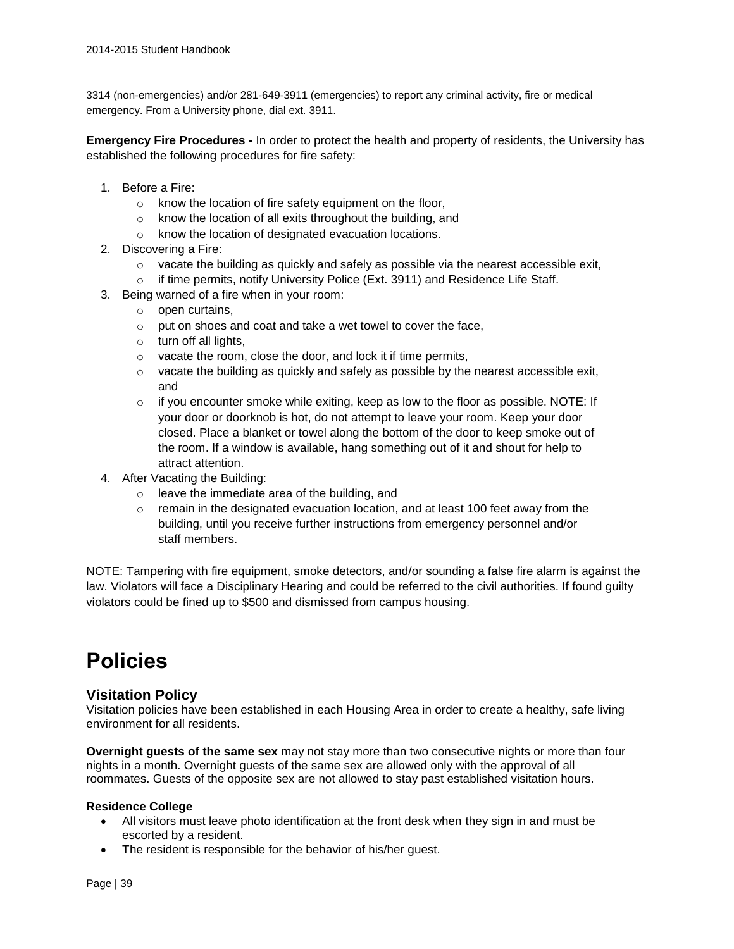3314 (non-emergencies) and/or 281-649-3911 (emergencies) to report any criminal activity, fire or medical emergency. From a University phone, dial ext. 3911.

**Emergency Fire Procedures -** In order to protect the health and property of residents, the University has established the following procedures for fire safety:

- 1. Before a Fire:
	- o know the location of fire safety equipment on the floor,
	- o know the location of all exits throughout the building, and
	- o know the location of designated evacuation locations.
- 2. Discovering a Fire:
	- $\circ$  vacate the building as quickly and safely as possible via the nearest accessible exit,
	- o if time permits, notify University Police (Ext. 3911) and Residence Life Staff.
- 3. Being warned of a fire when in your room:
	- o open curtains,
	- o put on shoes and coat and take a wet towel to cover the face,
	- o turn off all lights,
	- o vacate the room, close the door, and lock it if time permits,
	- $\circ$  vacate the building as quickly and safely as possible by the nearest accessible exit, and
	- $\circ$  if you encounter smoke while exiting, keep as low to the floor as possible. NOTE: If your door or doorknob is hot, do not attempt to leave your room. Keep your door closed. Place a blanket or towel along the bottom of the door to keep smoke out of the room. If a window is available, hang something out of it and shout for help to attract attention.
- 4. After Vacating the Building:
	- o leave the immediate area of the building, and
	- $\circ$  remain in the designated evacuation location, and at least 100 feet away from the building, until you receive further instructions from emergency personnel and/or staff members.

NOTE: Tampering with fire equipment, smoke detectors, and/or sounding a false fire alarm is against the law. Violators will face a Disciplinary Hearing and could be referred to the civil authorities. If found guilty violators could be fined up to \$500 and dismissed from campus housing.

# **Policies**

### **Visitation Policy**

Visitation policies have been established in each Housing Area in order to create a healthy, safe living environment for all residents.

**Overnight guests of the same sex** may not stay more than two consecutive nights or more than four nights in a month. Overnight guests of the same sex are allowed only with the approval of all roommates. Guests of the opposite sex are not allowed to stay past established visitation hours.

#### **Residence College**

- All visitors must leave photo identification at the front desk when they sign in and must be escorted by a resident.
- The resident is responsible for the behavior of his/her guest.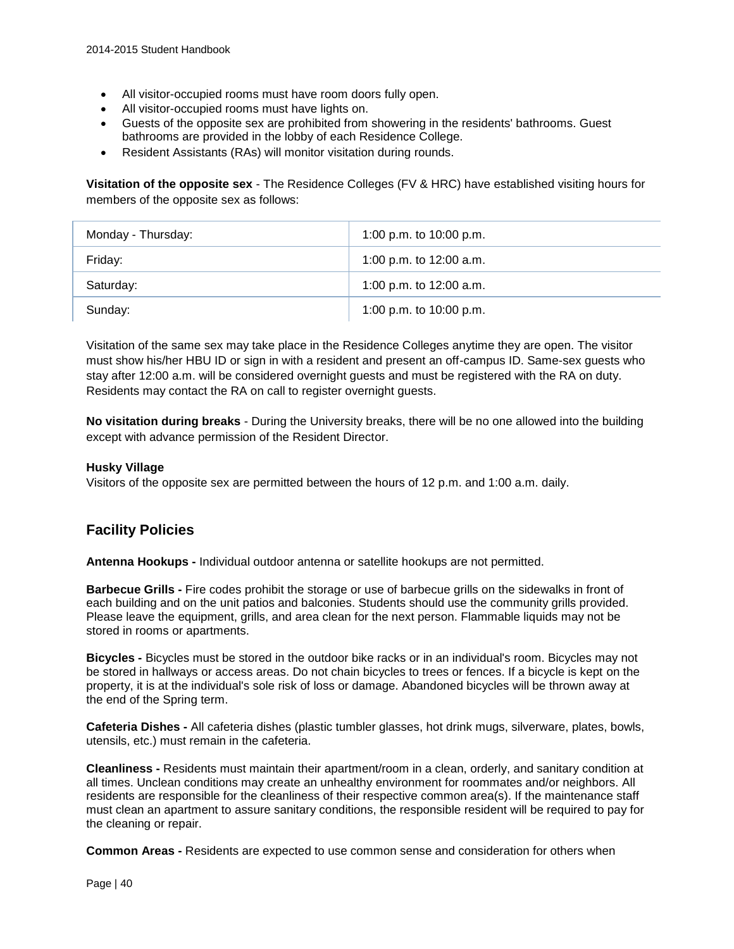- All visitor-occupied rooms must have room doors fully open.
- All visitor-occupied rooms must have lights on.
- Guests of the opposite sex are prohibited from showering in the residents' bathrooms. Guest bathrooms are provided in the lobby of each Residence College.
- Resident Assistants (RAs) will monitor visitation during rounds.

**Visitation of the opposite sex** - The Residence Colleges (FV & HRC) have established visiting hours for members of the opposite sex as follows:

| Monday - Thursday: | 1:00 p.m. to 10:00 p.m.   |
|--------------------|---------------------------|
| Friday:            | 1:00 p.m. to $12:00$ a.m. |
| Saturday:          | 1:00 p.m. to $12:00$ a.m. |
| Sunday:            | 1:00 p.m. to 10:00 p.m.   |

Visitation of the same sex may take place in the Residence Colleges anytime they are open. The visitor must show his/her HBU ID or sign in with a resident and present an off-campus ID. Same-sex guests who stay after 12:00 a.m. will be considered overnight guests and must be registered with the RA on duty. Residents may contact the RA on call to register overnight guests.

**No visitation during breaks** - During the University breaks, there will be no one allowed into the building except with advance permission of the Resident Director.

#### **Husky Village**

Visitors of the opposite sex are permitted between the hours of 12 p.m. and 1:00 a.m. daily.

# **Facility Policies**

**Antenna Hookups -** Individual outdoor antenna or satellite hookups are not permitted.

**Barbecue Grills -** Fire codes prohibit the storage or use of barbecue grills on the sidewalks in front of each building and on the unit patios and balconies. Students should use the community grills provided. Please leave the equipment, grills, and area clean for the next person. Flammable liquids may not be stored in rooms or apartments.

**Bicycles -** Bicycles must be stored in the outdoor bike racks or in an individual's room. Bicycles may not be stored in hallways or access areas. Do not chain bicycles to trees or fences. If a bicycle is kept on the property, it is at the individual's sole risk of loss or damage. Abandoned bicycles will be thrown away at the end of the Spring term.

**Cafeteria Dishes -** All cafeteria dishes (plastic tumbler glasses, hot drink mugs, silverware, plates, bowls, utensils, etc.) must remain in the cafeteria.

**Cleanliness -** Residents must maintain their apartment/room in a clean, orderly, and sanitary condition at all times. Unclean conditions may create an unhealthy environment for roommates and/or neighbors. All residents are responsible for the cleanliness of their respective common area(s). If the maintenance staff must clean an apartment to assure sanitary conditions, the responsible resident will be required to pay for the cleaning or repair.

**Common Areas -** Residents are expected to use common sense and consideration for others when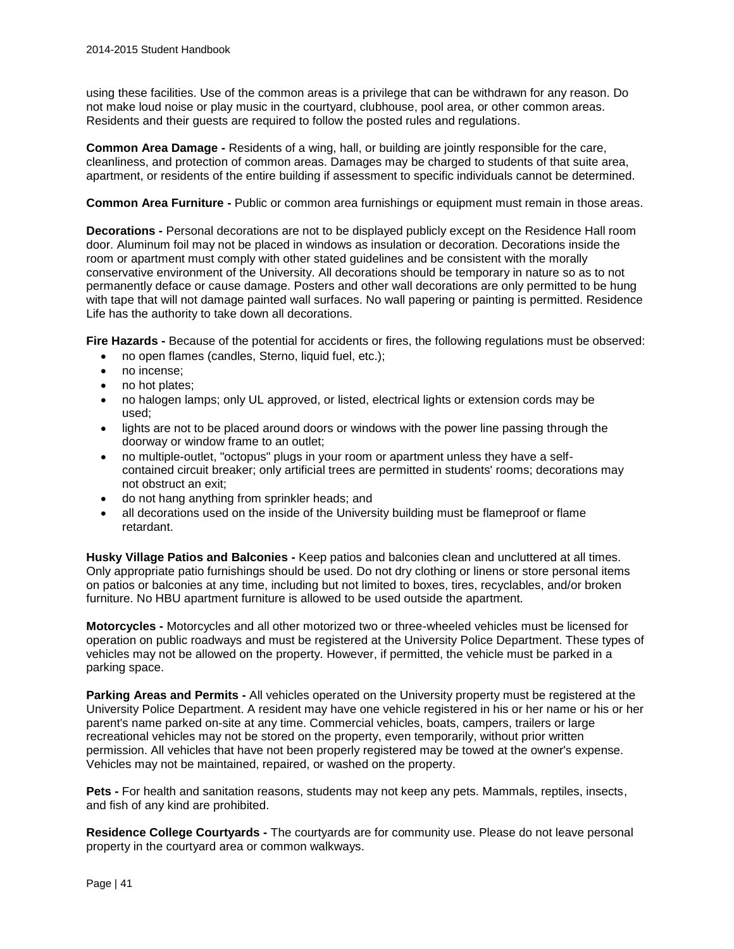using these facilities. Use of the common areas is a privilege that can be withdrawn for any reason. Do not make loud noise or play music in the courtyard, clubhouse, pool area, or other common areas. Residents and their guests are required to follow the posted rules and regulations.

**Common Area Damage -** Residents of a wing, hall, or building are jointly responsible for the care, cleanliness, and protection of common areas. Damages may be charged to students of that suite area, apartment, or residents of the entire building if assessment to specific individuals cannot be determined.

**Common Area Furniture -** Public or common area furnishings or equipment must remain in those areas.

**Decorations -** Personal decorations are not to be displayed publicly except on the Residence Hall room door. Aluminum foil may not be placed in windows as insulation or decoration. Decorations inside the room or apartment must comply with other stated guidelines and be consistent with the morally conservative environment of the University. All decorations should be temporary in nature so as to not permanently deface or cause damage. Posters and other wall decorations are only permitted to be hung with tape that will not damage painted wall surfaces. No wall papering or painting is permitted. Residence Life has the authority to take down all decorations.

**Fire Hazards -** Because of the potential for accidents or fires, the following regulations must be observed:

- no open flames (candles, Sterno, liquid fuel, etc.);
- no incense;
- no hot plates;
- no halogen lamps; only UL approved, or listed, electrical lights or extension cords may be used;
- lights are not to be placed around doors or windows with the power line passing through the doorway or window frame to an outlet;
- no multiple-outlet, "octopus" plugs in your room or apartment unless they have a selfcontained circuit breaker; only artificial trees are permitted in students' rooms; decorations may not obstruct an exit;
- do not hang anything from sprinkler heads; and
- all decorations used on the inside of the University building must be flameproof or flame retardant.

**Husky Village Patios and Balconies -** Keep patios and balconies clean and uncluttered at all times. Only appropriate patio furnishings should be used. Do not dry clothing or linens or store personal items on patios or balconies at any time, including but not limited to boxes, tires, recyclables, and/or broken furniture. No HBU apartment furniture is allowed to be used outside the apartment.

**Motorcycles -** Motorcycles and all other motorized two or three-wheeled vehicles must be licensed for operation on public roadways and must be registered at the University Police Department. These types of vehicles may not be allowed on the property. However, if permitted, the vehicle must be parked in a parking space.

**Parking Areas and Permits -** All vehicles operated on the University property must be registered at the University Police Department. A resident may have one vehicle registered in his or her name or his or her parent's name parked on-site at any time. Commercial vehicles, boats, campers, trailers or large recreational vehicles may not be stored on the property, even temporarily, without prior written permission. All vehicles that have not been properly registered may be towed at the owner's expense. Vehicles may not be maintained, repaired, or washed on the property.

**Pets -** For health and sanitation reasons, students may not keep any pets. Mammals, reptiles, insects, and fish of any kind are prohibited.

**Residence College Courtyards -** The courtyards are for community use. Please do not leave personal property in the courtyard area or common walkways.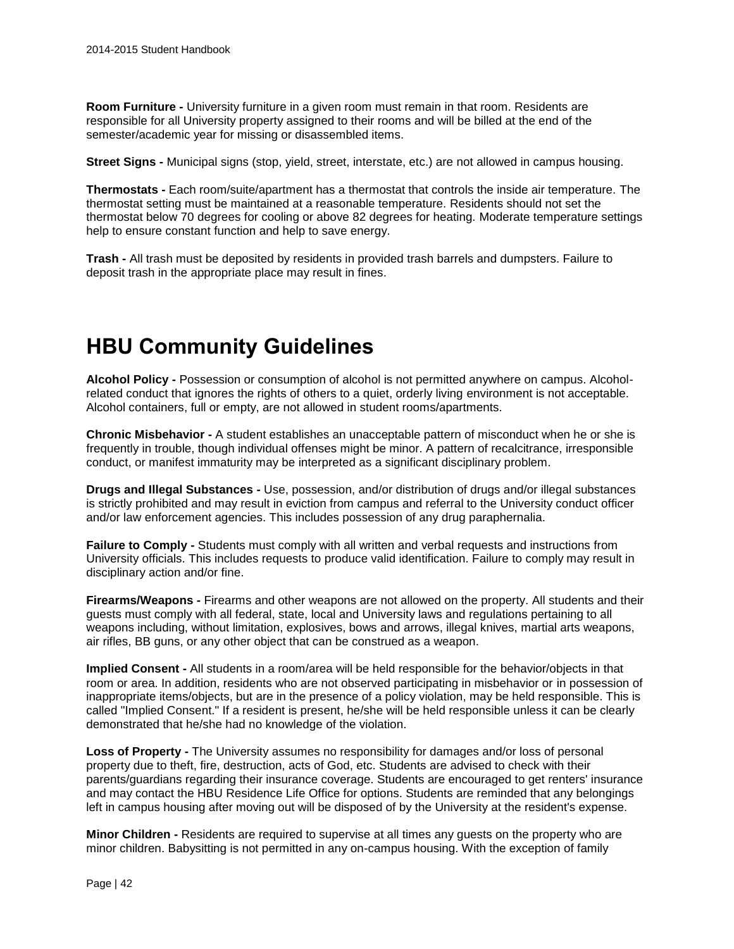**Room Furniture -** University furniture in a given room must remain in that room. Residents are responsible for all University property assigned to their rooms and will be billed at the end of the semester/academic year for missing or disassembled items.

**Street Signs -** Municipal signs (stop, yield, street, interstate, etc.) are not allowed in campus housing.

**Thermostats -** Each room/suite/apartment has a thermostat that controls the inside air temperature. The thermostat setting must be maintained at a reasonable temperature. Residents should not set the thermostat below 70 degrees for cooling or above 82 degrees for heating. Moderate temperature settings help to ensure constant function and help to save energy.

**Trash -** All trash must be deposited by residents in provided trash barrels and dumpsters. Failure to deposit trash in the appropriate place may result in fines.

# **HBU Community Guidelines**

**Alcohol Policy -** Possession or consumption of alcohol is not permitted anywhere on campus. Alcoholrelated conduct that ignores the rights of others to a quiet, orderly living environment is not acceptable. Alcohol containers, full or empty, are not allowed in student rooms/apartments.

**Chronic Misbehavior -** A student establishes an unacceptable pattern of misconduct when he or she is frequently in trouble, though individual offenses might be minor. A pattern of recalcitrance, irresponsible conduct, or manifest immaturity may be interpreted as a significant disciplinary problem.

**Drugs and Illegal Substances -** Use, possession, and/or distribution of drugs and/or illegal substances is strictly prohibited and may result in eviction from campus and referral to the University conduct officer and/or law enforcement agencies. This includes possession of any drug paraphernalia.

**Failure to Comply -** Students must comply with all written and verbal requests and instructions from University officials. This includes requests to produce valid identification. Failure to comply may result in disciplinary action and/or fine.

**Firearms/Weapons -** Firearms and other weapons are not allowed on the property. All students and their guests must comply with all federal, state, local and University laws and regulations pertaining to all weapons including, without limitation, explosives, bows and arrows, illegal knives, martial arts weapons, air rifles, BB guns, or any other object that can be construed as a weapon.

**Implied Consent -** All students in a room/area will be held responsible for the behavior/objects in that room or area. In addition, residents who are not observed participating in misbehavior or in possession of inappropriate items/objects, but are in the presence of a policy violation, may be held responsible. This is called "Implied Consent." If a resident is present, he/she will be held responsible unless it can be clearly demonstrated that he/she had no knowledge of the violation.

**Loss of Property -** The University assumes no responsibility for damages and/or loss of personal property due to theft, fire, destruction, acts of God, etc. Students are advised to check with their parents/guardians regarding their insurance coverage. Students are encouraged to get renters' insurance and may contact the HBU Residence Life Office for options. Students are reminded that any belongings left in campus housing after moving out will be disposed of by the University at the resident's expense.

**Minor Children -** Residents are required to supervise at all times any guests on the property who are minor children. Babysitting is not permitted in any on-campus housing. With the exception of family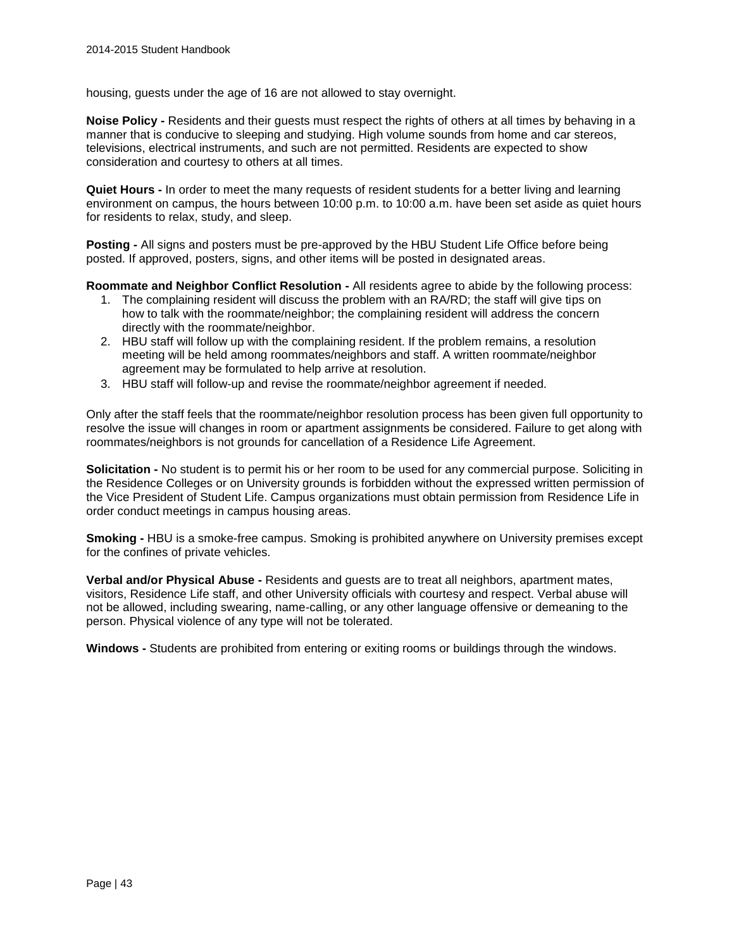housing, guests under the age of 16 are not allowed to stay overnight.

**Noise Policy -** Residents and their guests must respect the rights of others at all times by behaving in a manner that is conducive to sleeping and studying. High volume sounds from home and car stereos, televisions, electrical instruments, and such are not permitted. Residents are expected to show consideration and courtesy to others at all times.

**Quiet Hours -** In order to meet the many requests of resident students for a better living and learning environment on campus, the hours between 10:00 p.m. to 10:00 a.m. have been set aside as quiet hours for residents to relax, study, and sleep.

**Posting -** All signs and posters must be pre-approved by the HBU Student Life Office before being posted. If approved, posters, signs, and other items will be posted in designated areas.

**Roommate and Neighbor Conflict Resolution -** All residents agree to abide by the following process:

- 1. The complaining resident will discuss the problem with an RA/RD; the staff will give tips on how to talk with the roommate/neighbor; the complaining resident will address the concern directly with the roommate/neighbor.
- 2. HBU staff will follow up with the complaining resident. If the problem remains, a resolution meeting will be held among roommates/neighbors and staff. A written roommate/neighbor agreement may be formulated to help arrive at resolution.
- 3. HBU staff will follow-up and revise the roommate/neighbor agreement if needed.

Only after the staff feels that the roommate/neighbor resolution process has been given full opportunity to resolve the issue will changes in room or apartment assignments be considered. Failure to get along with roommates/neighbors is not grounds for cancellation of a Residence Life Agreement.

**Solicitation -** No student is to permit his or her room to be used for any commercial purpose. Soliciting in the Residence Colleges or on University grounds is forbidden without the expressed written permission of the Vice President of Student Life. Campus organizations must obtain permission from Residence Life in order conduct meetings in campus housing areas.

**Smoking -** HBU is a smoke-free campus. Smoking is prohibited anywhere on University premises except for the confines of private vehicles.

**Verbal and/or Physical Abuse -** Residents and guests are to treat all neighbors, apartment mates, visitors, Residence Life staff, and other University officials with courtesy and respect. Verbal abuse will not be allowed, including swearing, name-calling, or any other language offensive or demeaning to the person. Physical violence of any type will not be tolerated.

**Windows -** Students are prohibited from entering or exiting rooms or buildings through the windows.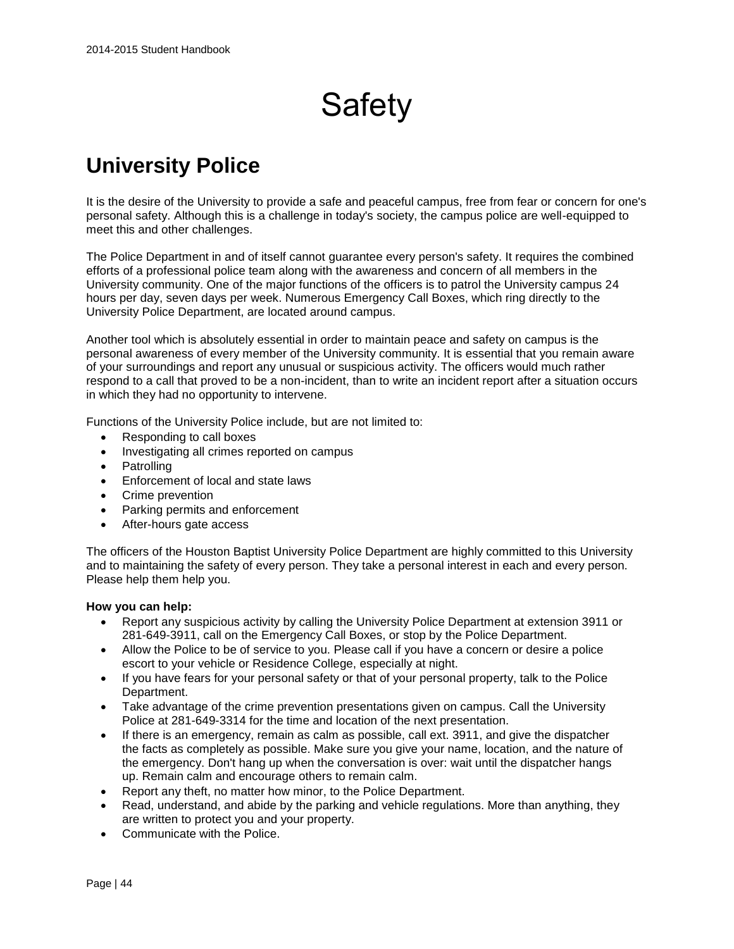# **Safety**

# **University Police**

It is the desire of the University to provide a safe and peaceful campus, free from fear or concern for one's personal safety. Although this is a challenge in today's society, the campus police are well-equipped to meet this and other challenges.

The Police Department in and of itself cannot guarantee every person's safety. It requires the combined efforts of a professional police team along with the awareness and concern of all members in the University community. One of the major functions of the officers is to patrol the University campus 24 hours per day, seven days per week. Numerous Emergency Call Boxes, which ring directly to the University Police Department, are located around campus.

Another tool which is absolutely essential in order to maintain peace and safety on campus is the personal awareness of every member of the University community. It is essential that you remain aware of your surroundings and report any unusual or suspicious activity. The officers would much rather respond to a call that proved to be a non-incident, than to write an incident report after a situation occurs in which they had no opportunity to intervene.

Functions of the University Police include, but are not limited to:

- Responding to call boxes
- Investigating all crimes reported on campus
- Patrolling
- Enforcement of local and state laws
- Crime prevention
- Parking permits and enforcement
- After-hours gate access

The officers of the Houston Baptist University Police Department are highly committed to this University and to maintaining the safety of every person. They take a personal interest in each and every person. Please help them help you.

#### **How you can help:**

- Report any suspicious activity by calling the University Police Department at extension 3911 or 281-649-3911, call on the Emergency Call Boxes, or stop by the Police Department.
- Allow the Police to be of service to you. Please call if you have a concern or desire a police escort to your vehicle or Residence College, especially at night.
- If you have fears for your personal safety or that of your personal property, talk to the Police Department.
- Take advantage of the crime prevention presentations given on campus. Call the University Police at 281-649-3314 for the time and location of the next presentation.
- If there is an emergency, remain as calm as possible, call ext. 3911, and give the dispatcher the facts as completely as possible. Make sure you give your name, location, and the nature of the emergency. Don't hang up when the conversation is over: wait until the dispatcher hangs up. Remain calm and encourage others to remain calm.
- Report any theft, no matter how minor, to the Police Department.
- Read, understand, and abide by the parking and vehicle regulations. More than anything, they are written to protect you and your property.
- Communicate with the Police.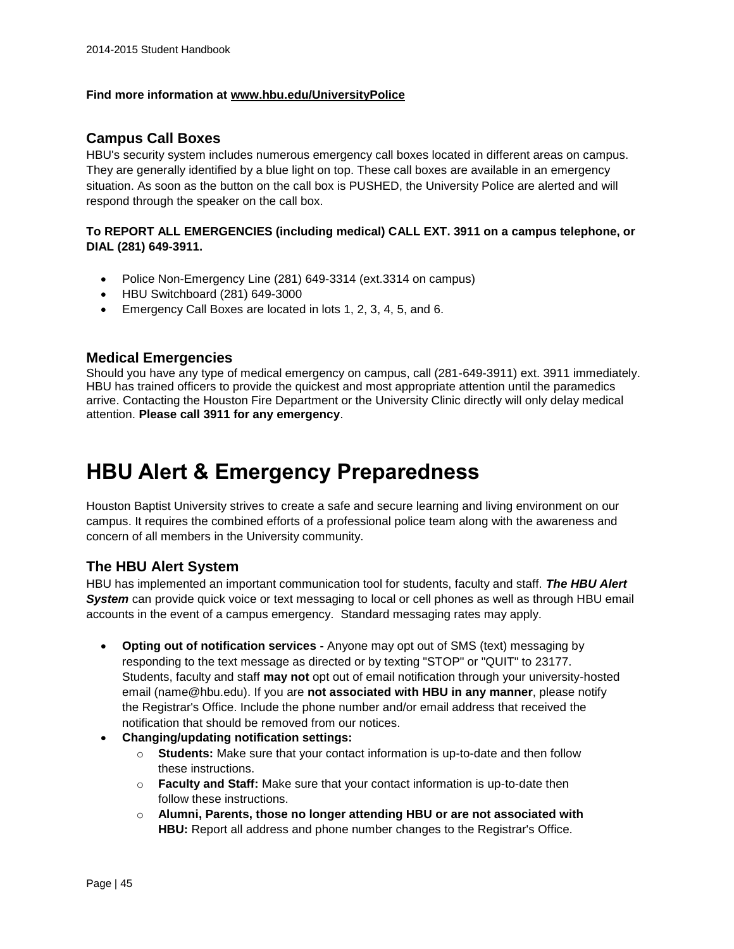#### **Find more information at [www.hbu.edu/UniversityPolice](http://www.hbu.edu/UniversityPolice)**

#### **Campus Call Boxes**

HBU's security system includes numerous emergency call boxes located in different areas on campus. They are generally identified by a blue light on top. These call boxes are available in an emergency situation. As soon as the button on the call box is PUSHED, the University Police are alerted and will respond through the speaker on the call box.

#### **To REPORT ALL EMERGENCIES (including medical) CALL EXT. 3911 on a campus telephone, or DIAL (281) 649-3911.**

- Police Non-Emergency Line (281) 649-3314 (ext.3314 on campus)
- HBU Switchboard (281) 649-3000
- Emergency Call Boxes are located in lots 1, 2, 3, 4, 5, and 6.

#### **Medical Emergencies**

Should you have any type of medical emergency on campus, call (281-649-3911) ext. 3911 immediately. HBU has trained officers to provide the quickest and most appropriate attention until the paramedics arrive. Contacting the Houston Fire Department or the University Clinic directly will only delay medical attention. **Please call 3911 for any emergency**.

# **HBU Alert & Emergency Preparedness**

Houston Baptist University strives to create a safe and secure learning and living environment on our campus. It requires the combined efforts of a professional police team along with the awareness and concern of all members in the University community.

# **The HBU Alert System**

HBU has implemented an important communication tool for students, faculty and staff. *The HBU Alert System* can provide quick voice or text messaging to local or cell phones as well as through HBU email accounts in the event of a campus emergency. Standard messaging rates may apply.

- **Opting out of notification services -** Anyone may opt out of SMS (text) messaging by responding to the text message as directed or by texting "STOP" or "QUIT" to 23177. Students, faculty and staff **may not** opt out of email notification through your university-hosted email (name@hbu.edu). If you are **not associated with HBU in any manner**, please notify the Registrar's Office. Include the phone number and/or email address that received the notification that should be removed from our notices.
- **Changing/updating notification settings:**
	- o **Students:** Make sure that your contact information is up-to-date and then follow these instructions.
	- o **Faculty and Staff:** Make sure that your contact information is up-to-date then follow these instructions.
	- o **Alumni, Parents, those no longer attending HBU or are not associated with HBU:** Report all address and phone number changes to the Registrar's Office.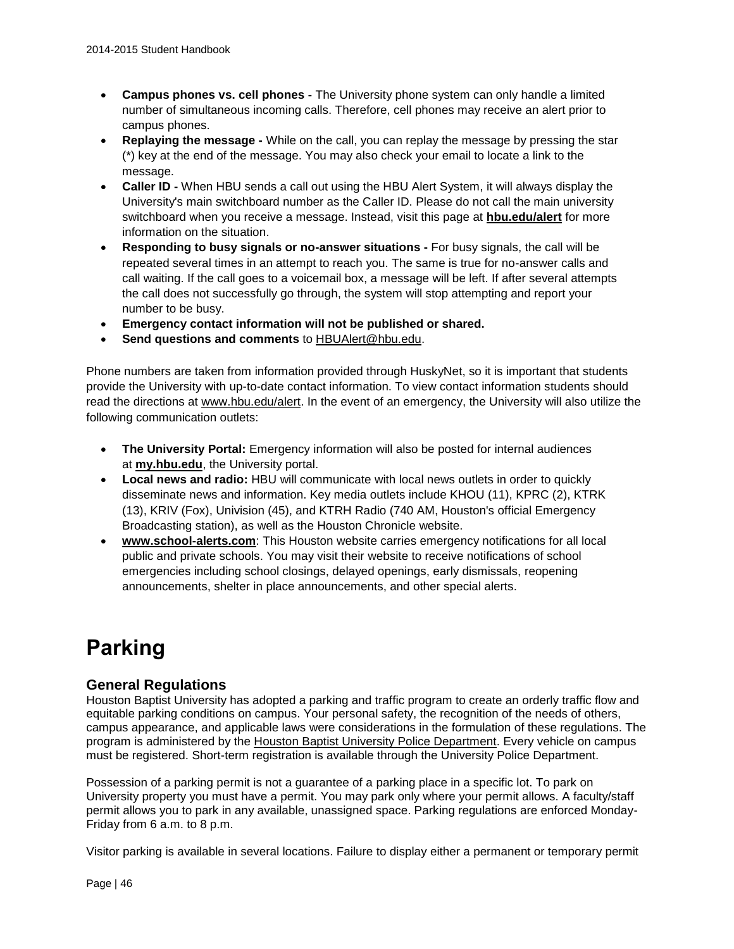- **Campus phones vs. cell phones -** The University phone system can only handle a limited number of simultaneous incoming calls. Therefore, cell phones may receive an alert prior to campus phones.
- **Replaying the message -** While on the call, you can replay the message by pressing the star (\*) key at the end of the message. You may also check your email to locate a link to the message.
- **Caller ID -** When HBU sends a call out using the HBU Alert System, it will always display the University's main switchboard number as the Caller ID. Please do not call the main university switchboard when you receive a message. Instead, visit this page at **[hbu.edu/alert](http://hbu.edu/alert)** for more information on the situation.
- **Responding to busy signals or no-answer situations -** For busy signals, the call will be repeated several times in an attempt to reach you. The same is true for no-answer calls and call waiting. If the call goes to a voicemail box, a message will be left. If after several attempts the call does not successfully go through, the system will stop attempting and report your number to be busy.
- **Emergency contact information will not be published or shared.**
- **Send questions and comments** to [HBUAlert@hbu.edu.](mailto:HBUAlert@hbu.edu)

Phone numbers are taken from information provided through HuskyNet, so it is important that students provide the University with up-to-date contact information. To view contact information students should read the directions at [www.hbu.edu/alert.](http://www.hbu.edu/alert) In the event of an emergency, the University will also utilize the following communication outlets:

- **The University Portal:** Emergency information will also be posted for internal audiences at **[my.hbu.edu](http://my.hbu.edu/)**, the University portal.
- **Local news and radio:** HBU will communicate with local news outlets in order to quickly disseminate news and information. Key media outlets include KHOU (11), KPRC (2), KTRK (13), KRIV (Fox), Univision (45), and KTRH Radio (740 AM, Houston's official Emergency Broadcasting station), as well as the Houston Chronicle website.
- **[www.school-alerts.com](http://www.school-alerts.com/)**: This Houston website carries emergency notifications for all local public and private schools. You may visit their website to receive notifications of school emergencies including school closings, delayed openings, early dismissals, reopening announcements, shelter in place announcements, and other special alerts.

# **Parking**

# **General Regulations**

Houston Baptist University has adopted a parking and traffic program to create an orderly traffic flow and equitable parking conditions on campus. Your personal safety, the recognition of the needs of others, campus appearance, and applicable laws were considerations in the formulation of these regulations. The program is administered by the [Houston Baptist University Police Department.](http://www.hbu.edu/About-HBU/The-Campus/Police-Parking) Every vehicle on campus must be registered. Short-term registration is available through the University Police Department.

Possession of a parking permit is not a guarantee of a parking place in a specific lot. To park on University property you must have a permit. You may park only where your permit allows. A faculty/staff permit allows you to park in any available, unassigned space. Parking regulations are enforced Monday-Friday from 6 a.m. to 8 p.m.

Visitor parking is available in several locations. Failure to display either a permanent or temporary permit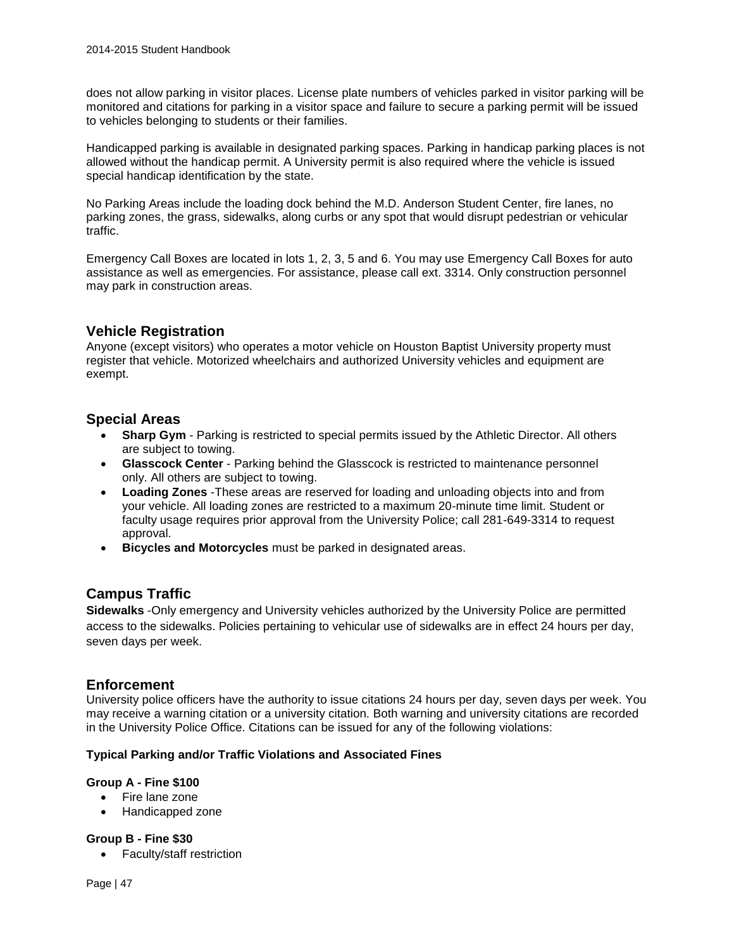does not allow parking in visitor places. License plate numbers of vehicles parked in visitor parking will be monitored and citations for parking in a visitor space and failure to secure a parking permit will be issued to vehicles belonging to students or their families.

Handicapped parking is available in designated parking spaces. Parking in handicap parking places is not allowed without the handicap permit. A University permit is also required where the vehicle is issued special handicap identification by the state.

No Parking Areas include the loading dock behind the M.D. Anderson Student Center, fire lanes, no parking zones, the grass, sidewalks, along curbs or any spot that would disrupt pedestrian or vehicular traffic.

Emergency Call Boxes are located in lots 1, 2, 3, 5 and 6. You may use Emergency Call Boxes for auto assistance as well as emergencies. For assistance, please call ext. 3314. Only construction personnel may park in construction areas.

# **Vehicle Registration**

Anyone (except visitors) who operates a motor vehicle on Houston Baptist University property must register that vehicle. Motorized wheelchairs and authorized University vehicles and equipment are exempt.

# **Special Areas**

- **Sharp Gym** Parking is restricted to special permits issued by the Athletic Director. All others are subject to towing.
- **Glasscock Center** Parking behind the Glasscock is restricted to maintenance personnel only. All others are subject to towing.
- **Loading Zones** -These areas are reserved for loading and unloading objects into and from your vehicle. All loading zones are restricted to a maximum 20-minute time limit. Student or faculty usage requires prior approval from the University Police; call 281-649-3314 to request approval.
- **Bicycles and Motorcycles** must be parked in designated areas.

### **Campus Traffic**

**Sidewalks** -Only emergency and University vehicles authorized by the University Police are permitted access to the sidewalks. Policies pertaining to vehicular use of sidewalks are in effect 24 hours per day, seven days per week.

### **Enforcement**

University police officers have the authority to issue citations 24 hours per day, seven days per week. You may receive a warning citation or a university citation. Both warning and university citations are recorded in the University Police Office. Citations can be issued for any of the following violations:

#### **Typical Parking and/or Traffic Violations and Associated Fines**

#### **Group A - Fine \$100**

- Fire lane zone
- Handicapped zone

#### **Group B - Fine \$30**

• Faculty/staff restriction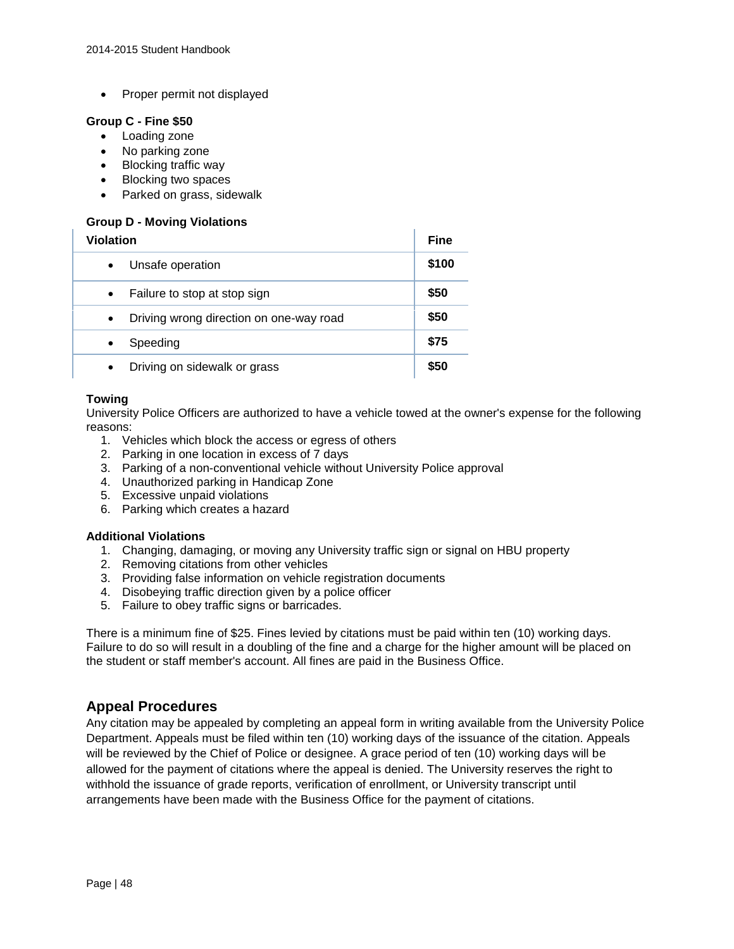• Proper permit not displayed

#### **Group C - Fine \$50**

- Loading zone
- No parking zone
- Blocking traffic way
- Blocking two spaces
- Parked on grass, sidewalk

#### **Group D - Moving Violations**

| <b>Violation</b>                        |       |
|-----------------------------------------|-------|
| Unsafe operation                        | \$100 |
| Failure to stop at stop sign            | \$50  |
| Driving wrong direction on one-way road | \$50  |
| Speeding<br>$\bullet$                   | \$75  |
| Driving on sidewalk or grass            | \$50  |

#### **Towing**

University Police Officers are authorized to have a vehicle towed at the owner's expense for the following reasons:

- 1. Vehicles which block the access or egress of others
- 2. Parking in one location in excess of 7 days
- 3. Parking of a non-conventional vehicle without University Police approval
- 4. Unauthorized parking in Handicap Zone
- 5. Excessive unpaid violations
- 6. Parking which creates a hazard

#### **Additional Violations**

- 1. Changing, damaging, or moving any University traffic sign or signal on HBU property
- 2. Removing citations from other vehicles
- 3. Providing false information on vehicle registration documents
- 4. Disobeying traffic direction given by a police officer
- 5. Failure to obey traffic signs or barricades.

There is a minimum fine of \$25. Fines levied by citations must be paid within ten (10) working days. Failure to do so will result in a doubling of the fine and a charge for the higher amount will be placed on the student or staff member's account. All fines are paid in the Business Office.

# **Appeal Procedures**

Any citation may be appealed by completing an appeal form in writing available from the University Police Department. Appeals must be filed within ten (10) working days of the issuance of the citation. Appeals will be reviewed by the Chief of Police or designee. A grace period of ten (10) working days will be allowed for the payment of citations where the appeal is denied. The University reserves the right to withhold the issuance of grade reports, verification of enrollment, or University transcript until arrangements have been made with the Business Office for the payment of citations.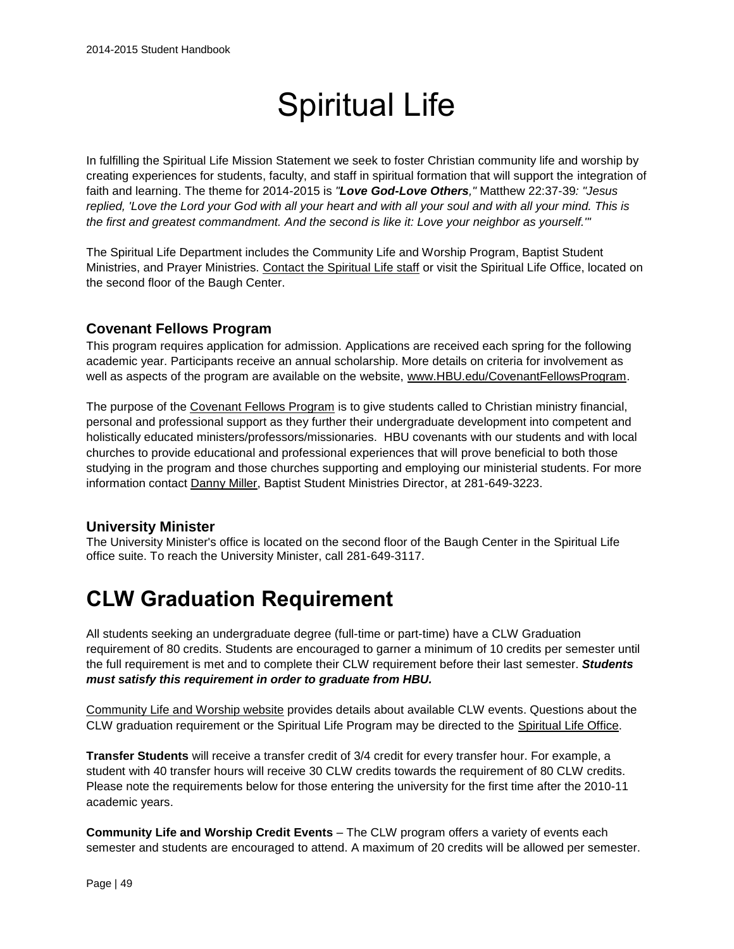# Spiritual Life

In fulfilling the Spiritual Life Mission Statement we seek to foster Christian community life and worship by creating experiences for students, faculty, and staff in spiritual formation that will support the integration of faith and learning. The theme for 2014-2015 is *"Love God-Love Others,"* Matthew 22:37-39*: "Jesus replied, 'Love the Lord your God with all your heart and with all your soul and with all your mind. This is the first and greatest commandment. And the second is like it: Love your neighbor as yourself.'"*

The Spiritual Life Department includes the Community Life and Worship Program, Baptist Student Ministries, and Prayer Ministries. [Contact the Spiritual Life staff](https://www.hbu.edu/Students-Alumni/Student-Information/Spiritual-Life/Spiritual-Life-Department/Contact-Us.aspx) or visit the Spiritual Life Office, located on the second floor of the Baugh Center.

# **Covenant Fellows Program**

This program requires application for admission. Applications are received each spring for the following academic year. Participants receive an annual scholarship. More details on criteria for involvement as well as aspects of the program are available on the website, [www.HBU.edu/CovenantFellowsProgram.](https://www.hbu.edu/CovenantFellowsProgram)

The purpose of the [Covenant Fellows Program](http://www.hbu.edu/CovenantFellowsProgram) is to give students called to Christian ministry financial, personal and professional support as they further their undergraduate development into competent and holistically educated ministers/professors/missionaries. HBU covenants with our students and with local churches to provide educational and professional experiences that will prove beneficial to both those studying in the program and those churches supporting and employing our ministerial students. For more information contact [Danny Miller,](mailto:dmiller@hbu.edu) Baptist Student Ministries Director, at 281-649-3223.

# **University Minister**

The University Minister's office is located on the second floor of the Baugh Center in the Spiritual Life office suite. To reach the University Minister, call 281-649-3117.

# **CLW Graduation Requirement**

All students seeking an undergraduate degree (full-time or part-time) have a CLW Graduation requirement of 80 credits. Students are encouraged to garner a minimum of 10 credits per semester until the full requirement is met and to complete their CLW requirement before their last semester. *Students must satisfy this requirement in order to graduate from HBU.*

[Community Life and Worship website](https://hbu.edu/Students-Alumni/Student-Information/Spiritual-Life/Community-Life-and-Worship.aspx) provides details about available CLW events. Questions about the CLW graduation requirement or the Spiritual Life Program may be directed to the [Spiritual Life Office.](https://www.hbu.edu/Students-Alumni/Student-Information/Spiritual-Life/Spiritual-Life-Department/Contact-Us.aspx)

**Transfer Students** will receive a transfer credit of 3/4 credit for every transfer hour. For example, a student with 40 transfer hours will receive 30 CLW credits towards the requirement of 80 CLW credits. Please note the requirements below for those entering the university for the first time after the 2010-11 academic years.

**Community Life and Worship Credit Events** – The CLW program offers a variety of events each semester and students are encouraged to attend. A maximum of 20 credits will be allowed per semester.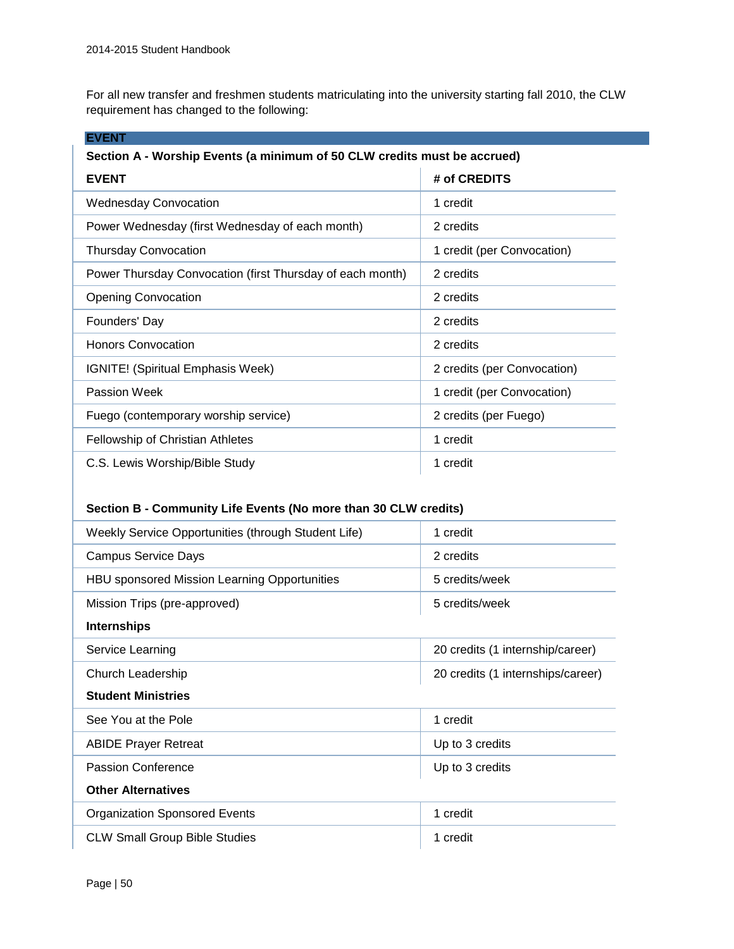For all new transfer and freshmen students matriculating into the university starting fall 2010, the CLW requirement has changed to the following:

| <b>EVENT</b>                                                             |                             |  |
|--------------------------------------------------------------------------|-----------------------------|--|
| Section A - Worship Events (a minimum of 50 CLW credits must be accrued) |                             |  |
| <b>EVENT</b>                                                             | # of CREDITS                |  |
| <b>Wednesday Convocation</b>                                             | 1 credit                    |  |
| Power Wednesday (first Wednesday of each month)                          | 2 credits                   |  |
| <b>Thursday Convocation</b>                                              | 1 credit (per Convocation)  |  |
| Power Thursday Convocation (first Thursday of each month)                | 2 credits                   |  |
| <b>Opening Convocation</b>                                               | 2 credits                   |  |
| Founders' Day                                                            | 2 credits                   |  |
| <b>Honors Convocation</b>                                                | 2 credits                   |  |
| IGNITE! (Spiritual Emphasis Week)                                        | 2 credits (per Convocation) |  |
| Passion Week                                                             | 1 credit (per Convocation)  |  |
| Fuego (contemporary worship service)                                     | 2 credits (per Fuego)       |  |
| <b>Fellowship of Christian Athletes</b>                                  | 1 credit                    |  |
| C.S. Lewis Worship/Bible Study                                           | 1 credit                    |  |

#### **Section B - Community Life Events (No more than 30 CLW credits)**

| Weekly Service Opportunities (through Student Life) | 1 credit                          |  |
|-----------------------------------------------------|-----------------------------------|--|
| <b>Campus Service Days</b>                          | 2 credits                         |  |
| HBU sponsored Mission Learning Opportunities        | 5 credits/week                    |  |
| Mission Trips (pre-approved)                        | 5 credits/week                    |  |
| <b>Internships</b>                                  |                                   |  |
| Service Learning                                    | 20 credits (1 internship/career)  |  |
| Church Leadership                                   | 20 credits (1 internships/career) |  |
| <b>Student Ministries</b>                           |                                   |  |
| See You at the Pole                                 | 1 credit                          |  |
| <b>ABIDE Prayer Retreat</b>                         | Up to 3 credits                   |  |
| Passion Conference                                  | Up to 3 credits                   |  |
| <b>Other Alternatives</b>                           |                                   |  |
| <b>Organization Sponsored Events</b>                | 1 credit                          |  |
| <b>CLW Small Group Bible Studies</b>                | 1 credit                          |  |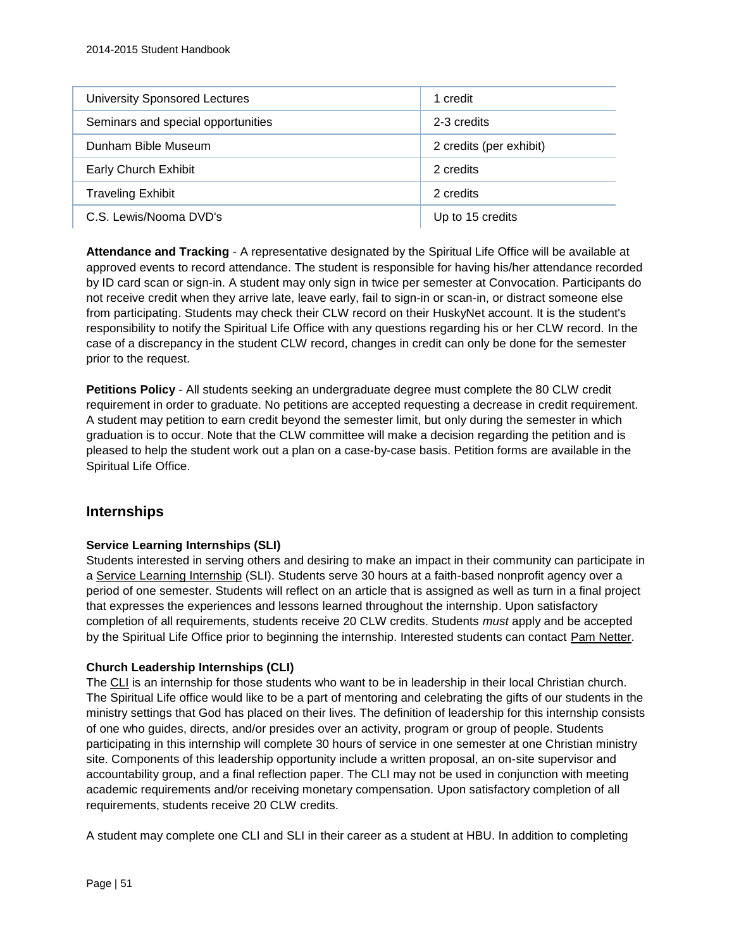| <b>University Sponsored Lectures</b> | 1 credit                |
|--------------------------------------|-------------------------|
| Seminars and special opportunities   | 2-3 credits             |
| Dunham Bible Museum                  | 2 credits (per exhibit) |
| Early Church Exhibit                 | 2 credits               |
| <b>Traveling Exhibit</b>             | 2 credits               |
| C.S. Lewis/Nooma DVD's               | Up to 15 credits        |

**Attendance and Tracking** - A representative designated by the Spiritual Life Office will be available at approved events to record attendance. The student is responsible for having his/her attendance recorded by ID card scan or sign-in. A student may only sign in twice per semester at Convocation. Participants do not receive credit when they arrive late, leave early, fail to sign-in or scan-in, or distract someone else from participating. Students may check their CLW record on their HuskyNet account. It is the student's responsibility to notify the Spiritual Life Office with any questions regarding his or her CLW record. In the case of a discrepancy in the student CLW record, changes in credit can only be done for the semester prior to the request.

**Petitions Policy** - All students seeking an undergraduate degree must complete the 80 CLW credit requirement in order to graduate. No petitions are accepted requesting a decrease in credit requirement. A student may petition to earn credit beyond the semester limit, but only during the semester in which graduation is to occur. Note that the CLW committee will make a decision regarding the petition and is pleased to help the student work out a plan on a case-by-case basis. Petition forms are available in the Spiritual Life Office.

### **Internships**

#### **Service Learning Internships (SLI)**

Students interested in serving others and desiring to make an impact in their community can participate in a [Service Learning Internship](https://hbu.edu/Students-Alumni/Student-Information/Spiritual-Life/Community-Life-and-Worship/Ministry-Opportunities/Service-Learning-Internship.aspx) (SLI). Students serve 30 hours at a faith-based nonprofit agency over a period of one semester. Students will reflect on an article that is assigned as well as turn in a final project that expresses the experiences and lessons learned throughout the internship. Upon satisfactory completion of all requirements, students receive 20 CLW credits. Students *must* apply and be accepted by the Spiritual Life Office prior to beginning the internship. Interested students can contact [Pam Netter.](mailto:pnetter@hbu.edu)

#### **Church Leadership Internships (CLI)**

The [CLI](https://hbu.edu/Students-Alumni/Student-Information/Spiritual-Life/Community-Life-and-Worship/Ministry-Opportunities/Church-Leadership-Internships.aspx) is an internship for those students who want to be in leadership in their local Christian church. The Spiritual Life office would like to be a part of mentoring and celebrating the gifts of our students in the ministry settings that God has placed on their lives. The definition of leadership for this internship consists of one who guides, directs, and/or presides over an activity, program or group of people. Students participating in this internship will complete 30 hours of service in one semester at one Christian ministry site. Components of this leadership opportunity include a written proposal, an on-site supervisor and accountability group, and a final reflection paper. The CLI may not be used in conjunction with meeting academic requirements and/or receiving monetary compensation. Upon satisfactory completion of all requirements, students receive 20 CLW credits.

A student may complete one CLI and SLI in their career as a student at HBU. In addition to completing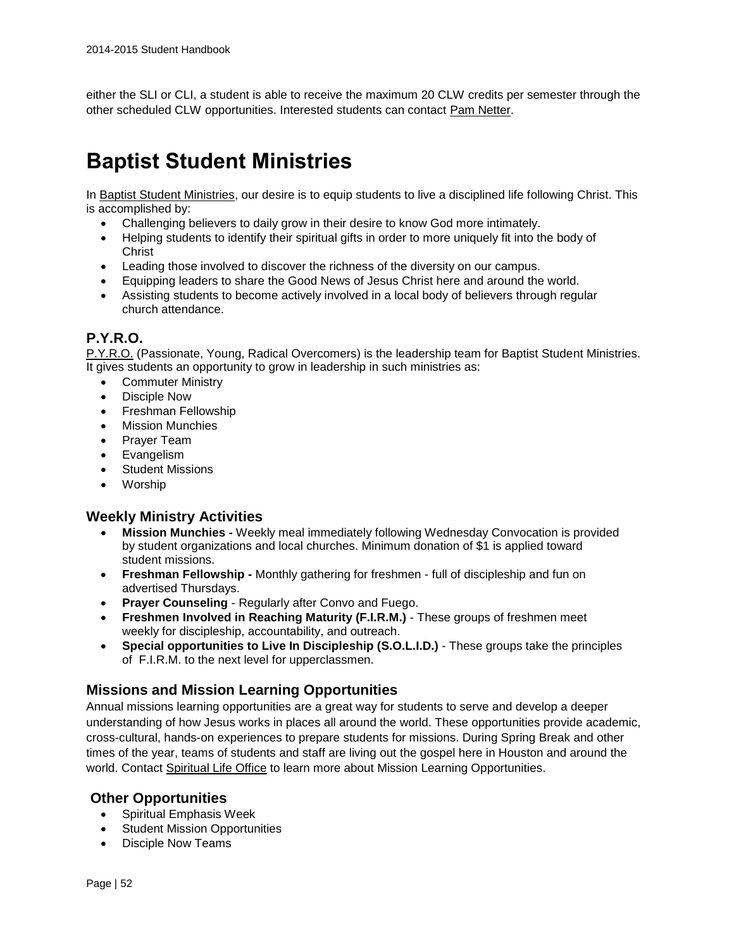either the SLI or CLI, a student is able to receive the maximum 20 CLW credits per semester through the other scheduled CLW opportunities. Interested students can contact [Pam Netter.](mailto:pnetter@hbu.edu)

# **Baptist Student Ministries**

In [Baptist Student Ministries,](https://hbu.edu/Students-Alumni/Student-Life/Spiritual-Life/Community-Life-and-Worship/Ministry-Opportunities/Baptist-Student-Ministries.aspx) our desire is to equip students to live a disciplined life following Christ. This is accomplished by:

- Challenging believers to daily grow in their desire to know God more intimately.
- Helping students to identify their spiritual gifts in order to more uniquely fit into the body of Christ
- Leading those involved to discover the richness of the diversity on our campus.
- Equipping leaders to share the Good News of Jesus Christ here and around the world.
- Assisting students to become actively involved in a local body of believers through regular church attendance.

## **P.Y.R.O.**

[P.Y.R.O.](http://www.hbu.edu/Students-Alumni/Student-Life/Spiritual-Life/Community-Life-and-Worship/Ministry-Opportunities/LeadershipTeam-PYRO.aspx) (Passionate, Young, Radical Overcomers) is the leadership team for Baptist Student Ministries. It gives students an opportunity to grow in leadership in such ministries as:

- Commuter Ministry
- Disciple Now
- Freshman Fellowship
- **•** Mission Munchies
- Praver Team
- Evangelism
- Student Missions
- Worship

#### **Weekly Ministry Activities**

- **Mission Munchies -** Weekly meal immediately following Wednesday Convocation is provided by student organizations and local churches. Minimum donation of \$1 is applied toward student missions.
- **Freshman Fellowship -** Monthly gathering for freshmen full of discipleship and fun on advertised Thursdays.
- **Prayer Counseling** Regularly after Convo and Fuego.
- **Freshmen Involved in Reaching Maturity (F.I.R.M.)** These groups of freshmen meet weekly for discipleship, accountability, and outreach.
- **Special opportunities to Live In Discipleship (S.O.L.I.D.)** These groups take the principles of F.I.R.M. to the next level for upperclassmen.

### **Missions and Mission Learning Opportunities**

Annual missions learning opportunities are a great way for students to serve and develop a deeper understanding of how Jesus works in places all around the world. These opportunities provide academic, cross-cultural, hands-on experiences to prepare students for missions. During Spring Break and other times of the year, teams of students and staff are living out the gospel here in Houston and around the world. Contact [Spiritual Life Office](https://www.hbu.edu/Students-Alumni/Student-Information/Spiritual-Life/Spiritual-Life-Department/Contact-Us.aspx) to learn more about Mission Learning Opportunities.

### **Other Opportunities**

- Spiritual Emphasis Week
- Student Mission Opportunities
- Disciple Now Teams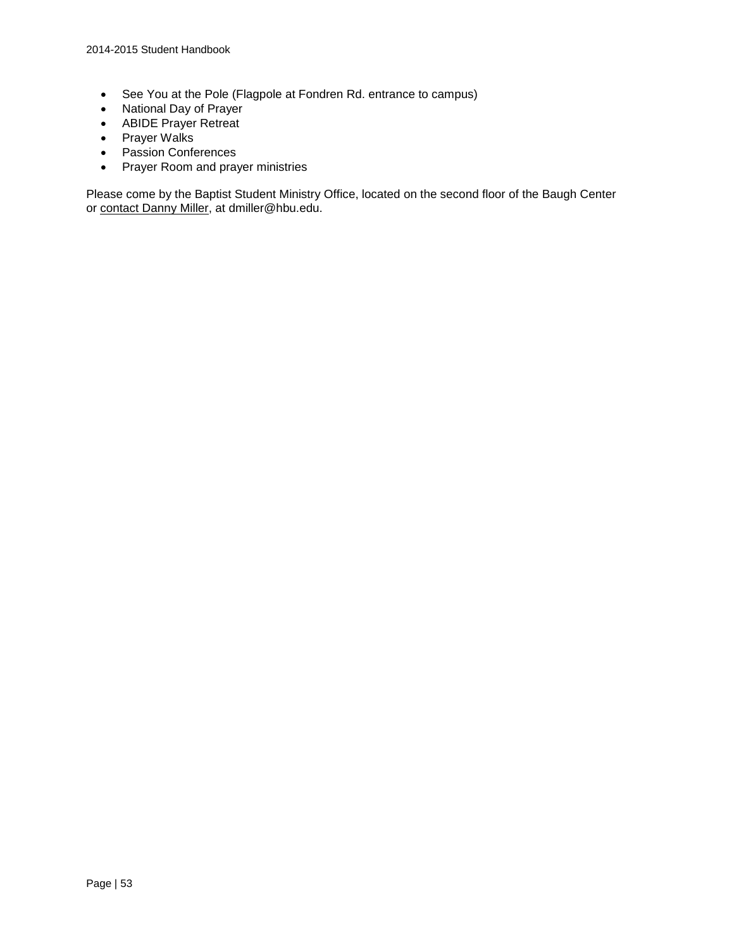- See You at the Pole (Flagpole at Fondren Rd. entrance to campus)
- National Day of Prayer
- ABIDE Prayer Retreat
- Prayer Walks
- Passion Conferences
- Prayer Room and prayer ministries

Please come by the Baptist Student Ministry Office, located on the second floor of the Baugh Center or [contact Danny Miller,](https://hbu.edu/Students-Alumni/Student-Information/Spiritual-Life/Spiritual-Life-Department/Meet-Our-Staff/Danny-Miller.aspx) at dmiller@hbu.edu.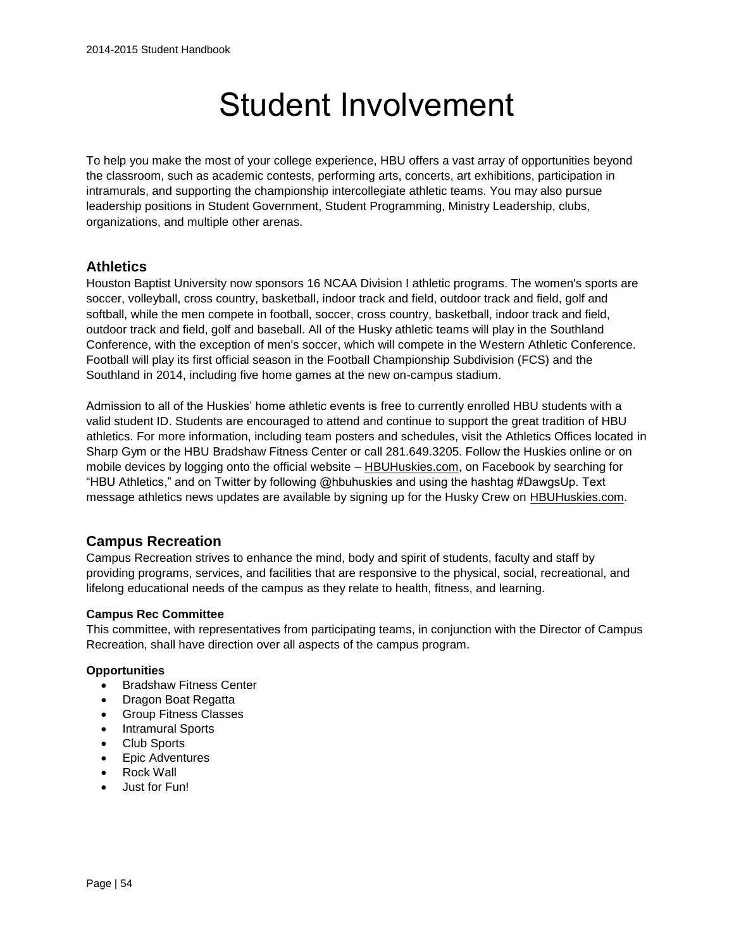# Student Involvement

To help you make the most of your college experience, HBU offers a vast array of opportunities beyond the classroom, such as academic contests, performing arts, concerts, art exhibitions, participation in intramurals, and supporting the championship intercollegiate athletic teams. You may also pursue leadership positions in Student Government, Student Programming, Ministry Leadership, clubs, organizations, and multiple other arenas.

# **Athletics**

Houston Baptist University now sponsors 16 NCAA Division I athletic programs. The women's sports are soccer, volleyball, cross country, basketball, indoor track and field, outdoor track and field, golf and softball, while the men compete in football, soccer, cross country, basketball, indoor track and field, outdoor track and field, golf and baseball. All of the Husky athletic teams will play in the Southland Conference, with the exception of men's soccer, which will compete in the Western Athletic Conference. Football will play its first official season in the Football Championship Subdivision (FCS) and the Southland in 2014, including five home games at the new on-campus stadium.

Admission to all of the Huskies' home athletic events is free to currently enrolled HBU students with a valid student ID. Students are encouraged to attend and continue to support the great tradition of HBU athletics. For more information, including team posters and schedules, visit the Athletics Offices located in Sharp Gym or the HBU Bradshaw Fitness Center or call 281.649.3205. Follow the Huskies online or on mobile devices by logging onto the official website - [HBUHuskies.com,](http://www.hbuhuskies.com/) on Facebook by searching for "HBU Athletics," and on Twitter by following @hbuhuskies and using the hashtag #DawgsUp. Text message athletics news updates are available by signing up for the Husky Crew on [HBUHuskies.com.](http://www.hbuhuskies.com/)

### **Campus Recreation**

Campus Recreation strives to enhance the mind, body and spirit of students, faculty and staff by providing programs, services, and facilities that are responsive to the physical, social, recreational, and lifelong educational needs of the campus as they relate to health, fitness, and learning.

#### **Campus Rec Committee**

This committee, with representatives from participating teams, in conjunction with the Director of Campus Recreation, shall have direction over all aspects of the campus program.

#### **Opportunities**

- Bradshaw Fitness Center
- Dragon Boat Regatta
- Group Fitness Classes
- Intramural Sports
- Club Sports
- Epic Adventures
- Rock Wall
- Just for Fun!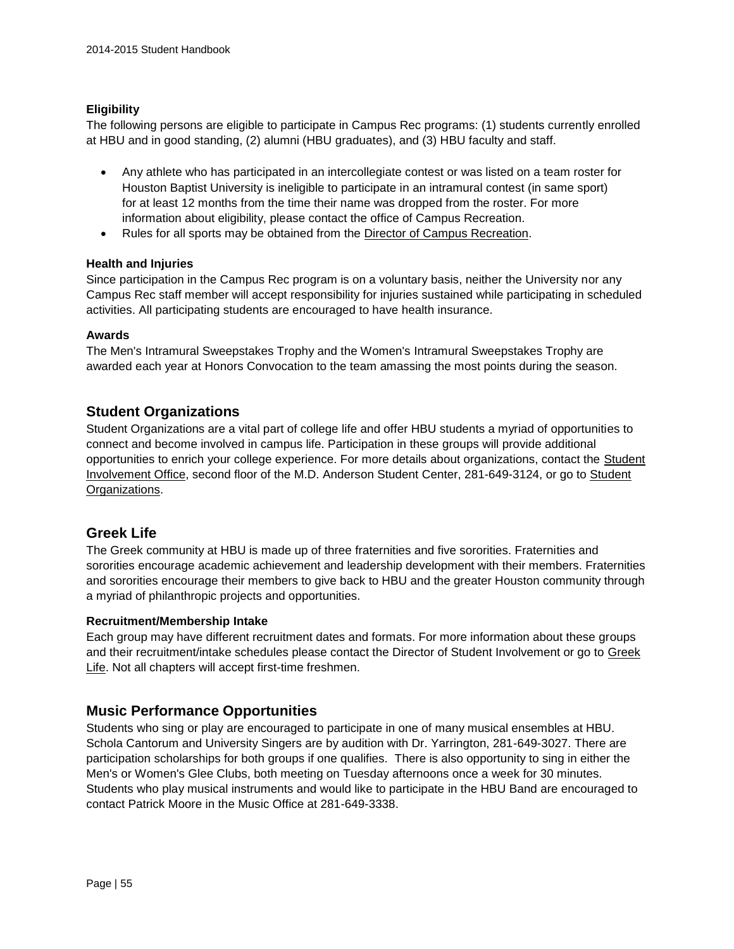#### **Eligibility**

The following persons are eligible to participate in Campus Rec programs: (1) students currently enrolled at HBU and in good standing, (2) alumni (HBU graduates), and (3) HBU faculty and staff.

- Any athlete who has participated in an intercollegiate contest or was listed on a team roster for Houston Baptist University is ineligible to participate in an intramural contest (in same sport) for at least 12 months from the time their name was dropped from the roster. For more information about eligibility, please contact the office of Campus Recreation.
- Rules for all sports may be obtained from the [Director of Campus Recreation.](https://hbu.edu/Students-Alumni/Student-Information/Student-Life/Campus-Recreation/Contact.aspx)

#### **Health and Injuries**

Since participation in the Campus Rec program is on a voluntary basis, neither the University nor any Campus Rec staff member will accept responsibility for injuries sustained while participating in scheduled activities. All participating students are encouraged to have health insurance.

#### **Awards**

The Men's Intramural Sweepstakes Trophy and the Women's Intramural Sweepstakes Trophy are awarded each year at Honors Convocation to the team amassing the most points during the season.

#### **Student Organizations**

Student Organizations are a vital part of college life and offer HBU students a myriad of opportunities to connect and become involved in campus life. Participation in these groups will provide additional opportunities to enrich your college experience. For more details about organizations, contact the **Student** [Involvement Office,](https://hbu.edu/Students-Alumni/Student-Information/Student-Life/Student-Involvement.aspx) second floor of the M.D. Anderson [Student](https://hbu.edu/Students-Alumni/Student-Information/Student-Organizations.aspx) Center, 281-649-3124, or go to Student [Organizations.](https://hbu.edu/Students-Alumni/Student-Information/Student-Organizations.aspx)

### **Greek Life**

The Greek community at HBU is made up of three fraternities and five sororities. Fraternities and sororities encourage academic achievement and leadership development with their members. Fraternities and sororities encourage their members to give back to HBU and the greater Houston community through a myriad of philanthropic projects and opportunities.

#### **Recruitment/Membership Intake**

Each group may have different recruitment dates and formats. For more information about these groups and their recruitment/intake schedules please contact the Director of Student Involvement or go to [Greek](https://hbu.edu/Students-Alumni/Student-Information/Student-Organizations/Greek.aspx)  [Life.](https://hbu.edu/Students-Alumni/Student-Information/Student-Organizations/Greek.aspx) Not all chapters will accept first-time freshmen.

### **Music Performance Opportunities**

Students who sing or play are encouraged to participate in one of many musical ensembles at HBU. Schola Cantorum and University Singers are by audition with Dr. Yarrington, 281-649-3027. There are participation scholarships for both groups if one qualifies. There is also opportunity to sing in either the Men's or Women's Glee Clubs, both meeting on Tuesday afternoons once a week for 30 minutes. Students who play musical instruments and would like to participate in the HBU Band are encouraged to contact Patrick Moore in the Music Office at 281-649-3338.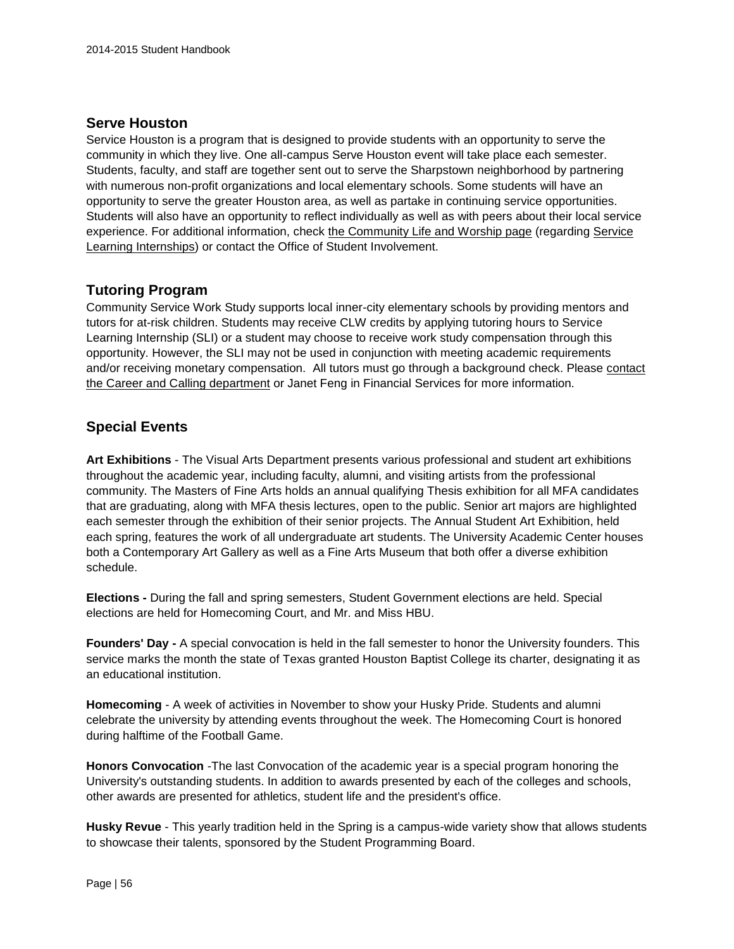# **Serve Houston**

Service Houston is a program that is designed to provide students with an opportunity to serve the community in which they live. One all-campus Serve Houston event will take place each semester. Students, faculty, and staff are together sent out to serve the Sharpstown neighborhood by partnering with numerous non-profit organizations and local elementary schools. Some students will have an opportunity to serve the greater Houston area, as well as partake in continuing service opportunities. Students will also have an opportunity to reflect individually as well as with peers about their local service experience. For additional information, check [the Community Life and Worship page](https://hbu.edu/Students-Alumni/Student-Information/Spiritual-Life/Community-Life-and-Worship.aspx) (regarding [Service](http://www.hbu.edu/Students-Alumni/Student-Life/Spiritual-Life/Community-Life-and-Worship/Ministry-Opportunities/Service-Learning-Internship.aspx)  [Learning Internships\)](http://www.hbu.edu/Students-Alumni/Student-Life/Spiritual-Life/Community-Life-and-Worship/Ministry-Opportunities/Service-Learning-Internship.aspx) or contact the Office of Student Involvement.

# **Tutoring Program**

Community Service Work Study supports local inner-city elementary schools by providing mentors and tutors for at-risk children. Students may receive CLW credits by applying tutoring hours to Service Learning Internship (SLI) or a student may choose to receive work study compensation through this opportunity. However, the SLI may not be used in conjunction with meeting academic requirements and/or receiving monetary compensation. All tutors must go through a background check. Please [contact](https://hbu.edu/Students-Alumni/Student-Resources/The-Career-Center/Contact.aspx)  [the Career and Calling department](https://hbu.edu/Students-Alumni/Student-Resources/The-Career-Center/Contact.aspx) or Janet Feng in Financial Services for more information.

# **Special Events**

**Art Exhibitions** - The Visual Arts Department presents various professional and student art exhibitions throughout the academic year, including faculty, alumni, and visiting artists from the professional community. The Masters of Fine Arts holds an annual qualifying Thesis exhibition for all MFA candidates that are graduating, along with MFA thesis lectures, open to the public. Senior art majors are highlighted each semester through the exhibition of their senior projects. The Annual Student Art Exhibition, held each spring, features the work of all undergraduate art students. The University Academic Center houses both a Contemporary Art Gallery as well as a Fine Arts Museum that both offer a diverse exhibition schedule.

**Elections -** During the fall and spring semesters, Student Government elections are held. Special elections are held for Homecoming Court, and Mr. and Miss HBU.

**Founders' Day -** A special convocation is held in the fall semester to honor the University founders. This service marks the month the state of Texas granted Houston Baptist College its charter, designating it as an educational institution.

**Homecoming** - A week of activities in November to show your Husky Pride. Students and alumni celebrate the university by attending events throughout the week. The Homecoming Court is honored during halftime of the Football Game.

**Honors Convocation** -The last Convocation of the academic year is a special program honoring the University's outstanding students. In addition to awards presented by each of the colleges and schools, other awards are presented for athletics, student life and the president's office.

**Husky Revue** - This yearly tradition held in the Spring is a campus-wide variety show that allows students to showcase their talents, sponsored by the Student Programming Board.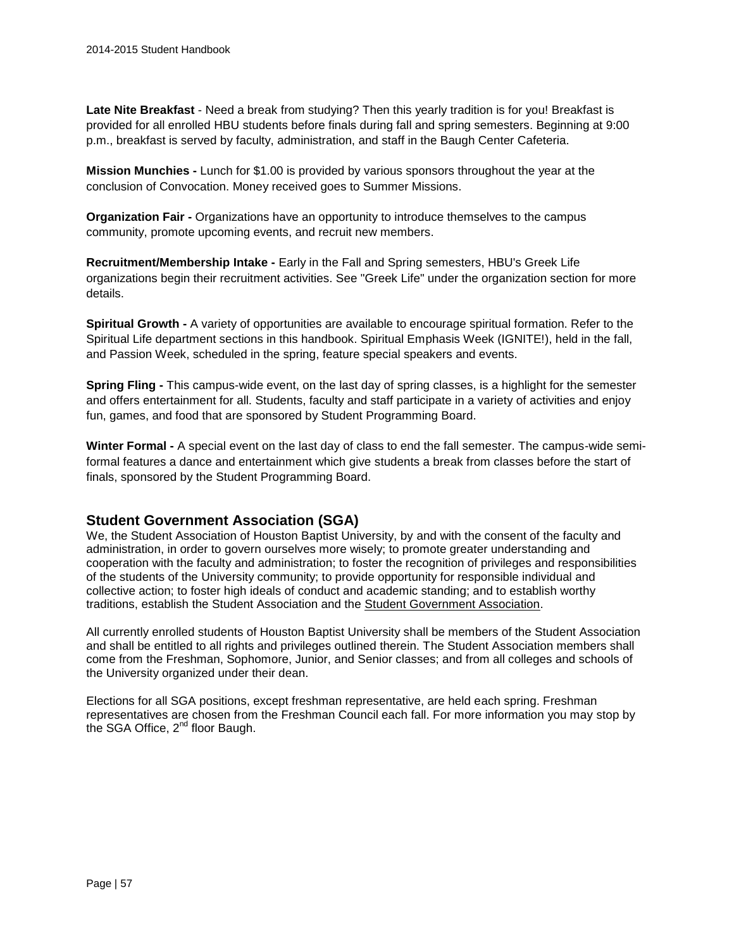**Late Nite Breakfast** - Need a break from studying? Then this yearly tradition is for you! Breakfast is provided for all enrolled HBU students before finals during fall and spring semesters. Beginning at 9:00 p.m., breakfast is served by faculty, administration, and staff in the Baugh Center Cafeteria.

**Mission Munchies -** Lunch for \$1.00 is provided by various sponsors throughout the year at the conclusion of Convocation. Money received goes to Summer Missions.

**Organization Fair -** Organizations have an opportunity to introduce themselves to the campus community, promote upcoming events, and recruit new members.

**Recruitment/Membership Intake -** Early in the Fall and Spring semesters, HBU's Greek Life organizations begin their recruitment activities. See "Greek Life" under the organization section for more details.

**Spiritual Growth -** A variety of opportunities are available to encourage spiritual formation. Refer to the Spiritual Life department sections in this handbook. Spiritual Emphasis Week (IGNITE!), held in the fall, and Passion Week, scheduled in the spring, feature special speakers and events.

**Spring Fling -** This campus-wide event, on the last day of spring classes, is a highlight for the semester and offers entertainment for all. Students, faculty and staff participate in a variety of activities and enjoy fun, games, and food that are sponsored by Student Programming Board.

**Winter Formal -** A special event on the last day of class to end the fall semester. The campus-wide semiformal features a dance and entertainment which give students a break from classes before the start of finals, sponsored by the Student Programming Board.

### **Student Government Association (SGA)**

We, the Student Association of Houston Baptist University, by and with the consent of the faculty and administration, in order to govern ourselves more wisely; to promote greater understanding and cooperation with the faculty and administration; to foster the recognition of privileges and responsibilities of the students of the University community; to provide opportunity for responsible individual and collective action; to foster high ideals of conduct and academic standing; and to establish worthy traditions, establish the Student Association and the [Student Government Association.](http://orgsync.com/38407/chapter)

All currently enrolled students of Houston Baptist University shall be members of the Student Association and shall be entitled to all rights and privileges outlined therein. The Student Association members shall come from the Freshman, Sophomore, Junior, and Senior classes; and from all colleges and schools of the University organized under their dean.

Elections for all SGA positions, except freshman representative, are held each spring. Freshman representatives are chosen from the Freshman Council each fall. For more information you may stop by the SGA Office, 2<sup>nd</sup> floor Baugh.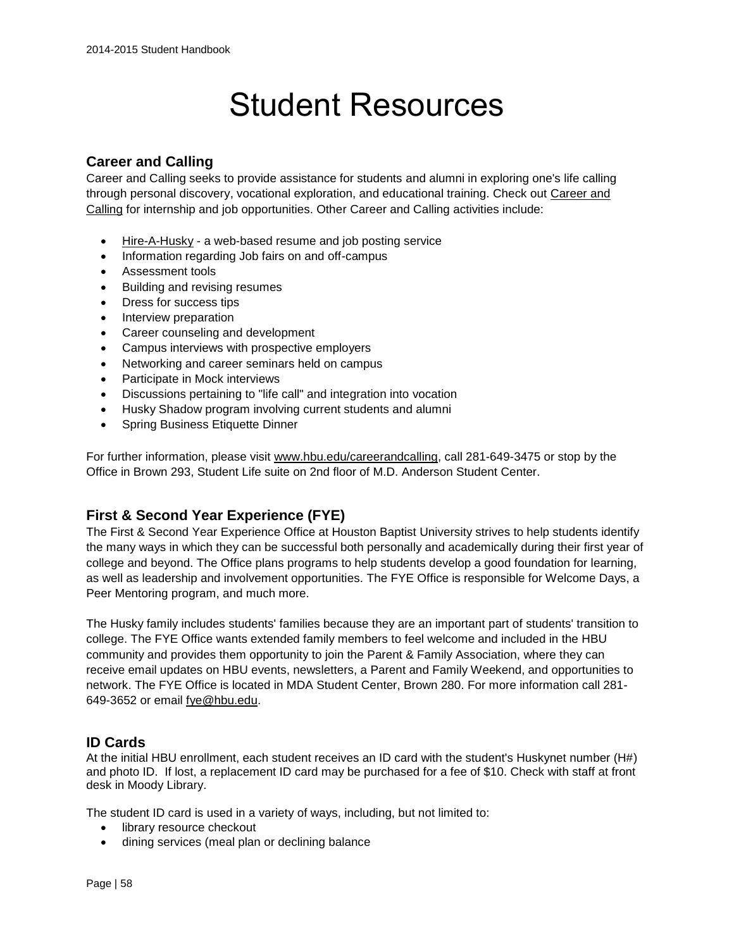# Student Resources

# **Career and Calling**

Career and Calling seeks to provide assistance for students and alumni in exploring one's life calling through personal discovery, vocational exploration, and educational training. Check out [Career and](http://www.hbu.edu/careerandcalling)  [Calling](http://www.hbu.edu/careerandcalling) for internship and job opportunities. Other Career and Calling activities include:

- [Hire-A-Husky](https://www.myinterfase.com/hbu/student/) a web-based resume and job posting service
- Information regarding Job fairs on and off-campus
- Assessment tools
- Building and revising resumes
- Dress for success tips
- Interview preparation
- Career counseling and development
- Campus interviews with prospective employers
- Networking and career seminars held on campus
- Participate in Mock interviews
- Discussions pertaining to "life call" and integration into vocation
- Husky Shadow program involving current students and alumni
- Spring Business Etiquette Dinner

For further information, please visit [www.hbu.edu/careerandcalling,](http://www.hbu.edu/careerandcalling) call 281-649-3475 or stop by the Office in Brown 293, Student Life suite on 2nd floor of M.D. Anderson Student Center.

# **First & Second Year Experience (FYE)**

The First & Second Year Experience Office at Houston Baptist University strives to help students identify the many ways in which they can be successful both personally and academically during their first year of college and beyond. The Office plans programs to help students develop a good foundation for learning, as well as leadership and involvement opportunities. The FYE Office is responsible for Welcome Days, a Peer Mentoring program, and much more.

The Husky family includes students' families because they are an important part of students' transition to college. The FYE Office wants extended family members to feel welcome and included in the HBU community and provides them opportunity to join the Parent & Family Association, where they can receive email updates on HBU events, newsletters, a Parent and Family Weekend, and opportunities to network. The FYE Office is located in MDA Student Center, Brown 280. For more information call 281- 649-3652 or email [fye@hbu.edu.](mailto:fye@hbu.edu)

# **ID Cards**

At the initial HBU enrollment, each student receives an ID card with the student's Huskynet number (H#) and photo ID. If lost, a replacement ID card may be purchased for a fee of \$10. Check with staff at front desk in Moody Library.

The student ID card is used in a variety of ways, including, but not limited to:

- library resource checkout
- dining services (meal plan or declining balance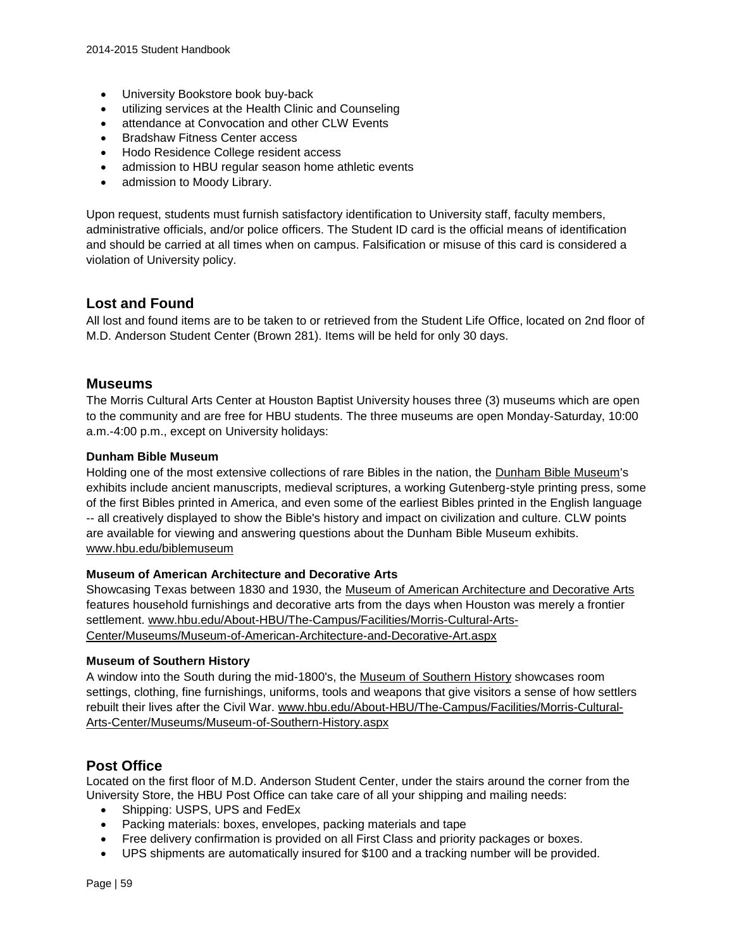- University Bookstore book buy-back
- utilizing services at the Health Clinic and Counseling
- attendance at Convocation and other CLW Events
- Bradshaw Fitness Center access
- Hodo Residence College resident access
- admission to HBU regular season home athletic events
- admission to Moody Library.

Upon request, students must furnish satisfactory identification to University staff, faculty members, administrative officials, and/or police officers. The Student ID card is the official means of identification and should be carried at all times when on campus. Falsification or misuse of this card is considered a violation of University policy.

### **Lost and Found**

All lost and found items are to be taken to or retrieved from the Student Life Office, located on 2nd floor of M.D. Anderson Student Center (Brown 281). Items will be held for only 30 days.

#### **Museums**

The Morris Cultural Arts Center at Houston Baptist University houses three (3) museums which are open to the community and are free for HBU students. The three museums are open Monday-Saturday, 10:00 a.m.-4:00 p.m., except on University holidays:

#### **Dunham Bible Museum**

Holding one of the most extensive collections of rare Bibles in the nation, the [Dunham Bible Museum'](http://www.hbu.edu/About-HBU/The-Campus/Facilities/Morris-Cultural-Arts-Center/Museums/Dunham-Bible-Museum.aspx)s exhibits include ancient manuscripts, medieval scriptures, a working Gutenberg-style printing press, some of the first Bibles printed in America, and even some of the earliest Bibles printed in the English language -- all creatively displayed to show the Bible's history and impact on civilization and culture. CLW points are available for viewing and answering questions about the Dunham Bible Museum exhibits. [www.hbu.edu/biblemuseum](http://www.hbu.edu/biblemuseum)

#### **Museum of American Architecture and Decorative Arts**

Showcasing Texas between 1830 and 1930, the [Museum of American Architecture and Decorative Arts](http://www.hbu.edu/About-HBU/The-Campus/Facilities/Morris-Cultural-Arts-Center/Museums/Museum-of-American-Architecture-and-Decorative-Art.aspx) features household furnishings and decorative arts from the days when Houston was merely a frontier settlement. [www.hbu.edu/About-HBU/The-Campus/Facilities/Morris-Cultural-Arts-](http://www.hbu.edu/About-HBU/The-Campus/Facilities/Morris-Cultural-Arts-Center/Museums/Museum-of-American-Architecture-and-Decorative-Art.aspx)[Center/Museums/Museum-of-American-Architecture-and-Decorative-Art.aspx](http://www.hbu.edu/About-HBU/The-Campus/Facilities/Morris-Cultural-Arts-Center/Museums/Museum-of-American-Architecture-and-Decorative-Art.aspx)

#### **Museum of Southern History**

A window into the South during the mid-1800's, the [Museum of Southern History](http://www.hbu.edu/About-HBU/The-Campus/Facilities/Morris-Cultural-Arts-Center/Museums/Museum-of-Southern-History.aspx) showcases room settings, clothing, fine furnishings, uniforms, tools and weapons that give visitors a sense of how settlers rebuilt their lives after the Civil War. [www.hbu.edu/About-HBU/The-Campus/Facilities/Morris-Cultural-](http://www.hbu.edu/About-HBU/The-Campus/Facilities/Morris-Cultural-Arts-Center/Museums/Museum-of-Southern-History.aspx)[Arts-Center/Museums/Museum-of-Southern-History.aspx](http://www.hbu.edu/About-HBU/The-Campus/Facilities/Morris-Cultural-Arts-Center/Museums/Museum-of-Southern-History.aspx)

### **Post Office**

Located on the first floor of M.D. Anderson Student Center, under the stairs around the corner from the University Store, the HBU Post Office can take care of all your shipping and mailing needs:

- Shipping: USPS, UPS and FedEx
- Packing materials: boxes, envelopes, packing materials and tape
- Free delivery confirmation is provided on all First Class and priority packages or boxes.
- UPS shipments are automatically insured for \$100 and a tracking number will be provided.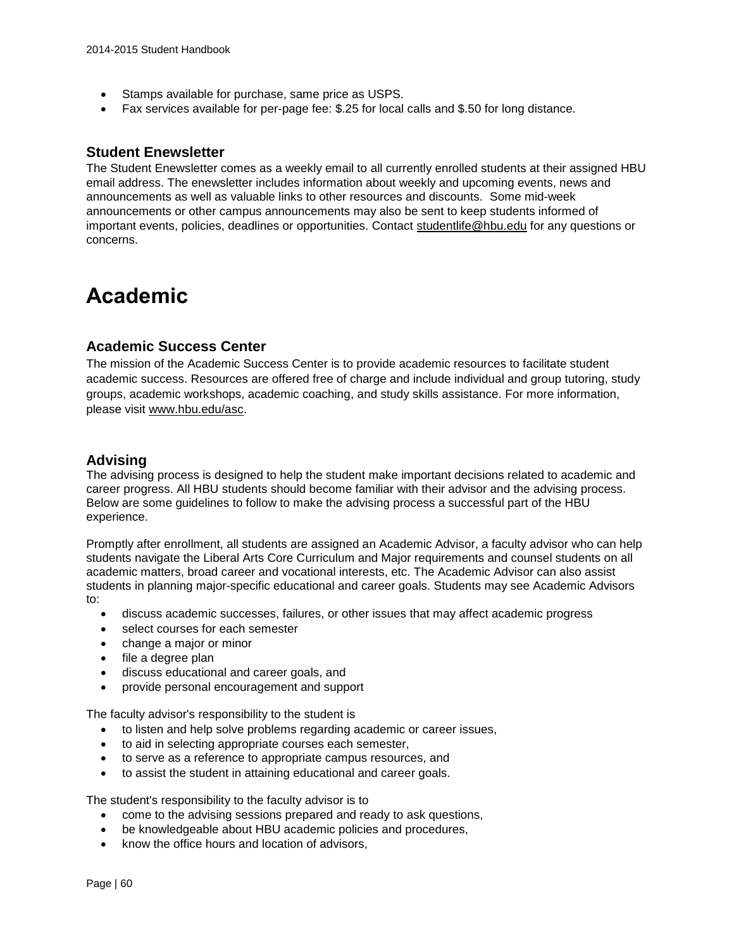- Stamps available for purchase, same price as USPS.
- Fax services available for per-page fee: \$.25 for local calls and \$.50 for long distance.

#### **Student Enewsletter**

The Student Enewsletter comes as a weekly email to all currently enrolled students at their assigned HBU email address. The enewsletter includes information about weekly and upcoming events, news and announcements as well as valuable links to other resources and discounts. Some mid-week announcements or other campus announcements may also be sent to keep students informed of important events, policies, deadlines or opportunities. Contact [studentlife@hbu.edu](mailto:studentlife@hbu.edu) for any questions or concerns.

# **Academic**

#### **Academic Success Center**

The mission of the Academic Success Center is to provide academic resources to facilitate student academic success. Resources are offered free of charge and include individual and group tutoring, study groups, academic workshops, academic coaching, and study skills assistance. For more information, please visit [www.hbu.edu/asc.](http://www.hbu.edu/asc)

#### **Advising**

The advising process is designed to help the student make important decisions related to academic and career progress. All HBU students should become familiar with their advisor and the advising process. Below are some guidelines to follow to make the advising process a successful part of the HBU experience.

Promptly after enrollment, all students are assigned an Academic Advisor, a faculty advisor who can help students navigate the Liberal Arts Core Curriculum and Major requirements and counsel students on all academic matters, broad career and vocational interests, etc. The Academic Advisor can also assist students in planning major-specific educational and career goals. Students may see Academic Advisors  $t^{\circ}$ 

- discuss academic successes, failures, or other issues that may affect academic progress
- select courses for each semester
- change a major or minor
- file a degree plan
- discuss educational and career goals, and
- provide personal encouragement and support

The faculty advisor's responsibility to the student is

- to listen and help solve problems regarding academic or career issues,
- to aid in selecting appropriate courses each semester,
- to serve as a reference to appropriate campus resources, and
- to assist the student in attaining educational and career goals.

The student's responsibility to the faculty advisor is to

- come to the advising sessions prepared and ready to ask questions,
- be knowledgeable about HBU academic policies and procedures,
- know the office hours and location of advisors,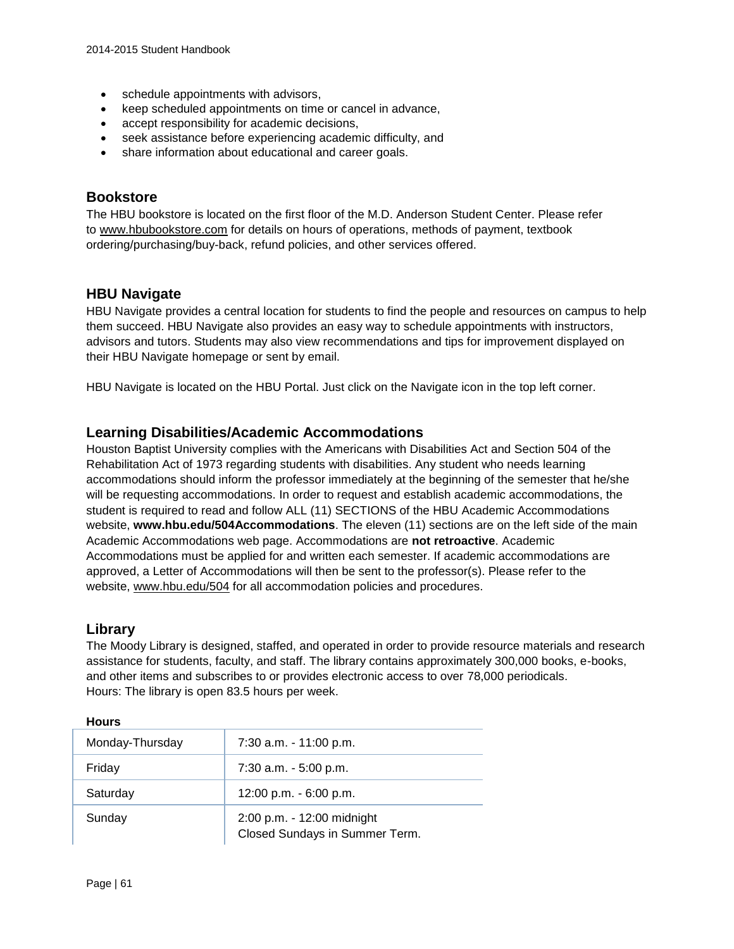- schedule appointments with advisors,
- keep scheduled appointments on time or cancel in advance,
- accept responsibility for academic decisions,
- seek assistance before experiencing academic difficulty, and
- share information about educational and career goals.

### **Bookstore**

The HBU bookstore is located on the first floor of the M.D. Anderson Student Center. Please refer to [www.hbubookstore.com](http://www.hbubookstore.com/) for details on hours of operations, methods of payment, textbook ordering/purchasing/buy-back, refund policies, and other services offered.

### **HBU Navigate**

HBU Navigate provides a central location for students to find the people and resources on campus to help them succeed. HBU Navigate also provides an easy way to schedule appointments with instructors, advisors and tutors. Students may also view recommendations and tips for improvement displayed on their HBU Navigate homepage or sent by email.

HBU Navigate is located on the HBU Portal. Just click on the Navigate icon in the top left corner.

#### **Learning Disabilities/Academic Accommodations**

Houston Baptist University complies with the Americans with Disabilities Act and Section 504 of the Rehabilitation Act of 1973 regarding students with disabilities. Any student who needs learning accommodations should inform the professor immediately at the beginning of the semester that he/she will be requesting accommodations. In order to request and establish academic accommodations, the student is required to read and follow ALL (11) SECTIONS of the HBU Academic Accommodations website, **[www.hbu.edu/504Accommodations](http://www.hbu.edu/504Accommodations)**. The eleven (11) sections are on the left side of the main Academic Accommodations web page. Accommodations are **not retroactive**. Academic Accommodations must be applied for and written each semester. If academic accommodations are approved, a Letter of Accommodations will then be sent to the professor(s). Please refer to the website, [www.hbu.edu/504](http://www.hbu.edu/504) for all accommodation policies and procedures.

### **Library**

The Moody Library is designed, staffed, and operated in order to provide resource materials and research assistance for students, faculty, and staff. The library contains approximately 300,000 books, e-books, and other items and subscribes to or provides electronic access to over 78,000 periodicals. Hours: The library is open 83.5 hours per week.

| Monday-Thursday | 7:30 a.m. - 11:00 p.m.                                       |
|-----------------|--------------------------------------------------------------|
| Friday          | $7:30$ a.m. $-5:00$ p.m.                                     |
| Saturday        | 12:00 p.m. - 6:00 p.m.                                       |
| Sunday          | 2:00 p.m. - 12:00 midnight<br>Closed Sundays in Summer Term. |

#### **Hours**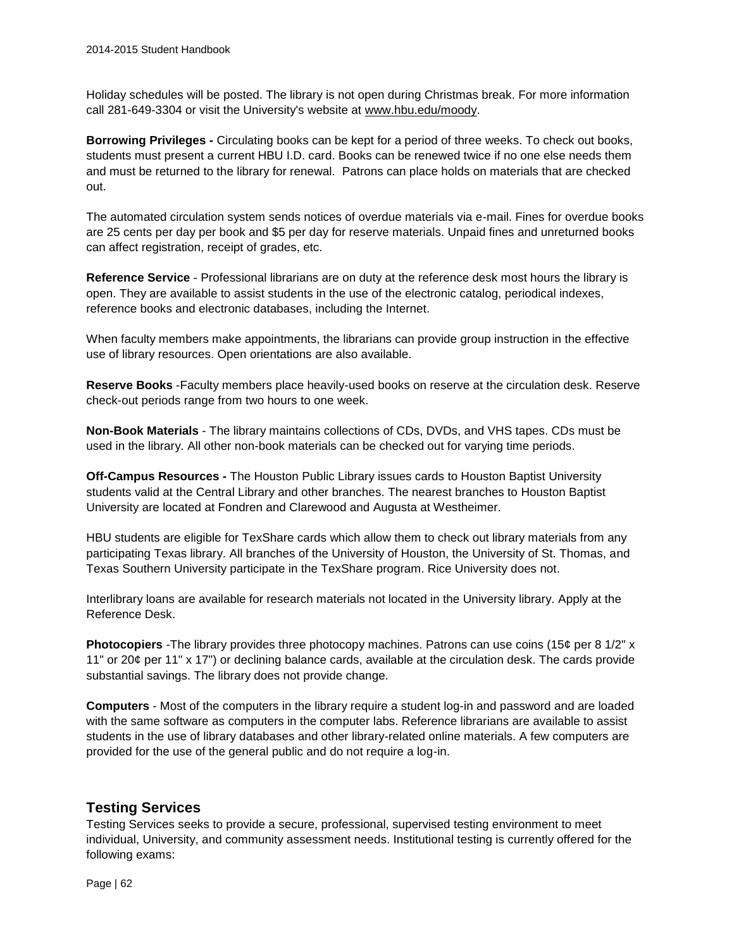Holiday schedules will be posted. The library is not open during Christmas break. For more information call 281-649-3304 or visit the University's website at [www.hbu.edu/moody.](http://www.hbu.edu/moody)

**Borrowing Privileges -** Circulating books can be kept for a period of three weeks. To check out books, students must present a current HBU I.D. card. Books can be renewed twice if no one else needs them and must be returned to the library for renewal. Patrons can place holds on materials that are checked out.

The automated circulation system sends notices of overdue materials via e-mail. Fines for overdue books are 25 cents per day per book and \$5 per day for reserve materials. Unpaid fines and unreturned books can affect registration, receipt of grades, etc.

**Reference Service** - Professional librarians are on duty at the reference desk most hours the library is open. They are available to assist students in the use of the electronic catalog, periodical indexes, reference books and electronic databases, including the Internet.

When faculty members make appointments, the librarians can provide group instruction in the effective use of library resources. Open orientations are also available.

**Reserve Books** -Faculty members place heavily-used books on reserve at the circulation desk. Reserve check-out periods range from two hours to one week.

**Non-Book Materials** - The library maintains collections of CDs, DVDs, and VHS tapes. CDs must be used in the library. All other non-book materials can be checked out for varying time periods.

**Off-Campus Resources -** The Houston Public Library issues cards to Houston Baptist University students valid at the Central Library and other branches. The nearest branches to Houston Baptist University are located at Fondren and Clarewood and Augusta at Westheimer.

HBU students are eligible for TexShare cards which allow them to check out library materials from any participating Texas library. All branches of the University of Houston, the University of St. Thomas, and Texas Southern University participate in the TexShare program. Rice University does not.

Interlibrary loans are available for research materials not located in the University library. Apply at the Reference Desk.

**Photocopiers** -The library provides three photocopy machines. Patrons can use coins (15¢ per 8 1/2" x 11" or 20¢ per 11" x 17") or declining balance cards, available at the circulation desk. The cards provide substantial savings. The library does not provide change.

**Computers** - Most of the computers in the library require a student log-in and password and are loaded with the same software as computers in the computer labs. Reference librarians are available to assist students in the use of library databases and other library-related online materials. A few computers are provided for the use of the general public and do not require a log-in.

### **Testing Services**

Testing Services seeks to provide a secure, professional, supervised testing environment to meet individual, University, and community assessment needs. Institutional testing is currently offered for the following exams:

Page | 62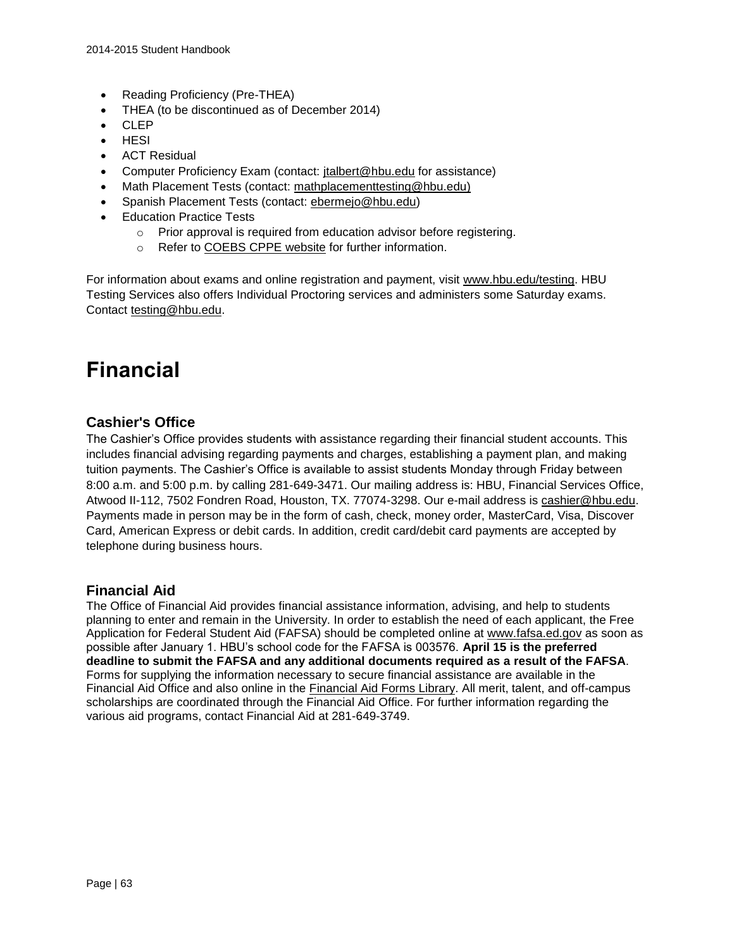- Reading Proficiency (Pre-THEA)
- THEA (to be discontinued as of December 2014)
- CLEP
- HESI
- ACT Residual
- Computer Proficiency Exam (contact: [jtalbert@hbu.edu](mailto:jtalbert@hbu.edu) for assistance)
- Math Placement Tests (contact: [mathplacementtesting@hbu.edu\)](mailto:mathplacementtesting@hbu.edu)
- Spanish Placement Tests (contact: [ebermejo@hbu.edu\)](mailto:ebermejo@hbu.edu)
- Education Practice Tests
	- o Prior approval is required from education advisor before registering.
	- o Refer to [COEBS CPPE website](http://www.hbu.edu/Choosing-HBU/Academics/Colleges-Schools/School-of-Education/Center-for-the-Preparation-of-Professional-Edu.aspx) for further information.

For information about exams and online registration and payment, visit [www.hbu.edu/testing.](http://www.hbu.edu/testing) HBU Testing Services also offers Individual Proctoring services and administers some Saturday exams. Contact [testing@hbu.edu.](mailto:testing@hbu.edu)

# **Financial**

# **Cashier's Office**

The Cashier's Office provides students with assistance regarding their financial student accounts. This includes financial advising regarding payments and charges, establishing a payment plan, and making tuition payments. The Cashier's Office is available to assist students Monday through Friday between 8:00 a.m. and 5:00 p.m. by calling 281-649-3471. Our mailing address is: HBU, Financial Services Office, Atwood II-112, 7502 Fondren Road, Houston, TX. 77074-3298. Our e-mail address is [cashier@hbu.edu.](mailto:cashier@hbu.edu) Payments made in person may be in the form of cash, check, money order, MasterCard, Visa, Discover Card, American Express or debit cards. In addition, credit card/debit card payments are accepted by telephone during business hours.

### **Financial Aid**

The Office of Financial Aid provides financial assistance information, advising, and help to students planning to enter and remain in the University. In order to establish the need of each applicant, the Free Application for Federal Student Aid (FAFSA) should be completed online at [www.fafsa.ed.gov](http://www.fafsa.ed.gov/) as soon as possible after January 1. HBU's school code for the FAFSA is 003576. **April 15 is the preferred deadline to submit the FAFSA and any additional documents required as a result of the FAFSA**. Forms for supplying the information necessary to secure financial assistance are available in the Financial Aid Office and also online in the [Financial Aid Forms Library.](https://hbu.edu/Choosing-HBU/Admissions/Financing-Your-Education/Forms.aspx) All merit, talent, and off-campus scholarships are coordinated through the Financial Aid Office. For further information regarding the various aid programs, contact Financial Aid at 281-649-3749.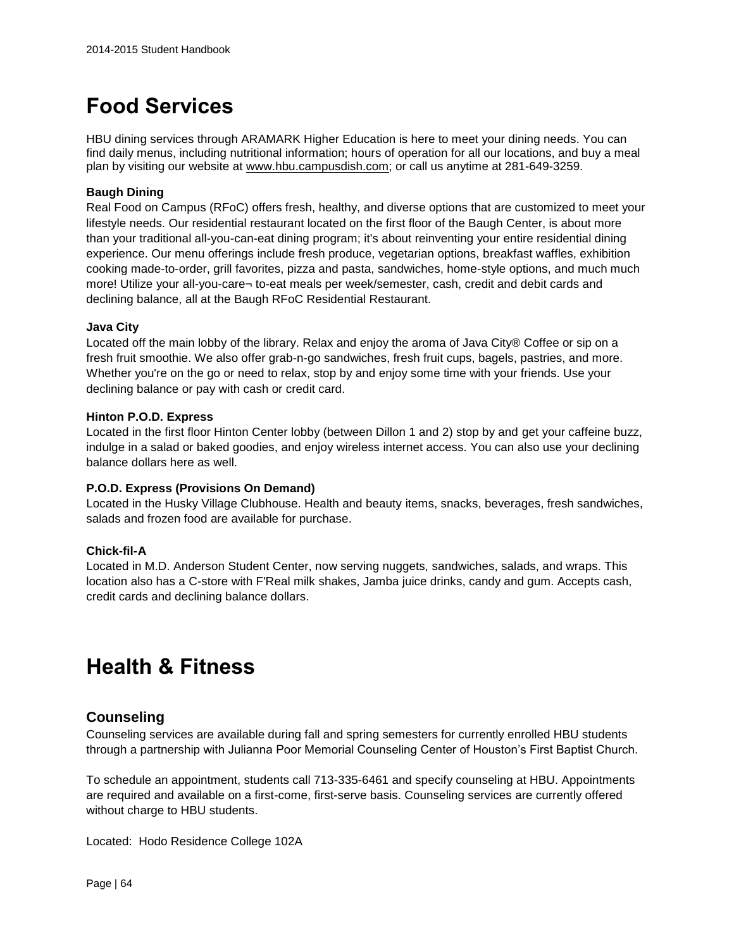# **Food Services**

HBU dining services through ARAMARK Higher Education is here to meet your dining needs. You can find daily menus, including nutritional information; hours of operation for all our locations, and buy a meal plan by visiting our website at [www.hbu.campusdish.com;](http://www.hbu.campusdish.com/) or call us anytime at 281-649-3259.

#### **Baugh Dining**

Real Food on Campus (RFoC) offers fresh, healthy, and diverse options that are customized to meet your lifestyle needs. Our residential restaurant located on the first floor of the Baugh Center, is about more than your traditional all-you-can-eat dining program; it's about reinventing your entire residential dining experience. Our menu offerings include fresh produce, vegetarian options, breakfast waffles, exhibition cooking made-to-order, grill favorites, pizza and pasta, sandwiches, home-style options, and much much more! Utilize your all-you-care¬ to-eat meals per week/semester, cash, credit and debit cards and declining balance, all at the Baugh RFoC Residential Restaurant.

#### **Java City**

Located off the main lobby of the library. Relax and enjoy the aroma of Java City® Coffee or sip on a fresh fruit smoothie. We also offer grab-n-go sandwiches, fresh fruit cups, bagels, pastries, and more. Whether you're on the go or need to relax, stop by and enjoy some time with your friends. Use your declining balance or pay with cash or credit card.

#### **Hinton P.O.D. Express**

Located in the first floor Hinton Center lobby (between Dillon 1 and 2) stop by and get your caffeine buzz, indulge in a salad or baked goodies, and enjoy wireless internet access. You can also use your declining balance dollars here as well.

#### **P.O.D. Express (Provisions On Demand)**

Located in the Husky Village Clubhouse. Health and beauty items, snacks, beverages, fresh sandwiches, salads and frozen food are available for purchase.

#### **Chick-fil-A**

Located in M.D. Anderson Student Center, now serving nuggets, sandwiches, salads, and wraps. This location also has a C-store with F'Real milk shakes, Jamba juice drinks, candy and gum. Accepts cash, credit cards and declining balance dollars.

# **Health & Fitness**

### **Counseling**

Counseling services are available during fall and spring semesters for currently enrolled HBU students through a partnership with Julianna Poor Memorial Counseling Center of Houston's First Baptist Church.

To schedule an appointment, students call 713-335-6461 and specify counseling at HBU. Appointments are required and available on a first-come, first-serve basis. Counseling services are currently offered without charge to HBU students.

Located: Hodo Residence College 102A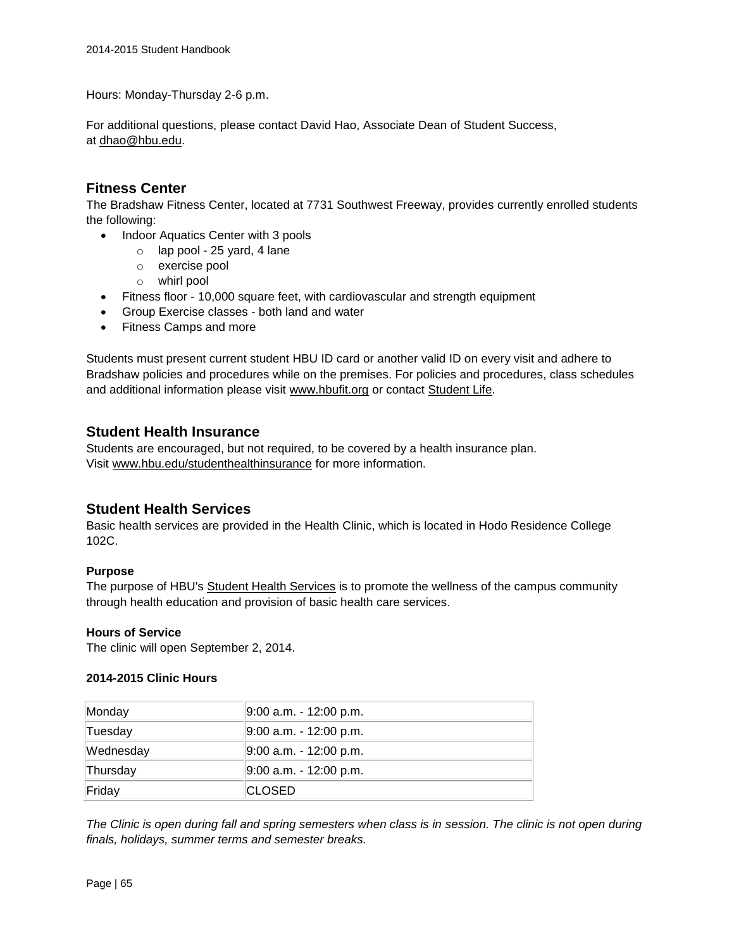Hours: Monday-Thursday 2-6 p.m.

For additional questions, please contact David Hao, Associate Dean of Student Success, at [dhao@hbu.edu.](mailto:dhao@hbu.edu)

## **Fitness Center**

The Bradshaw Fitness Center, located at 7731 Southwest Freeway, provides currently enrolled students the following:

- Indoor Aquatics Center with 3 pools
	- o lap pool 25 yard, 4 lane
		- o exercise pool
		- o whirl pool
- Fitness floor 10,000 square feet, with cardiovascular and strength equipment
- Group Exercise classes both land and water
- Fitness Camps and more

Students must present current student HBU ID card or another valid ID on every visit and adhere to Bradshaw policies and procedures while on the premises. For policies and procedures, class schedules and additional information please visit [www.hbufit.org](http://www.hbufit.org/) or contact [Student Life.](mailto:studentlife@hbu.edu)

#### **Student Health Insurance**

Students are encouraged, but not required, to be covered by a health insurance plan. Visit [www.hbu.edu/studenthealthinsurance](http://www.hbu.edu/studenthealthinsurance) for more information.

### **Student Health Services**

Basic health services are provided in the Health Clinic, which is located in Hodo Residence College 102C.

#### **Purpose**

The purpose of HBU's [Student Health Services](http://www.hbu.edu/studenthealth) is to promote the wellness of the campus community through health education and provision of basic health care services.

#### **Hours of Service**

The clinic will open September 2, 2014.

#### **2014-2015 Clinic Hours**

| Monday    | 9:00 a.m. - 12:00 p.m.   |
|-----------|--------------------------|
| Tuesday   | $9:00$ a.m. - 12:00 p.m. |
| Wednesday | 9:00 a.m. - 12:00 p.m.   |
| Thursday  | 9:00 a.m. - 12:00 p.m.   |
| Friday    | ∣CLOSED                  |

*The Clinic is open during fall and spring semesters when class is in session. The clinic is not open during finals, holidays, summer terms and semester breaks.*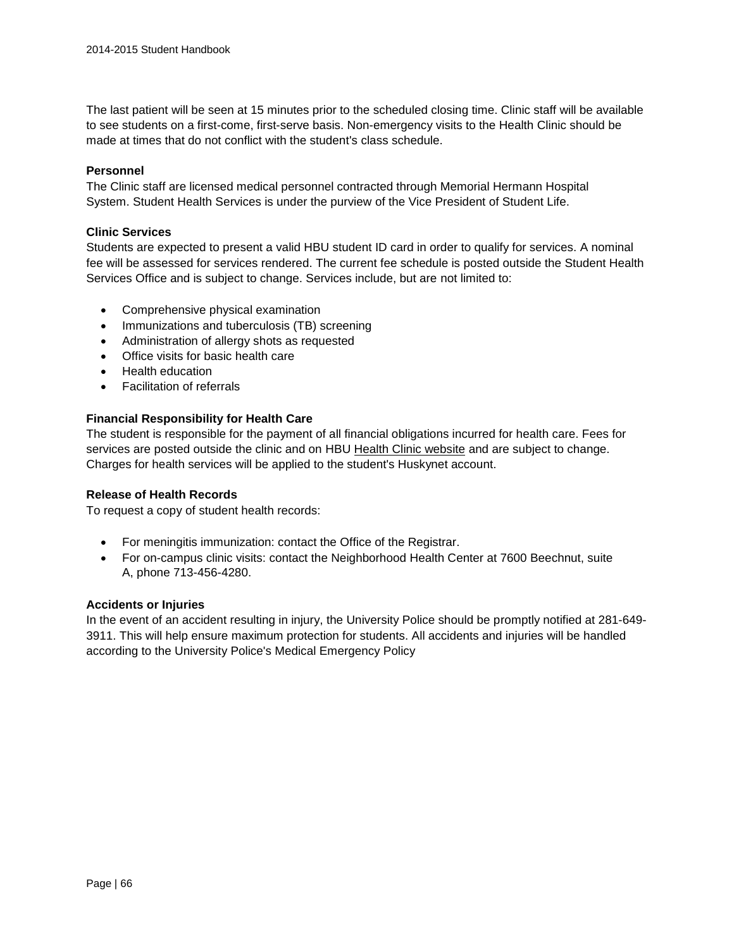The last patient will be seen at 15 minutes prior to the scheduled closing time. Clinic staff will be available to see students on a first-come, first-serve basis. Non-emergency visits to the Health Clinic should be made at times that do not conflict with the student's class schedule.

#### **Personnel**

The Clinic staff are licensed medical personnel contracted through Memorial Hermann Hospital System. Student Health Services is under the purview of the Vice President of Student Life.

#### **Clinic Services**

Students are expected to present a valid HBU student ID card in order to qualify for services. A nominal fee will be assessed for services rendered. The current fee schedule is posted outside the Student Health Services Office and is subject to change. Services include, but are not limited to:

- Comprehensive physical examination
- Immunizations and tuberculosis (TB) screening
- Administration of allergy shots as requested
- Office visits for basic health care
- Health education
- Facilitation of referrals

#### **Financial Responsibility for Health Care**

The student is responsible for the payment of all financial obligations incurred for health care. Fees for services are posted outside the clinic and on HBU [Health Clinic website](http://www.hbu.edu/Students-Alumni/Student-Resources/Health-Services/Health-Clinic.aspx) and are subject to change. Charges for health services will be applied to the student's Huskynet account.

#### **Release of Health Records**

To request a copy of student health records:

- For meningitis immunization: contact the Office of the Registrar.
- For on-campus clinic visits: contact the Neighborhood Health Center at 7600 Beechnut, suite A, phone 713-456-4280.

#### **Accidents or Injuries**

In the event of an accident resulting in injury, the University Police should be promptly notified at 281-649- 3911. This will help ensure maximum protection for students. All accidents and injuries will be handled according to the University Police's Medical Emergency Policy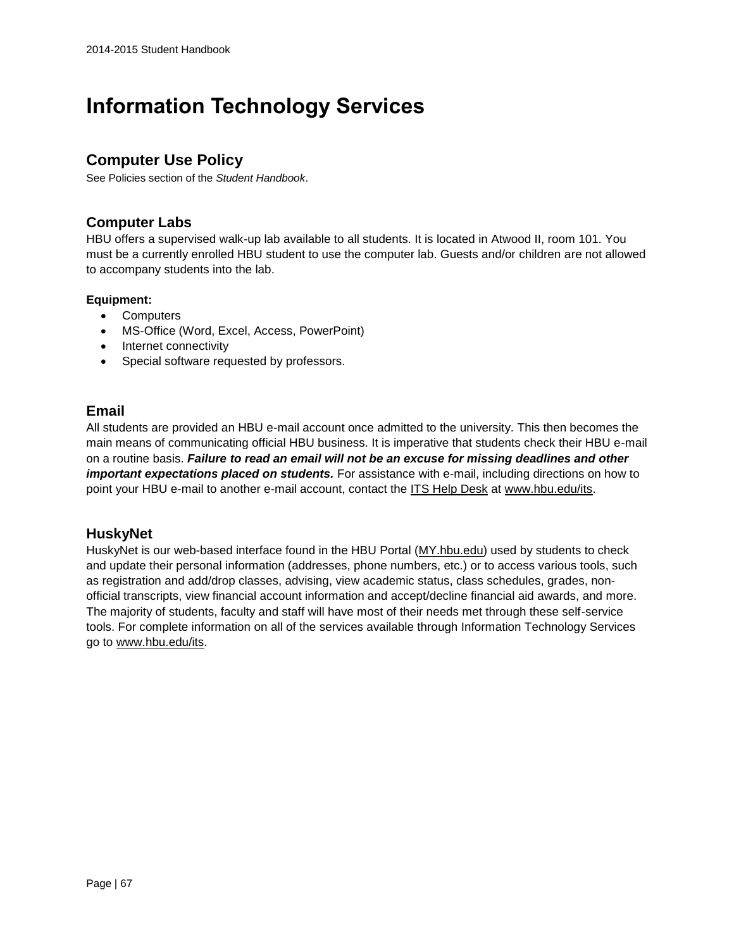# **Information Technology Services**

# **Computer Use Policy**

See Policies section of the *Student Handbook*.

## **Computer Labs**

HBU offers a supervised walk-up lab available to all students. It is located in Atwood II, room 101. You must be a currently enrolled HBU student to use the computer lab. Guests and/or children are not allowed to accompany students into the lab.

#### **Equipment:**

- Computers
- MS-Office (Word, Excel, Access, PowerPoint)
- Internet connectivity
- Special software requested by professors.

# **Email**

All students are provided an HBU e-mail account once admitted to the university. This then becomes the main means of communicating official HBU business. It is imperative that students check their HBU e-mail on a routine basis. *Failure to read an email will not be an excuse for missing deadlines and other important expectations placed on students.* For assistance with e-mail, including directions on how to point your HBU e-mail to another e-mail account, contact the [ITS Help Desk](https://hbu.edu/Students-Alumni/Student-Resources/Information-Technology-Services-(ITS).aspx) at [www.hbu.edu/its.](https://hbu.edu/Students-Alumni/Student-Resources/Student-Handbook/Student-Resources/www.hbu.edu/its)

# **HuskyNet**

HuskyNet is our web-based interface found in the HBU Portal [\(MY.hbu.edu\)](http://my.hbu.edu/) used by students to check and update their personal information (addresses, phone numbers, etc.) or to access various tools, such as registration and add/drop classes, advising, view academic status, class schedules, grades, nonofficial transcripts, view financial account information and accept/decline financial aid awards, and more. The majority of students, faculty and staff will have most of their needs met through these self-service tools. For complete information on all of the services available through Information Technology Services go to [www.hbu.edu/its.](https://hbu.edu/Students-Alumni/Student-Resources/Student-Handbook/Student-Resources/www.hbu.edu/its)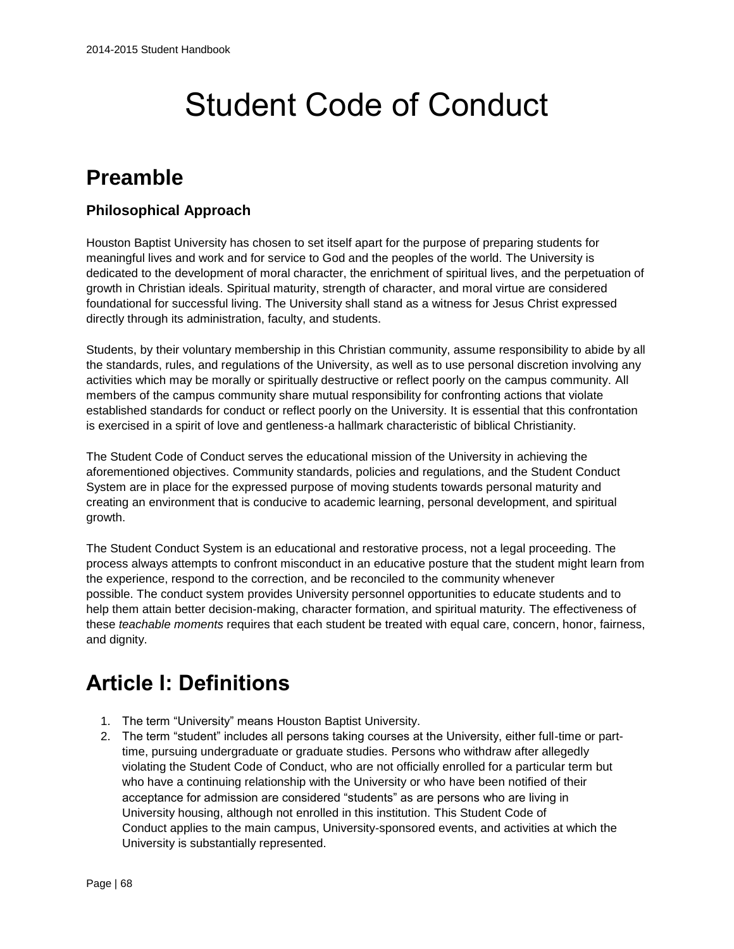# Student Code of Conduct

# **Preamble**

# **Philosophical Approach**

Houston Baptist University has chosen to set itself apart for the purpose of preparing students for meaningful lives and work and for service to God and the peoples of the world. The University is dedicated to the development of moral character, the enrichment of spiritual lives, and the perpetuation of growth in Christian ideals. Spiritual maturity, strength of character, and moral virtue are considered foundational for successful living. The University shall stand as a witness for Jesus Christ expressed directly through its administration, faculty, and students.

Students, by their voluntary membership in this Christian community, assume responsibility to abide by all the standards, rules, and regulations of the University, as well as to use personal discretion involving any activities which may be morally or spiritually destructive or reflect poorly on the campus community. All members of the campus community share mutual responsibility for confronting actions that violate established standards for conduct or reflect poorly on the University. It is essential that this confrontation is exercised in a spirit of love and gentleness-a hallmark characteristic of biblical Christianity.

The Student Code of Conduct serves the educational mission of the University in achieving the aforementioned objectives. Community standards, policies and regulations, and the Student Conduct System are in place for the expressed purpose of moving students towards personal maturity and creating an environment that is conducive to academic learning, personal development, and spiritual growth.

The Student Conduct System is an educational and restorative process, not a legal proceeding. The process always attempts to confront misconduct in an educative posture that the student might learn from the experience, respond to the correction, and be reconciled to the community whenever possible. The conduct system provides University personnel opportunities to educate students and to help them attain better decision-making, character formation, and spiritual maturity. The effectiveness of these *teachable moments* requires that each student be treated with equal care, concern, honor, fairness, and dignity.

# **Article I: Definitions**

- 1. The term "University" means Houston Baptist University.
- 2. The term "student" includes all persons taking courses at the University, either full-time or parttime, pursuing undergraduate or graduate studies. Persons who withdraw after allegedly violating the Student Code of Conduct, who are not officially enrolled for a particular term but who have a continuing relationship with the University or who have been notified of their acceptance for admission are considered "students" as are persons who are living in University housing, although not enrolled in this institution. This Student Code of Conduct applies to the main campus, University-sponsored events, and activities at which the University is substantially represented.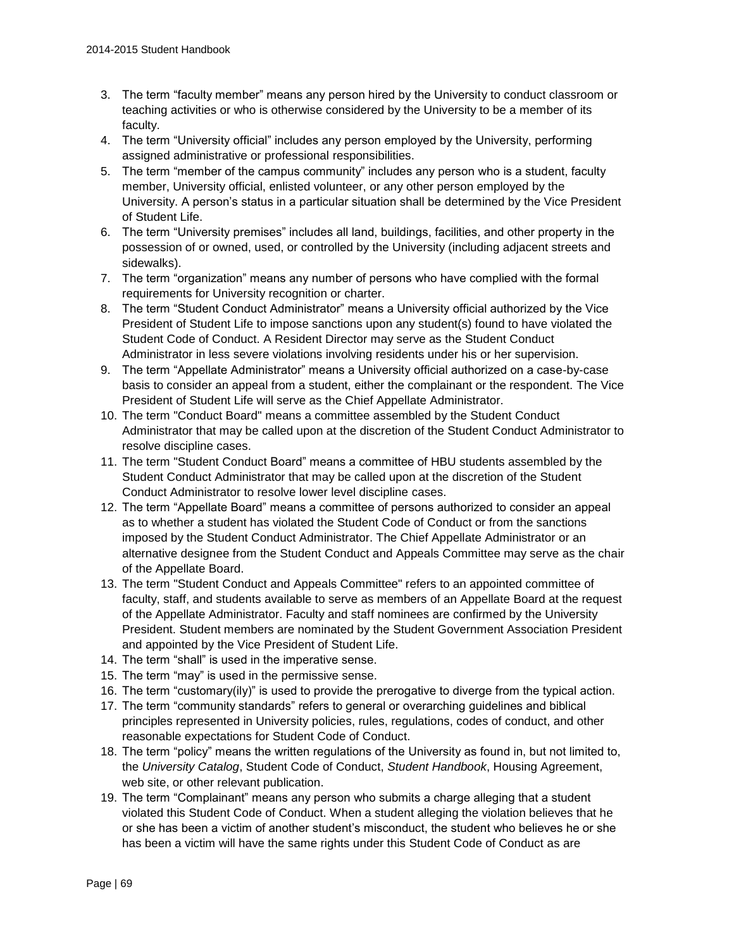- 3. The term "faculty member" means any person hired by the University to conduct classroom or teaching activities or who is otherwise considered by the University to be a member of its faculty.
- 4. The term "University official" includes any person employed by the University, performing assigned administrative or professional responsibilities.
- 5. The term "member of the campus community" includes any person who is a student, faculty member, University official, enlisted volunteer, or any other person employed by the University. A person's status in a particular situation shall be determined by the Vice President of Student Life.
- 6. The term "University premises" includes all land, buildings, facilities, and other property in the possession of or owned, used, or controlled by the University (including adjacent streets and sidewalks).
- 7. The term "organization" means any number of persons who have complied with the formal requirements for University recognition or charter.
- 8. The term "Student Conduct Administrator" means a University official authorized by the Vice President of Student Life to impose sanctions upon any student(s) found to have violated the Student Code of Conduct. A Resident Director may serve as the Student Conduct Administrator in less severe violations involving residents under his or her supervision.
- 9. The term "Appellate Administrator" means a University official authorized on a case-by-case basis to consider an appeal from a student, either the complainant or the respondent. The Vice President of Student Life will serve as the Chief Appellate Administrator.
- 10. The term "Conduct Board" means a committee assembled by the Student Conduct Administrator that may be called upon at the discretion of the Student Conduct Administrator to resolve discipline cases.
- 11. The term "Student Conduct Board" means a committee of HBU students assembled by the Student Conduct Administrator that may be called upon at the discretion of the Student Conduct Administrator to resolve lower level discipline cases.
- 12. The term "Appellate Board" means a committee of persons authorized to consider an appeal as to whether a student has violated the Student Code of Conduct or from the sanctions imposed by the Student Conduct Administrator. The Chief Appellate Administrator or an alternative designee from the Student Conduct and Appeals Committee may serve as the chair of the Appellate Board.
- 13. The term "Student Conduct and Appeals Committee" refers to an appointed committee of faculty, staff, and students available to serve as members of an Appellate Board at the request of the Appellate Administrator. Faculty and staff nominees are confirmed by the University President. Student members are nominated by the Student Government Association President and appointed by the Vice President of Student Life.
- 14. The term "shall" is used in the imperative sense.
- 15. The term "may" is used in the permissive sense.
- 16. The term "customary(ily)" is used to provide the prerogative to diverge from the typical action.
- 17. The term "community standards" refers to general or overarching guidelines and biblical principles represented in University policies, rules, regulations, codes of conduct, and other reasonable expectations for Student Code of Conduct.
- 18. The term "policy" means the written regulations of the University as found in, but not limited to, the *University Catalog*, Student Code of Conduct, *Student Handbook*, Housing Agreement, web site, or other relevant publication.
- 19. The term "Complainant" means any person who submits a charge alleging that a student violated this Student Code of Conduct. When a student alleging the violation believes that he or she has been a victim of another student's misconduct, the student who believes he or she has been a victim will have the same rights under this Student Code of Conduct as are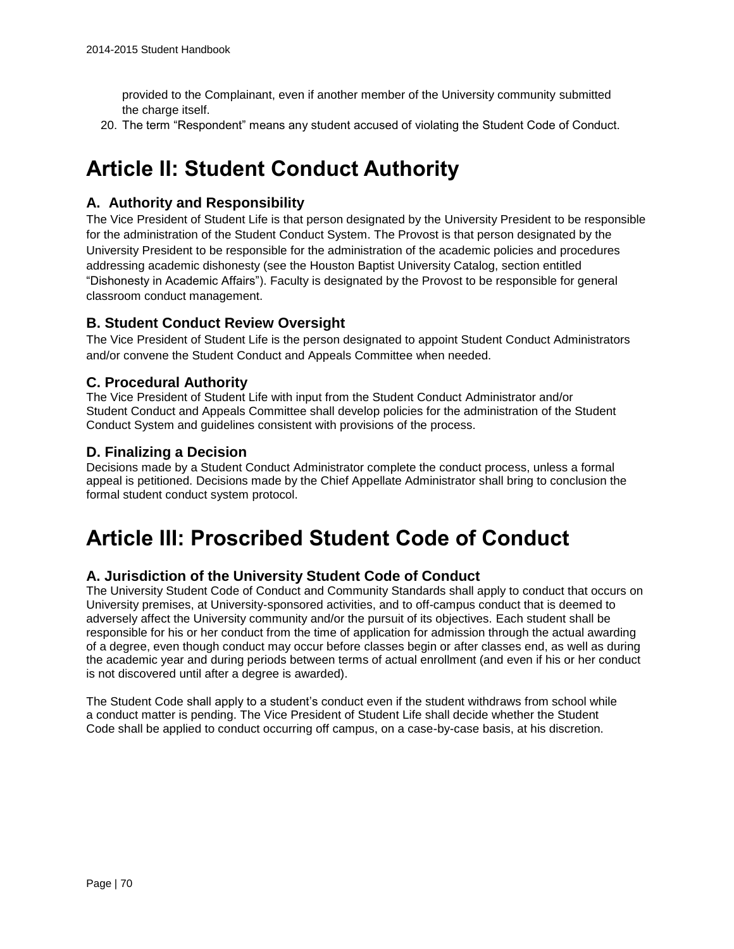provided to the Complainant, even if another member of the University community submitted the charge itself.

20. The term "Respondent" means any student accused of violating the Student Code of Conduct.

# **Article II: Student Conduct Authority**

# **A. Authority and Responsibility**

The Vice President of Student Life is that person designated by the University President to be responsible for the administration of the Student Conduct System. The Provost is that person designated by the University President to be responsible for the administration of the academic policies and procedures addressing academic dishonesty (see the Houston Baptist University Catalog, section entitled "Dishonesty in Academic Affairs"). Faculty is designated by the Provost to be responsible for general classroom conduct management.

# **B. Student Conduct Review Oversight**

The Vice President of Student Life is the person designated to appoint Student Conduct Administrators and/or convene the Student Conduct and Appeals Committee when needed.

# **C. Procedural Authority**

The Vice President of Student Life with input from the Student Conduct Administrator and/or Student Conduct and Appeals Committee shall develop policies for the administration of the Student Conduct System and guidelines consistent with provisions of the process.

### **D. Finalizing a Decision**

Decisions made by a Student Conduct Administrator complete the conduct process, unless a formal appeal is petitioned. Decisions made by the Chief Appellate Administrator shall bring to conclusion the formal student conduct system protocol.

# **Article III: Proscribed Student Code of Conduct**

### **A. Jurisdiction of the University Student Code of Conduct**

The University Student Code of Conduct and Community Standards shall apply to conduct that occurs on University premises, at University-sponsored activities, and to off-campus conduct that is deemed to adversely affect the University community and/or the pursuit of its objectives. Each student shall be responsible for his or her conduct from the time of application for admission through the actual awarding of a degree, even though conduct may occur before classes begin or after classes end, as well as during the academic year and during periods between terms of actual enrollment (and even if his or her conduct is not discovered until after a degree is awarded).

The Student Code shall apply to a student's conduct even if the student withdraws from school while a conduct matter is pending. The Vice President of Student Life shall decide whether the Student Code shall be applied to conduct occurring off campus, on a case-by-case basis, at his discretion.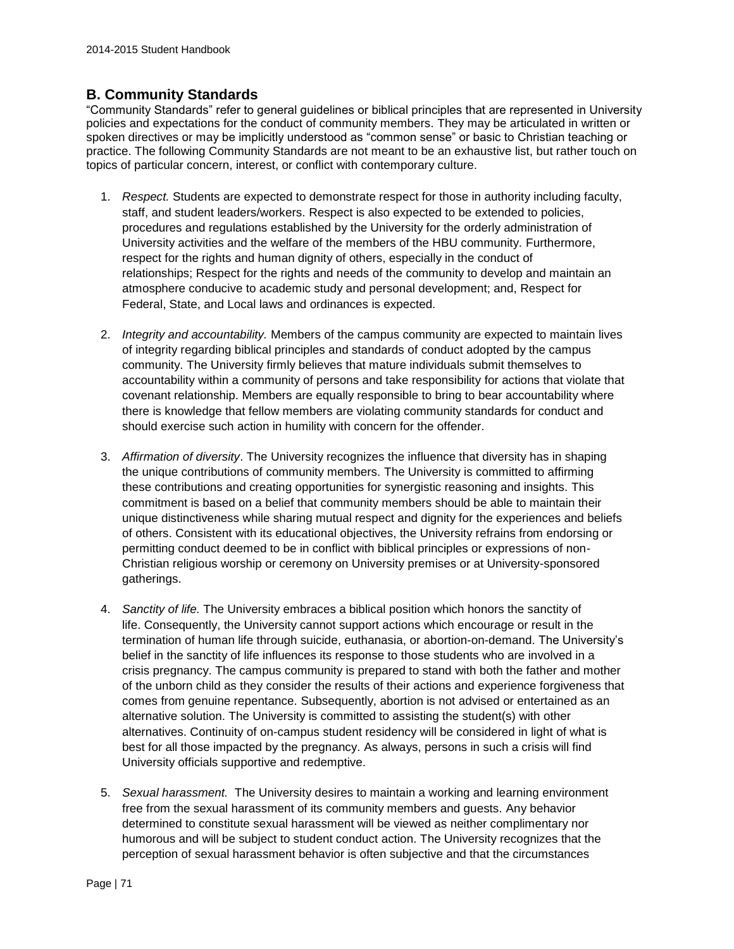# **B. Community Standards**

"Community Standards" refer to general guidelines or biblical principles that are represented in University policies and expectations for the conduct of community members. They may be articulated in written or spoken directives or may be implicitly understood as "common sense" or basic to Christian teaching or practice. The following Community Standards are not meant to be an exhaustive list, but rather touch on topics of particular concern, interest, or conflict with contemporary culture.

- 1. *Respect.* Students are expected to demonstrate respect for those in authority including faculty, staff, and student leaders/workers. Respect is also expected to be extended to policies, procedures and regulations established by the University for the orderly administration of University activities and the welfare of the members of the HBU community. Furthermore, respect for the rights and human dignity of others, especially in the conduct of relationships; Respect for the rights and needs of the community to develop and maintain an atmosphere conducive to academic study and personal development; and, Respect for Federal, State, and Local laws and ordinances is expected.
- 2. *Integrity and accountability.* Members of the campus community are expected to maintain lives of integrity regarding biblical principles and standards of conduct adopted by the campus community. The University firmly believes that mature individuals submit themselves to accountability within a community of persons and take responsibility for actions that violate that covenant relationship. Members are equally responsible to bring to bear accountability where there is knowledge that fellow members are violating community standards for conduct and should exercise such action in humility with concern for the offender.
- 3. *Affirmation of diversity*. The University recognizes the influence that diversity has in shaping the unique contributions of community members. The University is committed to affirming these contributions and creating opportunities for synergistic reasoning and insights. This commitment is based on a belief that community members should be able to maintain their unique distinctiveness while sharing mutual respect and dignity for the experiences and beliefs of others. Consistent with its educational objectives, the University refrains from endorsing or permitting conduct deemed to be in conflict with biblical principles or expressions of non-Christian religious worship or ceremony on University premises or at University-sponsored gatherings.
- 4. *Sanctity of life.* The University embraces a biblical position which honors the sanctity of life. Consequently, the University cannot support actions which encourage or result in the termination of human life through suicide, euthanasia, or abortion-on-demand. The University's belief in the sanctity of life influences its response to those students who are involved in a crisis pregnancy. The campus community is prepared to stand with both the father and mother of the unborn child as they consider the results of their actions and experience forgiveness that comes from genuine repentance. Subsequently, abortion is not advised or entertained as an alternative solution. The University is committed to assisting the student(s) with other alternatives. Continuity of on-campus student residency will be considered in light of what is best for all those impacted by the pregnancy. As always, persons in such a crisis will find University officials supportive and redemptive.
- 5. *Sexual harassment.* The University desires to maintain a working and learning environment free from the sexual harassment of its community members and guests. Any behavior determined to constitute sexual harassment will be viewed as neither complimentary nor humorous and will be subject to student conduct action. The University recognizes that the perception of sexual harassment behavior is often subjective and that the circumstances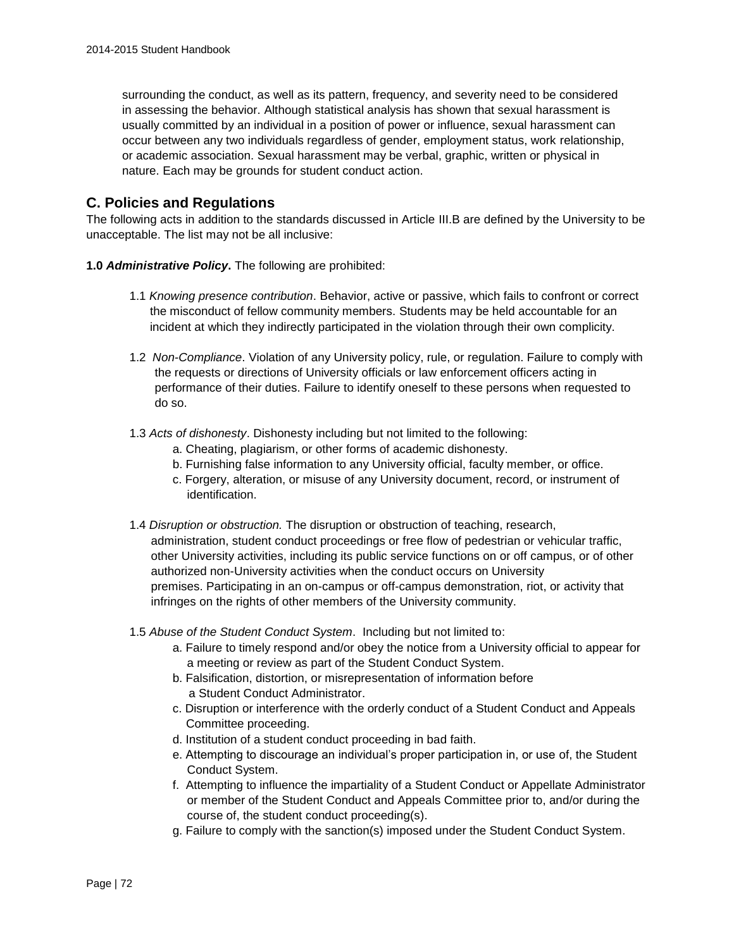surrounding the conduct, as well as its pattern, frequency, and severity need to be considered in assessing the behavior. Although statistical analysis has shown that sexual harassment is usually committed by an individual in a position of power or influence, sexual harassment can occur between any two individuals regardless of gender, employment status, work relationship, or academic association. Sexual harassment may be verbal, graphic, written or physical in nature. Each may be grounds for student conduct action.

# **C. Policies and Regulations**

The following acts in addition to the standards discussed in Article III.B are defined by the University to be unacceptable. The list may not be all inclusive:

- **1.0** *Administrative Policy***.** The following are prohibited:
	- 1.1 *Knowing presence contribution*. Behavior, active or passive, which fails to confront or correct the misconduct of fellow community members. Students may be held accountable for an incident at which they indirectly participated in the violation through their own complicity.
	- 1.2 *Non-Compliance*. Violation of any University policy, rule, or regulation. Failure to comply with the requests or directions of University officials or law enforcement officers acting in performance of their duties. Failure to identify oneself to these persons when requested to do so.
	- 1.3 *Acts of dishonesty*. Dishonesty including but not limited to the following:
		- a. Cheating, plagiarism, or other forms of academic dishonesty.
		- b. Furnishing false information to any University official, faculty member, or office.
		- c. Forgery, alteration, or misuse of any University document, record, or instrument of identification.
	- 1.4 *Disruption or obstruction.* The disruption or obstruction of teaching, research, administration, student conduct proceedings or free flow of pedestrian or vehicular traffic, other University activities, including its public service functions on or off campus, or of other authorized non-University activities when the conduct occurs on University premises. Participating in an on-campus or off-campus demonstration, riot, or activity that infringes on the rights of other members of the University community.
	- 1.5 *Abuse of the Student Conduct System*. Including but not limited to:
		- a. Failure to timely respond and/or obey the notice from a University official to appear for a meeting or review as part of the Student Conduct System.
		- b. Falsification, distortion, or misrepresentation of information before a Student Conduct Administrator.
		- c. Disruption or interference with the orderly conduct of a Student Conduct and Appeals Committee proceeding.
		- d. Institution of a student conduct proceeding in bad faith.
		- e. Attempting to discourage an individual's proper participation in, or use of, the Student Conduct System.
		- f. Attempting to influence the impartiality of a Student Conduct or Appellate Administrator or member of the Student Conduct and Appeals Committee prior to, and/or during the course of, the student conduct proceeding(s).
		- g. Failure to comply with the sanction(s) imposed under the Student Conduct System.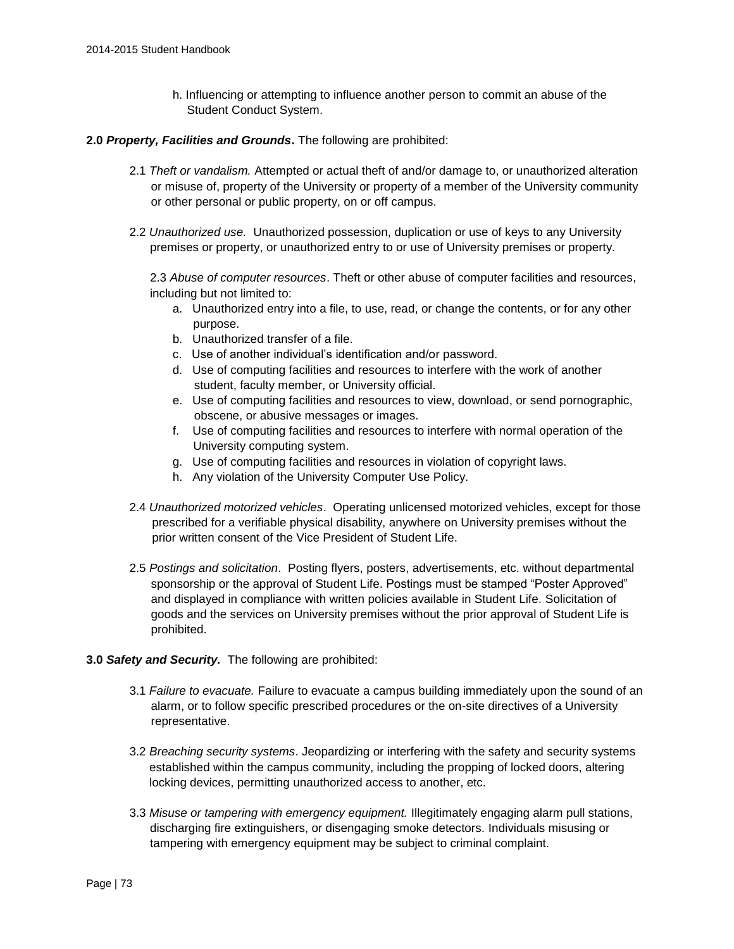h. Influencing or attempting to influence another person to commit an abuse of the Student Conduct System.

#### **2.0** *Property, Facilities and Grounds***.** The following are prohibited:

- 2.1 *Theft or vandalism.* Attempted or actual theft of and/or damage to, or unauthorized alteration or misuse of, property of the University or property of a member of the University community or other personal or public property, on or off campus.
- 2.2 *Unauthorized use.* Unauthorized possession, duplication or use of keys to any University premises or property, or unauthorized entry to or use of University premises or property.

2.3 *Abuse of computer resources*. Theft or other abuse of computer facilities and resources, including but not limited to:

- a. Unauthorized entry into a file, to use, read, or change the contents, or for any other purpose.
- b. Unauthorized transfer of a file.
- c. Use of another individual's identification and/or password.
- d. Use of computing facilities and resources to interfere with the work of another student, faculty member, or University official.
- e. Use of computing facilities and resources to view, download, or send pornographic, obscene, or abusive messages or images.
- f. Use of computing facilities and resources to interfere with normal operation of the University computing system.
- g. Use of computing facilities and resources in violation of copyright laws.
- h. Any violation of the University Computer Use Policy.
- 2.4 *Unauthorized motorized vehicles*. Operating unlicensed motorized vehicles, except for those prescribed for a verifiable physical disability, anywhere on University premises without the prior written consent of the Vice President of Student Life.
- 2.5 *Postings and solicitation*. Posting flyers, posters, advertisements, etc. without departmental sponsorship or the approval of Student Life. Postings must be stamped "Poster Approved" and displayed in compliance with written policies available in Student Life. Solicitation of goods and the services on University premises without the prior approval of Student Life is prohibited.

#### **3.0** *Safety and Security.* The following are prohibited:

- 3.1 *Failure to evacuate.* Failure to evacuate a campus building immediately upon the sound of an alarm, or to follow specific prescribed procedures or the on-site directives of a University representative.
- 3.2 *Breaching security systems*. Jeopardizing or interfering with the safety and security systems established within the campus community, including the propping of locked doors, altering locking devices, permitting unauthorized access to another, etc.
- 3.3 *Misuse or tampering with emergency equipment.* Illegitimately engaging alarm pull stations, discharging fire extinguishers, or disengaging smoke detectors. Individuals misusing or tampering with emergency equipment may be subject to criminal complaint.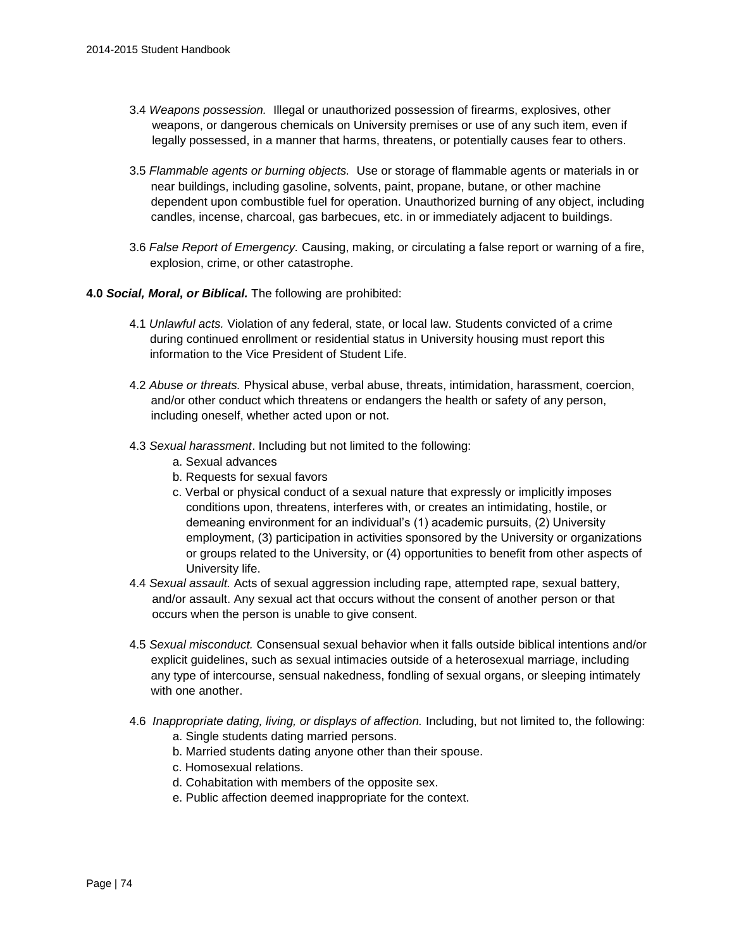- 3.4 *Weapons possession.* Illegal or unauthorized possession of firearms, explosives, other weapons, or dangerous chemicals on University premises or use of any such item, even if legally possessed, in a manner that harms, threatens, or potentially causes fear to others.
- 3.5 *Flammable agents or burning objects.* Use or storage of flammable agents or materials in or near buildings, including gasoline, solvents, paint, propane, butane, or other machine dependent upon combustible fuel for operation. Unauthorized burning of any object, including candles, incense, charcoal, gas barbecues, etc. in or immediately adjacent to buildings.
- 3.6 *False Report of Emergency.* Causing, making, or circulating a false report or warning of a fire, explosion, crime, or other catastrophe.
- **4.0** *Social, Moral, or Biblical.* The following are prohibited:
	- 4.1 *Unlawful acts.* Violation of any federal, state, or local law. Students convicted of a crime during continued enrollment or residential status in University housing must report this information to the Vice President of Student Life.
	- 4.2 *Abuse or threats.* Physical abuse, verbal abuse, threats, intimidation, harassment, coercion, and/or other conduct which threatens or endangers the health or safety of any person, including oneself, whether acted upon or not.
	- 4.3 *Sexual harassment*. Including but not limited to the following:
		- a. Sexual advances
		- b. Requests for sexual favors
		- c. Verbal or physical conduct of a sexual nature that expressly or implicitly imposes conditions upon, threatens, interferes with, or creates an intimidating, hostile, or demeaning environment for an individual's (1) academic pursuits, (2) University employment, (3) participation in activities sponsored by the University or organizations or groups related to the University, or (4) opportunities to benefit from other aspects of University life.
	- 4.4 *Sexual assault.* Acts of sexual aggression including rape, attempted rape, sexual battery, and/or assault. Any sexual act that occurs without the consent of another person or that occurs when the person is unable to give consent.
	- 4.5 *Sexual misconduct.* Consensual sexual behavior when it falls outside biblical intentions and/or explicit guidelines, such as sexual intimacies outside of a heterosexual marriage, including any type of intercourse, sensual nakedness, fondling of sexual organs, or sleeping intimately with one another.
	- 4.6 *Inappropriate dating, living, or displays of affection.* Including, but not limited to, the following: a. Single students dating married persons.
		- b. Married students dating anyone other than their spouse.
		- c. Homosexual relations.
		- d. Cohabitation with members of the opposite sex.
		- e. Public affection deemed inappropriate for the context.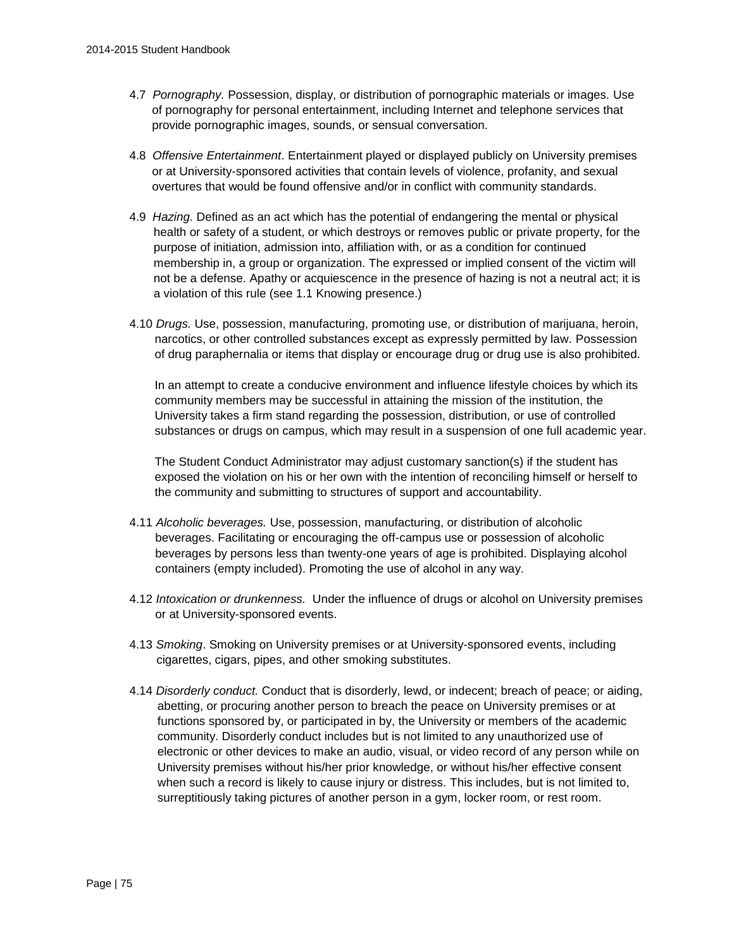- 4.7 *Pornography.* Possession, display, or distribution of pornographic materials or images*.* Use of pornography for personal entertainment, including Internet and telephone services that provide pornographic images, sounds, or sensual conversation.
- 4.8 *Offensive Entertainment*. Entertainment played or displayed publicly on University premises or at University-sponsored activities that contain levels of violence, profanity, and sexual overtures that would be found offensive and/or in conflict with community standards.
- 4.9 *Hazing.* Defined as an act which has the potential of endangering the mental or physical health or safety of a student, or which destroys or removes public or private property, for the purpose of initiation, admission into, affiliation with, or as a condition for continued membership in, a group or organization. The expressed or implied consent of the victim will not be a defense. Apathy or acquiescence in the presence of hazing is not a neutral act; it is a violation of this rule (see 1.1 Knowing presence.)
- 4.10 *Drugs.* Use, possession, manufacturing, promoting use, or distribution of marijuana, heroin, narcotics, or other controlled substances except as expressly permitted by law. Possession of drug paraphernalia or items that display or encourage drug or drug use is also prohibited.

In an attempt to create a conducive environment and influence lifestyle choices by which its community members may be successful in attaining the mission of the institution, the University takes a firm stand regarding the possession, distribution, or use of controlled substances or drugs on campus, which may result in a suspension of one full academic year.

The Student Conduct Administrator may adjust customary sanction(s) if the student has exposed the violation on his or her own with the intention of reconciling himself or herself to the community and submitting to structures of support and accountability.

- 4.11 *Alcoholic beverages.* Use, possession, manufacturing, or distribution of alcoholic beverages. Facilitating or encouraging the off-campus use or possession of alcoholic beverages by persons less than twenty-one years of age is prohibited. Displaying alcohol containers (empty included). Promoting the use of alcohol in any way.
- 4.12 *Intoxication or drunkenness.* Under the influence of drugs or alcohol on University premises or at University-sponsored events.
- 4.13 *Smoking*. Smoking on University premises or at University-sponsored events, including cigarettes, cigars, pipes, and other smoking substitutes.
- 4.14 *Disorderly conduct.* Conduct that is disorderly, lewd, or indecent; breach of peace; or aiding, abetting, or procuring another person to breach the peace on University premises or at functions sponsored by, or participated in by, the University or members of the academic community. Disorderly conduct includes but is not limited to any unauthorized use of electronic or other devices to make an audio, visual, or video record of any person while on University premises without his/her prior knowledge, or without his/her effective consent when such a record is likely to cause injury or distress. This includes, but is not limited to, surreptitiously taking pictures of another person in a gym, locker room, or rest room.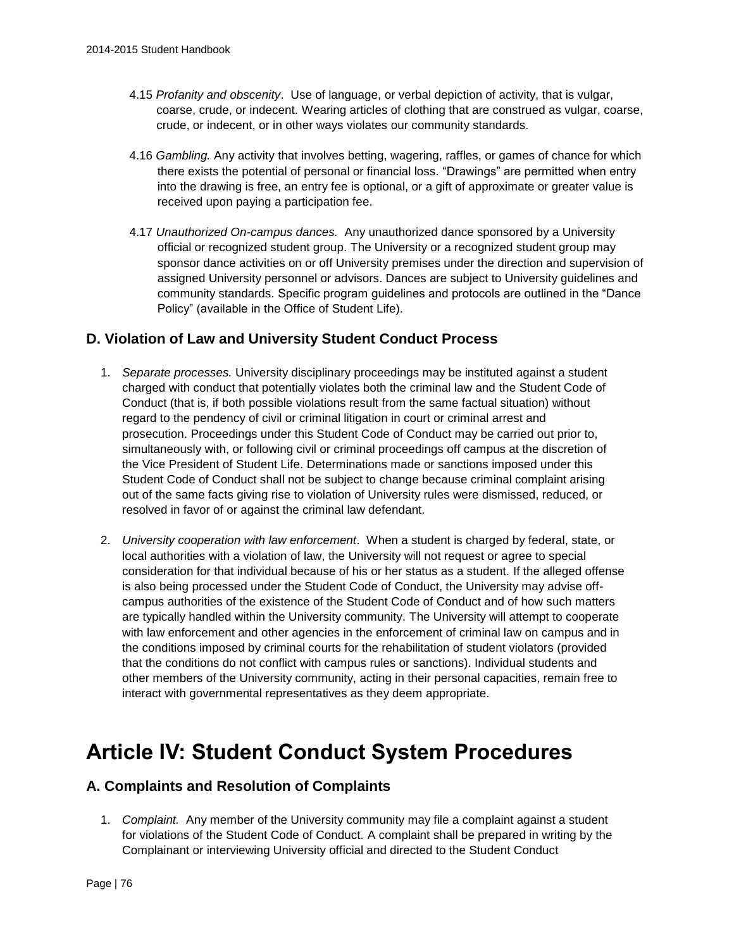- 4.15 *Profanity and obscenity*. Use of language, or verbal depiction of activity, that is vulgar, coarse, crude, or indecent. Wearing articles of clothing that are construed as vulgar, coarse, crude, or indecent, or in other ways violates our community standards.
- 4.16 *Gambling.* Any activity that involves betting, wagering, raffles, or games of chance for which there exists the potential of personal or financial loss. "Drawings" are permitted when entry into the drawing is free, an entry fee is optional, or a gift of approximate or greater value is received upon paying a participation fee.
- 4.17 *Unauthorized On-campus dances.* Any unauthorized dance sponsored by a University official or recognized student group. The University or a recognized student group may sponsor dance activities on or off University premises under the direction and supervision of assigned University personnel or advisors. Dances are subject to University guidelines and community standards. Specific program guidelines and protocols are outlined in the "Dance Policy" (available in the Office of Student Life).

# **D. Violation of Law and University Student Conduct Process**

- 1. *Separate processes.* University disciplinary proceedings may be instituted against a student charged with conduct that potentially violates both the criminal law and the Student Code of Conduct (that is, if both possible violations result from the same factual situation) without regard to the pendency of civil or criminal litigation in court or criminal arrest and prosecution. Proceedings under this Student Code of Conduct may be carried out prior to, simultaneously with, or following civil or criminal proceedings off campus at the discretion of the Vice President of Student Life. Determinations made or sanctions imposed under this Student Code of Conduct shall not be subject to change because criminal complaint arising out of the same facts giving rise to violation of University rules were dismissed, reduced, or resolved in favor of or against the criminal law defendant.
- 2. *University cooperation with law enforcement*. When a student is charged by federal, state, or local authorities with a violation of law, the University will not request or agree to special consideration for that individual because of his or her status as a student. If the alleged offense is also being processed under the Student Code of Conduct, the University may advise offcampus authorities of the existence of the Student Code of Conduct and of how such matters are typically handled within the University community. The University will attempt to cooperate with law enforcement and other agencies in the enforcement of criminal law on campus and in the conditions imposed by criminal courts for the rehabilitation of student violators (provided that the conditions do not conflict with campus rules or sanctions). Individual students and other members of the University community, acting in their personal capacities, remain free to interact with governmental representatives as they deem appropriate.

# **Article IV: Student Conduct System Procedures**

# **A. Complaints and Resolution of Complaints**

1. *Complaint.* Any member of the University community may file a complaint against a student for violations of the Student Code of Conduct. A complaint shall be prepared in writing by the Complainant or interviewing University official and directed to the Student Conduct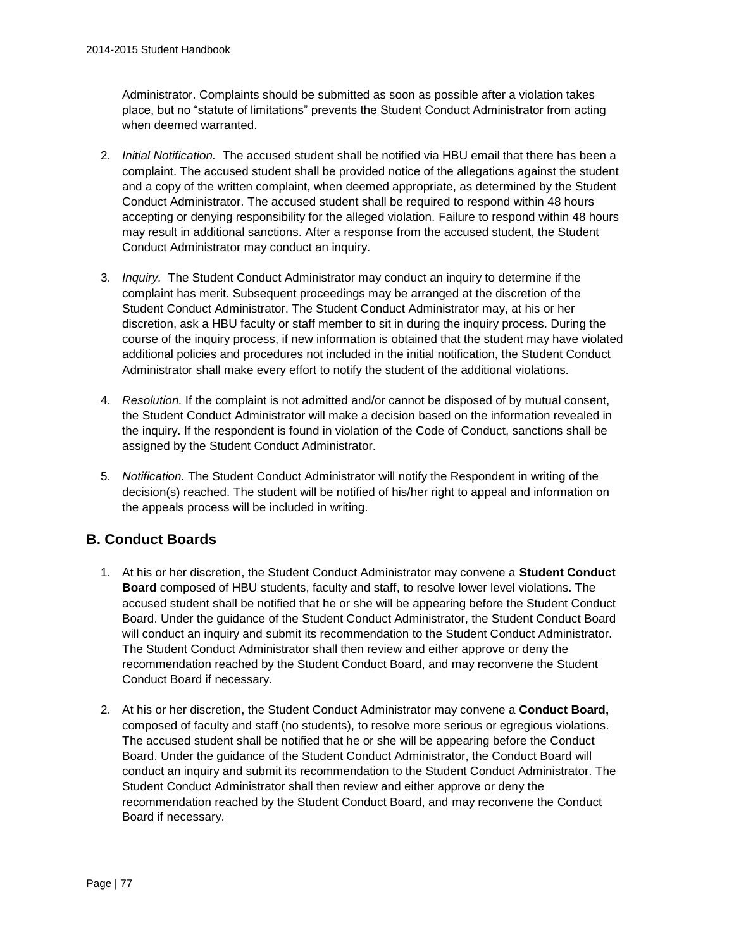Administrator. Complaints should be submitted as soon as possible after a violation takes place, but no "statute of limitations" prevents the Student Conduct Administrator from acting when deemed warranted.

- 2. *Initial Notification.* The accused student shall be notified via HBU email that there has been a complaint. The accused student shall be provided notice of the allegations against the student and a copy of the written complaint, when deemed appropriate, as determined by the Student Conduct Administrator. The accused student shall be required to respond within 48 hours accepting or denying responsibility for the alleged violation. Failure to respond within 48 hours may result in additional sanctions. After a response from the accused student, the Student Conduct Administrator may conduct an inquiry.
- 3. *Inquiry.* The Student Conduct Administrator may conduct an inquiry to determine if the complaint has merit. Subsequent proceedings may be arranged at the discretion of the Student Conduct Administrator. The Student Conduct Administrator may, at his or her discretion, ask a HBU faculty or staff member to sit in during the inquiry process. During the course of the inquiry process, if new information is obtained that the student may have violated additional policies and procedures not included in the initial notification, the Student Conduct Administrator shall make every effort to notify the student of the additional violations.
- 4. *Resolution.* If the complaint is not admitted and/or cannot be disposed of by mutual consent, the Student Conduct Administrator will make a decision based on the information revealed in the inquiry. If the respondent is found in violation of the Code of Conduct, sanctions shall be assigned by the Student Conduct Administrator.
- 5. *Notification.* The Student Conduct Administrator will notify the Respondent in writing of the decision(s) reached. The student will be notified of his/her right to appeal and information on the appeals process will be included in writing.

# **B. Conduct Boards**

- 1. At his or her discretion, the Student Conduct Administrator may convene a **Student Conduct Board** composed of HBU students, faculty and staff, to resolve lower level violations. The accused student shall be notified that he or she will be appearing before the Student Conduct Board. Under the guidance of the Student Conduct Administrator, the Student Conduct Board will conduct an inquiry and submit its recommendation to the Student Conduct Administrator. The Student Conduct Administrator shall then review and either approve or deny the recommendation reached by the Student Conduct Board, and may reconvene the Student Conduct Board if necessary.
- 2. At his or her discretion, the Student Conduct Administrator may convene a **Conduct Board,**  composed of faculty and staff (no students), to resolve more serious or egregious violations. The accused student shall be notified that he or she will be appearing before the Conduct Board. Under the guidance of the Student Conduct Administrator, the Conduct Board will conduct an inquiry and submit its recommendation to the Student Conduct Administrator. The Student Conduct Administrator shall then review and either approve or deny the recommendation reached by the Student Conduct Board, and may reconvene the Conduct Board if necessary.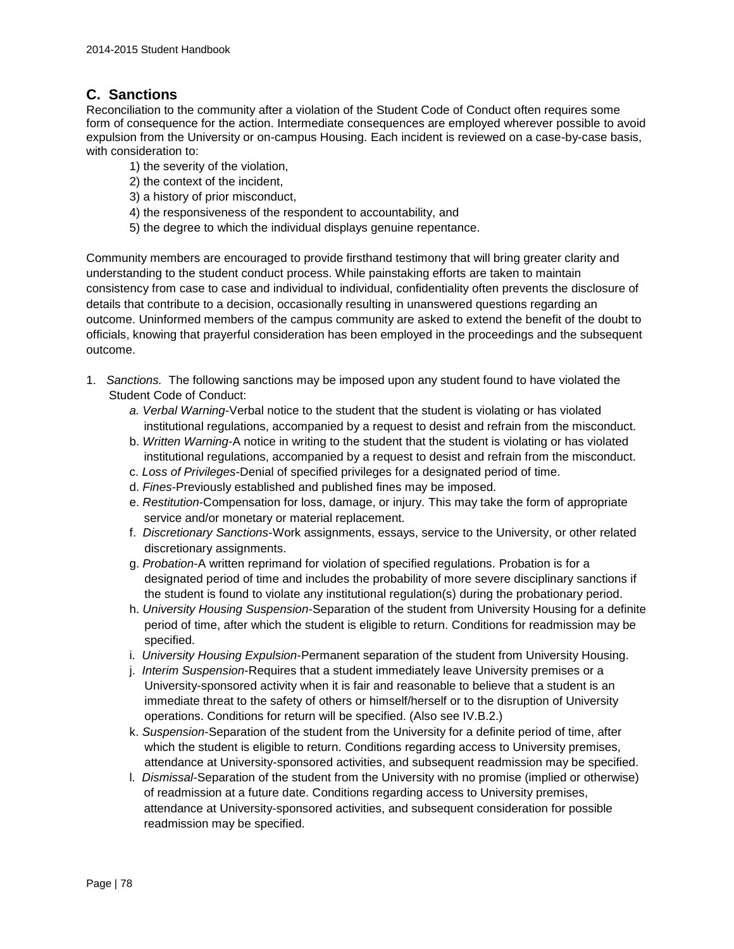## **C. Sanctions**

Reconciliation to the community after a violation of the Student Code of Conduct often requires some form of consequence for the action. Intermediate consequences are employed wherever possible to avoid expulsion from the University or on-campus Housing. Each incident is reviewed on a case-by-case basis, with consideration to:

- 1) the severity of the violation,
- 2) the context of the incident,
- 3) a history of prior misconduct,
- 4) the responsiveness of the respondent to accountability, and
- 5) the degree to which the individual displays genuine repentance.

Community members are encouraged to provide firsthand testimony that will bring greater clarity and understanding to the student conduct process. While painstaking efforts are taken to maintain consistency from case to case and individual to individual, confidentiality often prevents the disclosure of details that contribute to a decision, occasionally resulting in unanswered questions regarding an outcome. Uninformed members of the campus community are asked to extend the benefit of the doubt to officials, knowing that prayerful consideration has been employed in the proceedings and the subsequent outcome.

- 1. *Sanctions.* The following sanctions may be imposed upon any student found to have violated the Student Code of Conduct:
	- *a. Verbal Warning*-Verbal notice to the student that the student is violating or has violated institutional regulations, accompanied by a request to desist and refrain from the misconduct.
	- b. *Written Warning*-A notice in writing to the student that the student is violating or has violated institutional regulations, accompanied by a request to desist and refrain from the misconduct.
	- c. *Loss of Privileges*-Denial of specified privileges for a designated period of time.
	- d. *Fines*-Previously established and published fines may be imposed.
	- e. *Restitution*-Compensation for loss, damage, or injury. This may take the form of appropriate service and/or monetary or material replacement.
	- f. *Discretionary Sanctions*-Work assignments, essays, service to the University, or other related discretionary assignments.
	- g. *Probation*-A written reprimand for violation of specified regulations. Probation is for a designated period of time and includes the probability of more severe disciplinary sanctions if the student is found to violate any institutional regulation(s) during the probationary period.
	- h. *University Housing Suspension*-Separation of the student from University Housing for a definite period of time, after which the student is eligible to return. Conditions for readmission may be specified.
	- i. *University Housing Expulsion*-Permanent separation of the student from University Housing.
	- j. *Interim Suspension*-Requires that a student immediately leave University premises or a University-sponsored activity when it is fair and reasonable to believe that a student is an immediate threat to the safety of others or himself/herself or to the disruption of University operations. Conditions for return will be specified. (Also see IV.B.2.)
	- k. *Suspension*-Separation of the student from the University for a definite period of time, after which the student is eligible to return. Conditions regarding access to University premises, attendance at University-sponsored activities, and subsequent readmission may be specified.
	- l. *Dismissal-*Separation of the student from the University with no promise (implied or otherwise) of readmission at a future date. Conditions regarding access to University premises, attendance at University-sponsored activities, and subsequent consideration for possible readmission may be specified.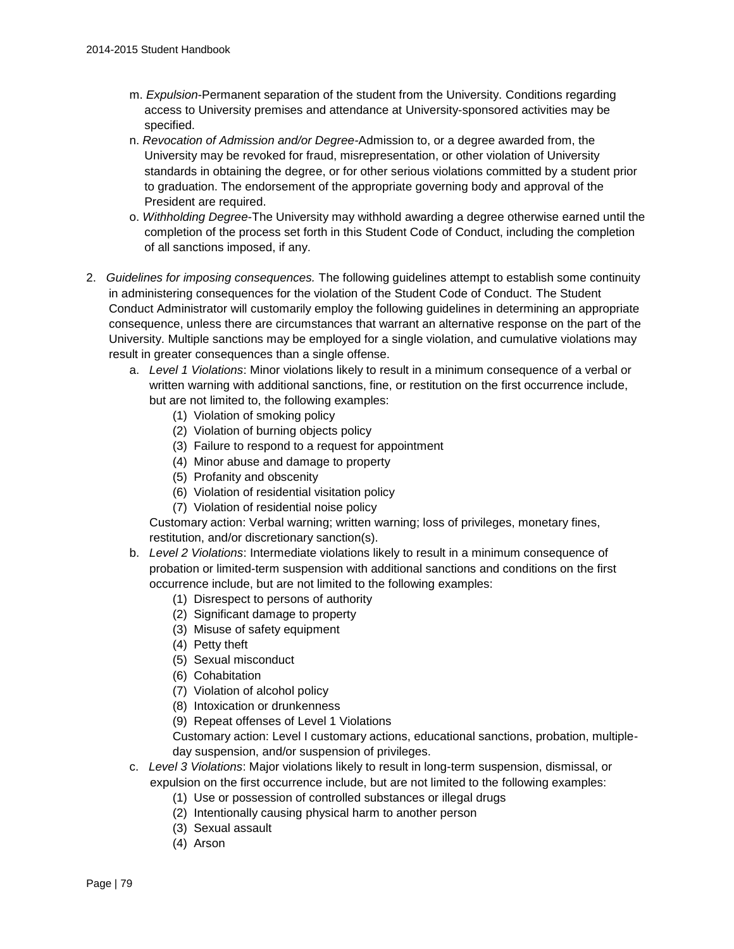- m. *Expulsion*-Permanent separation of the student from the University. Conditions regarding access to University premises and attendance at University-sponsored activities may be specified.
- n. *Revocation of Admission and/or Degree-*Admission to, or a degree awarded from, the University may be revoked for fraud, misrepresentation, or other violation of University standards in obtaining the degree, or for other serious violations committed by a student prior to graduation. The endorsement of the appropriate governing body and approval of the President are required.
- o. *Withholding Degree*-The University may withhold awarding a degree otherwise earned until the completion of the process set forth in this Student Code of Conduct, including the completion of all sanctions imposed, if any.
- 2. *Guidelines for imposing consequences.* The following guidelines attempt to establish some continuity in administering consequences for the violation of the Student Code of Conduct. The Student Conduct Administrator will customarily employ the following guidelines in determining an appropriate consequence, unless there are circumstances that warrant an alternative response on the part of the University. Multiple sanctions may be employed for a single violation, and cumulative violations may result in greater consequences than a single offense.
	- a. *Level 1 Violations*: Minor violations likely to result in a minimum consequence of a verbal or written warning with additional sanctions, fine, or restitution on the first occurrence include, but are not limited to, the following examples:
		- (1) Violation of smoking policy
		- (2) Violation of burning objects policy
		- (3) Failure to respond to a request for appointment
		- (4) Minor abuse and damage to property
		- (5) Profanity and obscenity
		- (6) Violation of residential visitation policy
		- (7) Violation of residential noise policy

Customary action: Verbal warning; written warning; loss of privileges, monetary fines, restitution, and/or discretionary sanction(s).

- b. *Level 2 Violations*: Intermediate violations likely to result in a minimum consequence of probation or limited-term suspension with additional sanctions and conditions on the first occurrence include, but are not limited to the following examples:
	- (1) Disrespect to persons of authority
	- (2) Significant damage to property
	- (3) Misuse of safety equipment
	- (4) Petty theft
	- (5) Sexual misconduct
	- (6) Cohabitation
	- (7) Violation of alcohol policy
	- (8) Intoxication or drunkenness
	- (9) Repeat offenses of Level 1 Violations

Customary action: Level I customary actions, educational sanctions, probation, multipleday suspension, and/or suspension of privileges.

- c. *Level 3 Violations*: Major violations likely to result in long-term suspension, dismissal, or expulsion on the first occurrence include, but are not limited to the following examples:
	- (1) Use or possession of controlled substances or illegal drugs
	- (2) Intentionally causing physical harm to another person
	- (3) Sexual assault
	- (4) Arson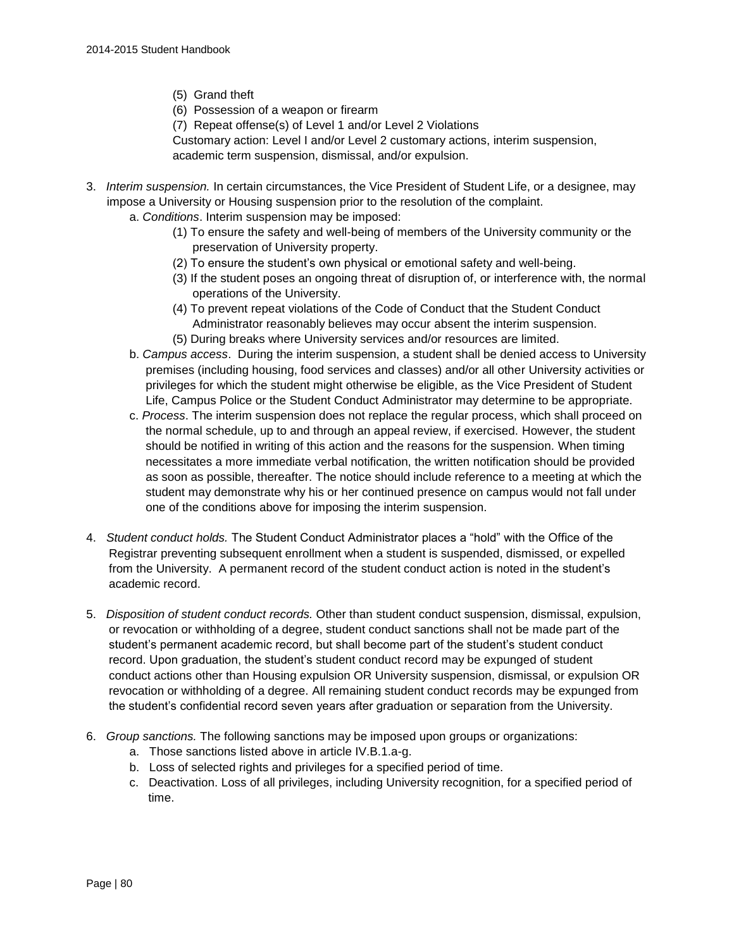- (5) Grand theft
- (6) Possession of a weapon or firearm
- (7) Repeat offense(s) of Level 1 and/or Level 2 Violations

Customary action: Level I and/or Level 2 customary actions, interim suspension, academic term suspension, dismissal, and/or expulsion.

- 3. *Interim suspension.* In certain circumstances, the Vice President of Student Life, or a designee, may impose a University or Housing suspension prior to the resolution of the complaint.
	- a. *Conditions*. Interim suspension may be imposed:
		- (1) To ensure the safety and well-being of members of the University community or the preservation of University property.
		- (2) To ensure the student's own physical or emotional safety and well-being.
		- (3) If the student poses an ongoing threat of disruption of, or interference with, the normal operations of the University.
		- (4) To prevent repeat violations of the Code of Conduct that the Student Conduct Administrator reasonably believes may occur absent the interim suspension. (5) During breaks where University services and/or resources are limited.
	- b. *Campus access*. During the interim suspension, a student shall be denied access to University premises (including housing, food services and classes) and/or all other University activities or privileges for which the student might otherwise be eligible, as the Vice President of Student Life, Campus Police or the Student Conduct Administrator may determine to be appropriate.
	- c. *Process*. The interim suspension does not replace the regular process, which shall proceed on the normal schedule, up to and through an appeal review, if exercised. However, the student should be notified in writing of this action and the reasons for the suspension. When timing necessitates a more immediate verbal notification, the written notification should be provided as soon as possible, thereafter. The notice should include reference to a meeting at which the student may demonstrate why his or her continued presence on campus would not fall under one of the conditions above for imposing the interim suspension.
- 4. *Student conduct holds.* The Student Conduct Administrator places a "hold" with the Office of the Registrar preventing subsequent enrollment when a student is suspended, dismissed, or expelled from the University. A permanent record of the student conduct action is noted in the student's academic record.
- 5. *Disposition of student conduct records.* Other than student conduct suspension, dismissal, expulsion, or revocation or withholding of a degree, student conduct sanctions shall not be made part of the student's permanent academic record, but shall become part of the student's student conduct record. Upon graduation, the student's student conduct record may be expunged of student conduct actions other than Housing expulsion OR University suspension, dismissal, or expulsion OR revocation or withholding of a degree. All remaining student conduct records may be expunged from the student's confidential record seven years after graduation or separation from the University.
- 6. *Group sanctions.* The following sanctions may be imposed upon groups or organizations:
	- a. Those sanctions listed above in article IV.B.1.a-g.
	- b. Loss of selected rights and privileges for a specified period of time.
	- c. Deactivation. Loss of all privileges, including University recognition, for a specified period of time.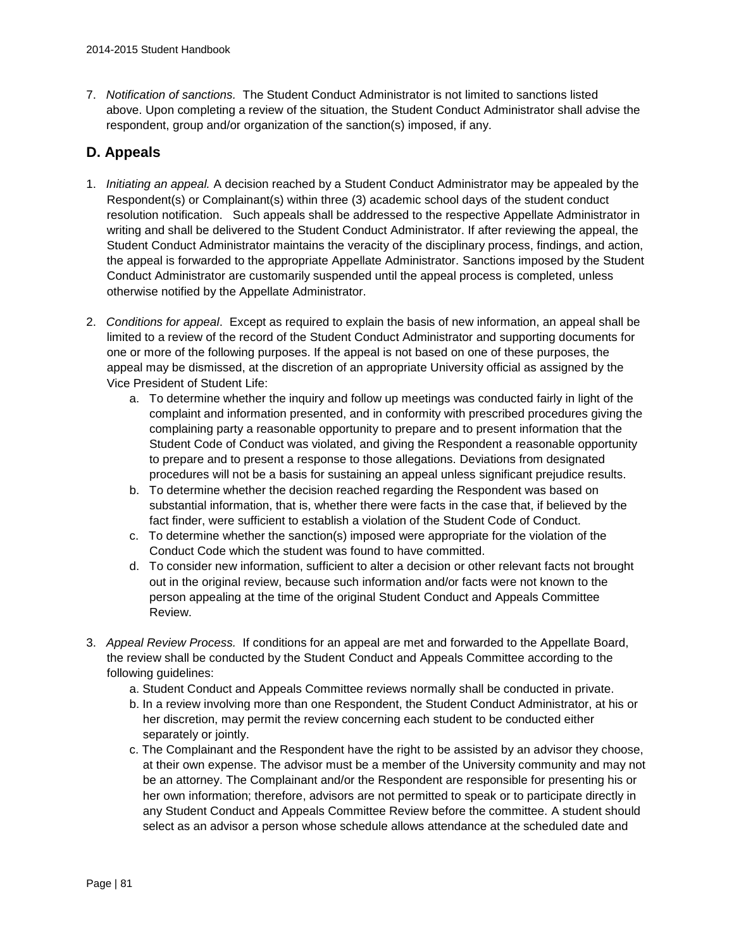7. *Notification of sanctions.* The Student Conduct Administrator is not limited to sanctions listed above. Upon completing a review of the situation, the Student Conduct Administrator shall advise the respondent, group and/or organization of the sanction(s) imposed, if any.

# **D. Appeals**

- 1. *Initiating an appeal.* A decision reached by a Student Conduct Administrator may be appealed by the Respondent(s) or Complainant(s) within three (3) academic school days of the student conduct resolution notification. Such appeals shall be addressed to the respective Appellate Administrator in writing and shall be delivered to the Student Conduct Administrator. If after reviewing the appeal, the Student Conduct Administrator maintains the veracity of the disciplinary process, findings, and action, the appeal is forwarded to the appropriate Appellate Administrator. Sanctions imposed by the Student Conduct Administrator are customarily suspended until the appeal process is completed, unless otherwise notified by the Appellate Administrator.
- 2. *Conditions for appeal*. Except as required to explain the basis of new information, an appeal shall be limited to a review of the record of the Student Conduct Administrator and supporting documents for one or more of the following purposes. If the appeal is not based on one of these purposes, the appeal may be dismissed, at the discretion of an appropriate University official as assigned by the Vice President of Student Life:
	- a. To determine whether the inquiry and follow up meetings was conducted fairly in light of the complaint and information presented, and in conformity with prescribed procedures giving the complaining party a reasonable opportunity to prepare and to present information that the Student Code of Conduct was violated, and giving the Respondent a reasonable opportunity to prepare and to present a response to those allegations. Deviations from designated procedures will not be a basis for sustaining an appeal unless significant prejudice results.
	- b. To determine whether the decision reached regarding the Respondent was based on substantial information, that is, whether there were facts in the case that, if believed by the fact finder, were sufficient to establish a violation of the Student Code of Conduct.
	- c. To determine whether the sanction(s) imposed were appropriate for the violation of the Conduct Code which the student was found to have committed.
	- d. To consider new information, sufficient to alter a decision or other relevant facts not brought out in the original review, because such information and/or facts were not known to the person appealing at the time of the original Student Conduct and Appeals Committee Review.
- 3. *Appeal Review Process.* If conditions for an appeal are met and forwarded to the Appellate Board, the review shall be conducted by the Student Conduct and Appeals Committee according to the following guidelines:
	- a. Student Conduct and Appeals Committee reviews normally shall be conducted in private.
	- b. In a review involving more than one Respondent, the Student Conduct Administrator, at his or her discretion, may permit the review concerning each student to be conducted either separately or jointly.
	- c. The Complainant and the Respondent have the right to be assisted by an advisor they choose, at their own expense. The advisor must be a member of the University community and may not be an attorney. The Complainant and/or the Respondent are responsible for presenting his or her own information; therefore, advisors are not permitted to speak or to participate directly in any Student Conduct and Appeals Committee Review before the committee. A student should select as an advisor a person whose schedule allows attendance at the scheduled date and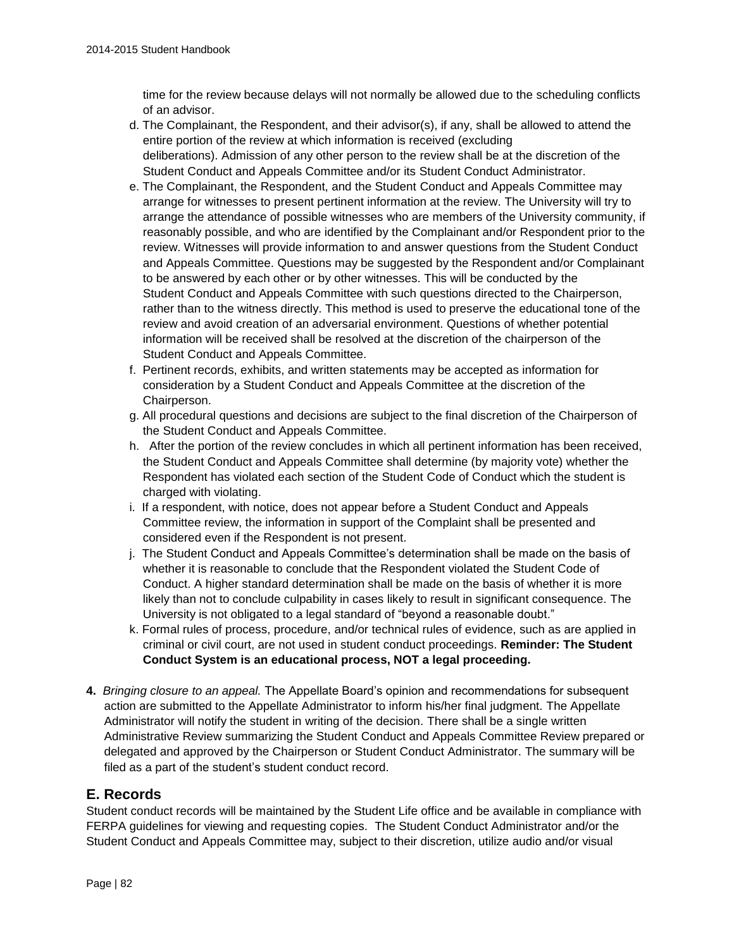time for the review because delays will not normally be allowed due to the scheduling conflicts of an advisor.

- d. The Complainant, the Respondent, and their advisor(s), if any, shall be allowed to attend the entire portion of the review at which information is received (excluding deliberations). Admission of any other person to the review shall be at the discretion of the Student Conduct and Appeals Committee and/or its Student Conduct Administrator.
- e. The Complainant, the Respondent, and the Student Conduct and Appeals Committee may arrange for witnesses to present pertinent information at the review. The University will try to arrange the attendance of possible witnesses who are members of the University community, if reasonably possible, and who are identified by the Complainant and/or Respondent prior to the review. Witnesses will provide information to and answer questions from the Student Conduct and Appeals Committee. Questions may be suggested by the Respondent and/or Complainant to be answered by each other or by other witnesses. This will be conducted by the Student Conduct and Appeals Committee with such questions directed to the Chairperson, rather than to the witness directly. This method is used to preserve the educational tone of the review and avoid creation of an adversarial environment. Questions of whether potential information will be received shall be resolved at the discretion of the chairperson of the Student Conduct and Appeals Committee.
- f. Pertinent records, exhibits, and written statements may be accepted as information for consideration by a Student Conduct and Appeals Committee at the discretion of the Chairperson.
- g. All procedural questions and decisions are subject to the final discretion of the Chairperson of the Student Conduct and Appeals Committee.
- h. After the portion of the review concludes in which all pertinent information has been received, the Student Conduct and Appeals Committee shall determine (by majority vote) whether the Respondent has violated each section of the Student Code of Conduct which the student is charged with violating.
- i. If a respondent, with notice, does not appear before a Student Conduct and Appeals Committee review, the information in support of the Complaint shall be presented and considered even if the Respondent is not present.
- j. The Student Conduct and Appeals Committee's determination shall be made on the basis of whether it is reasonable to conclude that the Respondent violated the Student Code of Conduct. A higher standard determination shall be made on the basis of whether it is more likely than not to conclude culpability in cases likely to result in significant consequence. The University is not obligated to a legal standard of "beyond a reasonable doubt."
- k. Formal rules of process, procedure, and/or technical rules of evidence, such as are applied in criminal or civil court, are not used in student conduct proceedings. **Reminder: The Student Conduct System is an educational process, NOT a legal proceeding.**
- **4.** *Bringing closure to an appeal.* The Appellate Board's opinion and recommendations for subsequent action are submitted to the Appellate Administrator to inform his/her final judgment. The Appellate Administrator will notify the student in writing of the decision. There shall be a single written Administrative Review summarizing the Student Conduct and Appeals Committee Review prepared or delegated and approved by the Chairperson or Student Conduct Administrator. The summary will be filed as a part of the student's student conduct record.

### **E. Records**

Student conduct records will be maintained by the Student Life office and be available in compliance with FERPA guidelines for viewing and requesting copies. The Student Conduct Administrator and/or the Student Conduct and Appeals Committee may, subject to their discretion, utilize audio and/or visual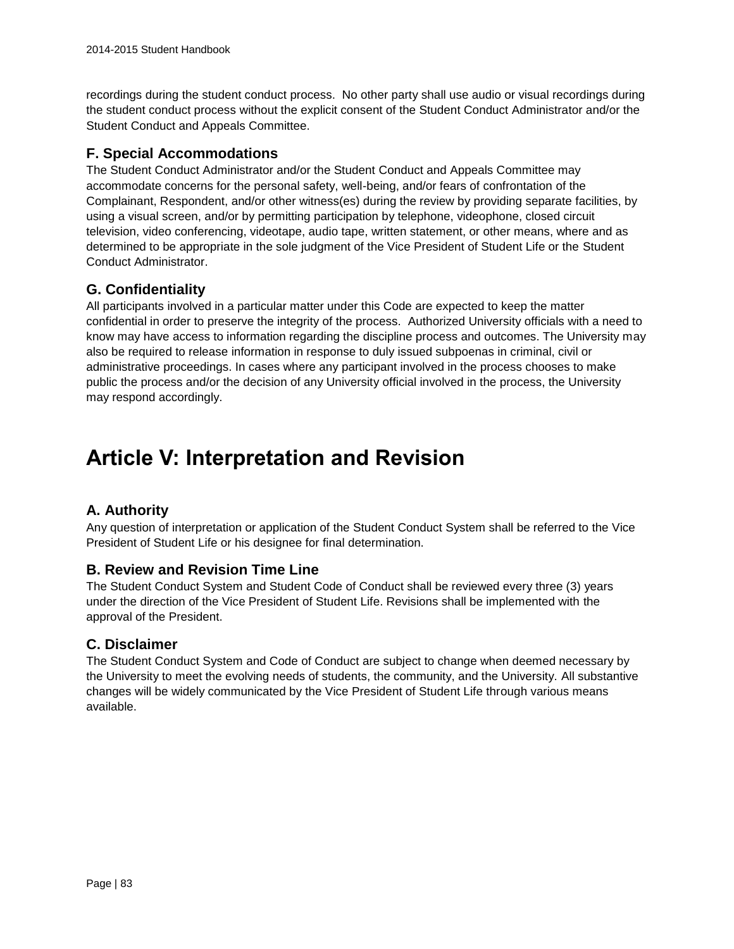recordings during the student conduct process. No other party shall use audio or visual recordings during the student conduct process without the explicit consent of the Student Conduct Administrator and/or the Student Conduct and Appeals Committee.

## **F. Special Accommodations**

The Student Conduct Administrator and/or the Student Conduct and Appeals Committee may accommodate concerns for the personal safety, well-being, and/or fears of confrontation of the Complainant, Respondent, and/or other witness(es) during the review by providing separate facilities, by using a visual screen, and/or by permitting participation by telephone, videophone, closed circuit television, video conferencing, videotape, audio tape, written statement, or other means, where and as determined to be appropriate in the sole judgment of the Vice President of Student Life or the Student Conduct Administrator.

# **G. Confidentiality**

All participants involved in a particular matter under this Code are expected to keep the matter confidential in order to preserve the integrity of the process. Authorized University officials with a need to know may have access to information regarding the discipline process and outcomes. The University may also be required to release information in response to duly issued subpoenas in criminal, civil or administrative proceedings. In cases where any participant involved in the process chooses to make public the process and/or the decision of any University official involved in the process, the University may respond accordingly.

# **Article V: Interpretation and Revision**

# **A. Authority**

Any question of interpretation or application of the Student Conduct System shall be referred to the Vice President of Student Life or his designee for final determination.

### **B. Review and Revision Time Line**

The Student Conduct System and Student Code of Conduct shall be reviewed every three (3) years under the direction of the Vice President of Student Life. Revisions shall be implemented with the approval of the President.

### **C. Disclaimer**

The Student Conduct System and Code of Conduct are subject to change when deemed necessary by the University to meet the evolving needs of students, the community, and the University. All substantive changes will be widely communicated by the Vice President of Student Life through various means available.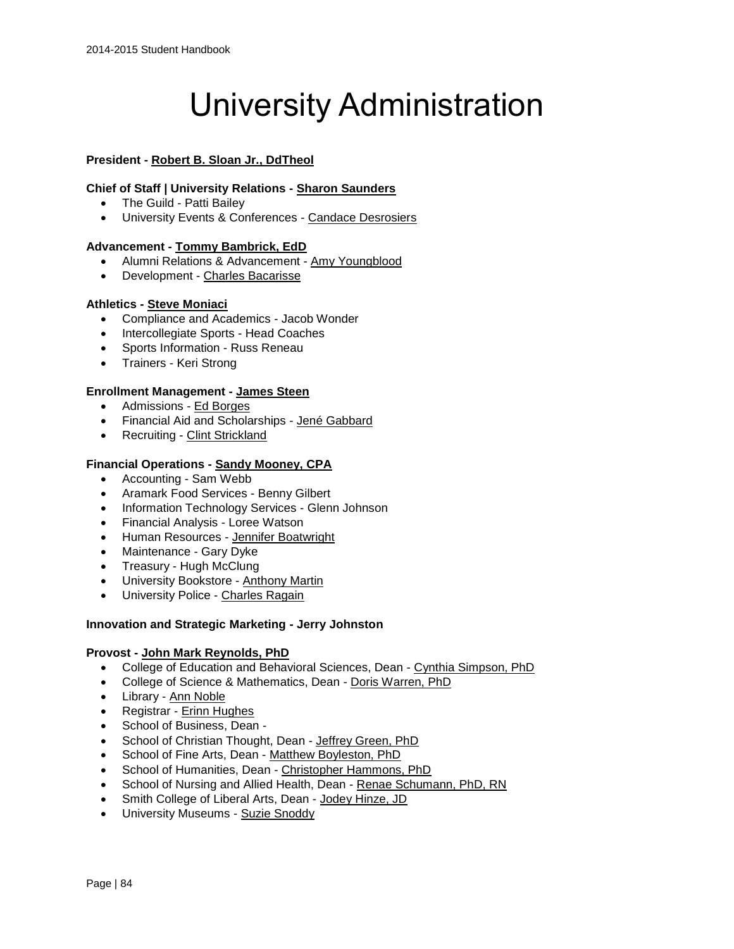# University Administration

#### **President - [Robert B. Sloan Jr., DdTheol](https://hbu.edu/About-HBU/General-Information/University-Leadership/Presidents-of-HBU/Dr-Robert-B-Sloan,-Jr.aspx)**

#### **Chief of Staff | University Relations - [Sharon Saunders](https://hbu.edu/About-HBU/General-Information/University-Leadership/Executive-Council/Sharon-Saunders.aspx)**

- The Guild Patti Bailey
- University Events & Conferences [Candace Desrosiers](https://hbu.edu/About-HBU/Resources/University-Events-and-Conferences.aspx)

#### **Advancement - [Tommy Bambrick, EdD](https://hbu.edu/About-HBU/General-Information/University-Leadership/Executive-Council/Tommy-Bambrick.aspx)**

- Alumni Relations & Advancement [Amy Youngblood](https://hbu.edu/About-HBU/General-Information/Giving-to-HBU/Meet-Our-Staff.aspx)
- Development [Charles Bacarisse](https://hbu.edu/About-HBU/General-Information/Giving-to-HBU/Meet-Our-Staff.aspx)

#### **Athletics - [Steve Moniaci](http://www.hbuhuskies.com/staff.aspx?staff=1)**

- Compliance and Academics Jacob Wonder
- Intercollegiate Sports Head Coaches
- Sports Information Russ Reneau
- Trainers Keri Strong

#### **Enrollment Management - [James Steen](https://hbu.edu/About-HBU/General-Information/University-Leadership/Executive-Council/James-Steen.aspx)**

- Admissions [Ed Borges](https://hbu.edu/Choosing-HBU/Admissions/Visit-Campus/Contact-Your-HBU-Team/Meet-HBU-Admissions.aspx)
- Financial Aid and Scholarships [Jené Gabbard](https://hbu.edu/Choosing-HBU/Admissions/Financing-Your-Education/Contact-Financial-Aid.aspx)
- Recruiting [Clint Strickland](https://hbu.edu/Choosing-HBU/Admissions/Visit-Campus/Contact-Your-HBU-Team/Meet-HBU-Admissions.aspx)

#### **Financial Operations - [Sandy Mooney, CPA](https://hbu.edu/About-HBU/General-Information/University-Leadership/Executive-Council/Sandy-Mooney,-CPA.aspx)**

- Accounting Sam Webb
- Aramark Food Services Benny Gilbert
- Information Technology Services Glenn Johnson
- Financial Analysis Loree Watson
- Human Resources [Jennifer Boatwright](https://hbu.edu/About-HBU/Resources/Job-Opportunities.aspx)
- Maintenance Gary Dyke
- Treasury Hugh McClung
- University Bookstore [Anthony Martin](http://www.hbubookstore.com/site_about_us.asp)
- University Police [Charles Ragain](https://hbu.edu/About-HBU/The-Campus/Police-Parking/Contact-HBU-Police.aspx)

#### **Innovation and Strategic Marketing - [Jerry Johnston](https://hbu.edu/About-HBU/General-Information/University-Leadership/Executive-Council/Jerry-Johnston.aspx)**

#### **Provost - [John Mark Reynolds, PhD](https://hbu.edu/About-HBU/General-Information/University-Leadership/Executive-Council/John-Mark-N-Reynolds.aspx)**

- College of Education and Behavioral Sciences, Dean [Cynthia Simpson, PhD](https://hbu.edu/Choosing-HBU/Academics/Colleges-Schools/School-of-Education/Departments/Department-of-Special-Populations/Faculty/Cynthia-Simpson,-Dean.aspx)
- College of Science & Mathematics, Dean [Doris Warren, PhD](https://hbu.edu/Choosing-HBU/Academics/Colleges-Schools/College-of-Science-and-Mathematics/Departments/Department-of-Chemistry/Faculty/Doris-Warren,-Dean.aspx)
- Library [Ann Noble](https://hbu.edu/Choosing-HBU/Academics/Colleges-Schools/Moody-Library/Departments/Moody-Library/Faculty/Ann-Noble.aspx)
- Registrar [Erinn Hughes](https://hbu.edu/Choosing-HBU/Academics/Registrar/Contact-the-Office-of-the-Registrar.aspx)
- School of Business, Dean -
- School of Christian Thought, Dean [Jeffrey Green, PhD](https://hbu.edu/Choosing-HBU/Academics/Colleges-Schools/School-of-Christian-Thought/Departments/Department-of-Philosophy/Faculty/Jeffrey-Green,-Dean.aspx)
- School of Fine Arts, Dean [Matthew Boyleston, PhD](https://hbu.edu/Choosing-HBU/Academics/Colleges-Schools/School-of-Fine-Arts/Departments/Department-of-Journalism-Mass-Communications,-Crea/Faculty/Matthew-Boyleston,-Dean.aspx)
- School of Humanities, Dean [Christopher Hammons, PhD](https://hbu.edu/Choosing-HBU/Academics/Colleges-Schools/School-of-Humanities/Departments/Department-of-Law-and-Society/Faculty/Christopher-Hammons,-Dean.aspx)
- School of Nursing and Allied Health, Dean [Renae Schumann, PhD, RN](https://hbu.edu/Choosing-HBU/Academics/Colleges-Schools/School-of-Nursing-and-Allied-Health/Departments/Department-of-Nursing/Faculty/Renae-Schumann,-Dean.aspx)
- Smith College of Liberal Arts, Dean [Jodey Hinze, JD](https://hbu.edu/Choosing-HBU/Academics/Colleges-Schools/Smith-College-of-Liberal-Arts/Departments/Faculty/Faculty/Jodey-Hinze,-Dean.aspx)
- University Museums [Suzie Snoddy](https://hbu.edu/About-HBU/The-Campus/Museums/Museum-of-Southern-History.aspx)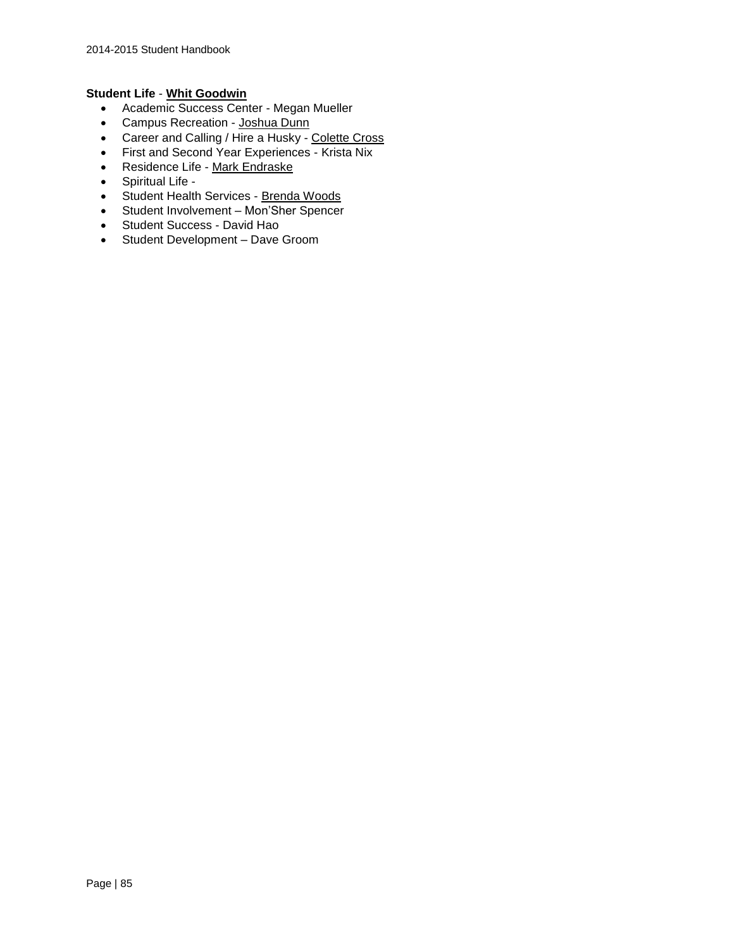#### **Student Life** - **[Whit Goodwin](https://hbu.edu/About-HBU/General-Information/University-Leadership/Executive-Council/Whit-Goodwin.aspx)**

- Academic Success Center Megan Mueller
- Campus Recreation [Joshua Dunn](https://hbu.edu/Students-Alumni/Student-Information/Student-Life/Campus-Recreation/Contact.aspx)
- Career and Calling / Hire a Husky [Colette Cross](https://hbu.edu/Students-Alumni/Student-Resources/The-Career-Center/Contact.aspx)
- First and Second Year Experiences Krista Nix
- Residence Life [Mark Endraske](https://hbu.edu/Students-Alumni/Student-Information/Residence-Life/Residence-Housing/Contact.aspx)
- Spiritual Life -
- Student Health Services [Brenda Woods](https://hbu.edu/About-HBU/Resources/Health-Services/Contact-the-Health-Clinic.aspx)
- Student Involvement [Mon'Sher](https://hbu.edu/Students-Alumni/Student-Information/Student-Life/Student-Life-Directory.aspx) Spencer
- Student Success David Hao
- Student Development Dave Groom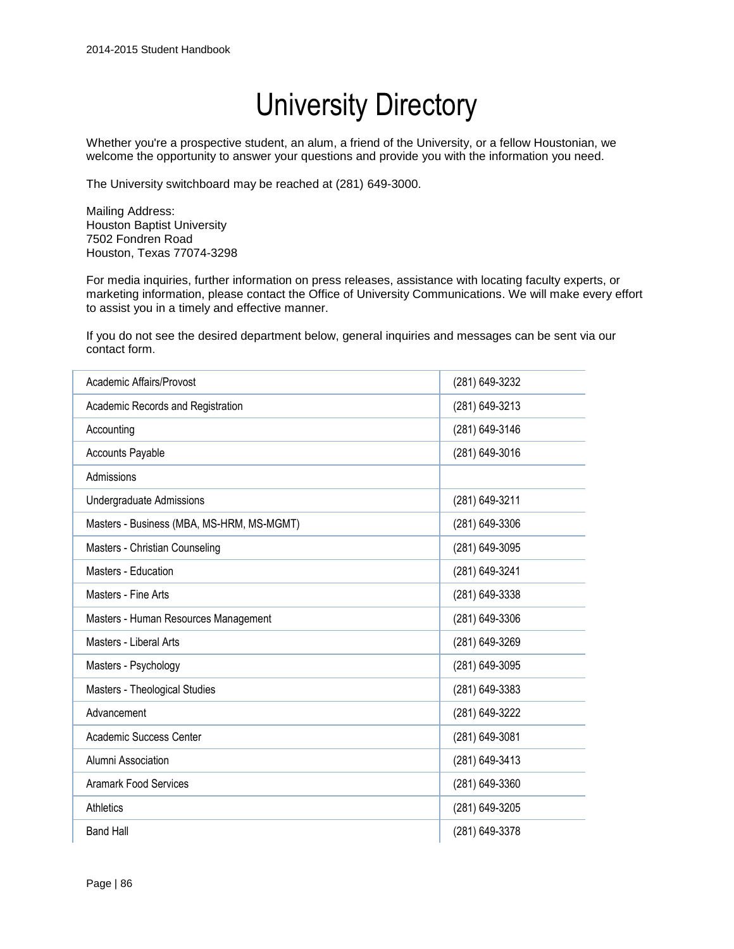# University Directory

Whether you're a prospective student, an alum, a friend of the University, or a fellow Houstonian, we welcome the opportunity to answer your questions and provide you with the information you need.

The University switchboard may be reached at (281) 649-3000.

Mailing Address: Houston Baptist University 7502 Fondren Road Houston, Texas 77074-3298

For media inquiries, further information on press releases, assistance with locating faculty experts, or marketing information, please [contact the Office of University Communications.](https://hbu.edu/About-HBU/Resources/Directory/Contact-Form.aspx) We will make every effort to assist you in a timely and effective manner.

If you do not see the desired department below, general inquiries and messages can be sent via our [contact form](https://hbu.edu/About-HBU/Resources/Directory/Contact-Form.aspx).

| Academic Affairs/Provost                  | (281) 649-3232 |
|-------------------------------------------|----------------|
| Academic Records and Registration         | (281) 649-3213 |
| Accounting                                | (281) 649-3146 |
| <b>Accounts Payable</b>                   | (281) 649-3016 |
| Admissions                                |                |
| Undergraduate Admissions                  | (281) 649-3211 |
| Masters - Business (MBA, MS-HRM, MS-MGMT) | (281) 649-3306 |
| Masters - Christian Counseling            | (281) 649-3095 |
| Masters - Education                       | (281) 649-3241 |
| Masters - Fine Arts                       | (281) 649-3338 |
| Masters - Human Resources Management      | (281) 649-3306 |
| Masters - Liberal Arts                    | (281) 649-3269 |
| Masters - Psychology                      | (281) 649-3095 |
| Masters - Theological Studies             | (281) 649-3383 |
| Advancement                               | (281) 649-3222 |
| Academic Success Center                   | (281) 649-3081 |
| Alumni Association                        | (281) 649-3413 |
| <b>Aramark Food Services</b>              | (281) 649-3360 |
| Athletics                                 | (281) 649-3205 |
| <b>Band Hall</b>                          | (281) 649-3378 |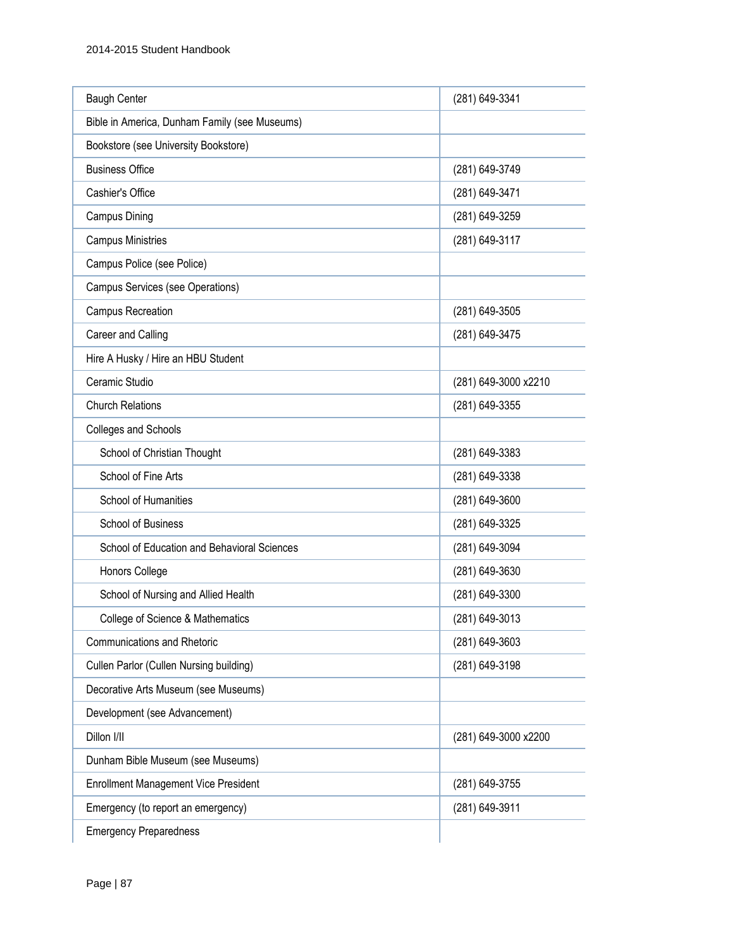| <b>Baugh Center</b>                           | (281) 649-3341       |
|-----------------------------------------------|----------------------|
| Bible in America, Dunham Family (see Museums) |                      |
| Bookstore (see University Bookstore)          |                      |
| <b>Business Office</b>                        | (281) 649-3749       |
| Cashier's Office                              | (281) 649-3471       |
| Campus Dining                                 | (281) 649-3259       |
| <b>Campus Ministries</b>                      | (281) 649-3117       |
| Campus Police (see Police)                    |                      |
| Campus Services (see Operations)              |                      |
| <b>Campus Recreation</b>                      | (281) 649-3505       |
| Career and Calling                            | (281) 649-3475       |
| Hire A Husky / Hire an HBU Student            |                      |
| Ceramic Studio                                | (281) 649-3000 x2210 |
| <b>Church Relations</b>                       | (281) 649-3355       |
| Colleges and Schools                          |                      |
| School of Christian Thought                   | (281) 649-3383       |
| School of Fine Arts                           | (281) 649-3338       |
| School of Humanities                          | (281) 649-3600       |
| School of Business                            | (281) 649-3325       |
| School of Education and Behavioral Sciences   | (281) 649-3094       |
| Honors College                                | (281) 649-3630       |
| School of Nursing and Allied Health           | (281) 649-3300       |
| College of Science & Mathematics              | (281) 649-3013       |
| <b>Communications and Rhetoric</b>            | (281) 649-3603       |
| Cullen Parlor (Cullen Nursing building)       | (281) 649-3198       |
| Decorative Arts Museum (see Museums)          |                      |
| Development (see Advancement)                 |                      |
| Dillon I/II                                   | (281) 649-3000 x2200 |
| Dunham Bible Museum (see Museums)             |                      |
| <b>Enrollment Management Vice President</b>   | (281) 649-3755       |
| Emergency (to report an emergency)            | (281) 649-3911       |
| <b>Emergency Preparedness</b>                 |                      |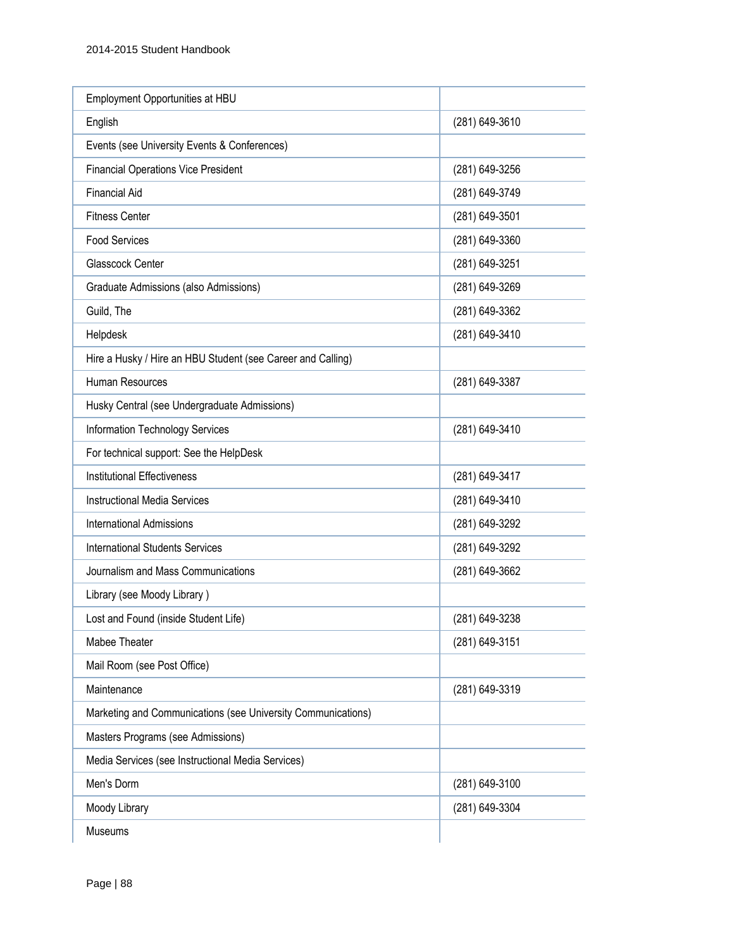| Employment Opportunities at HBU                              |                |
|--------------------------------------------------------------|----------------|
| English                                                      | (281) 649-3610 |
| Events (see University Events & Conferences)                 |                |
| <b>Financial Operations Vice President</b>                   | (281) 649-3256 |
| <b>Financial Aid</b>                                         | (281) 649-3749 |
| <b>Fitness Center</b>                                        | (281) 649-3501 |
| <b>Food Services</b>                                         | (281) 649-3360 |
| Glasscock Center                                             | (281) 649-3251 |
| Graduate Admissions (also Admissions)                        | (281) 649-3269 |
| Guild, The                                                   | (281) 649-3362 |
| Helpdesk                                                     | (281) 649-3410 |
| Hire a Husky / Hire an HBU Student (see Career and Calling)  |                |
| Human Resources                                              | (281) 649-3387 |
| Husky Central (see Undergraduate Admissions)                 |                |
| <b>Information Technology Services</b>                       | (281) 649-3410 |
| For technical support: See the HelpDesk                      |                |
| <b>Institutional Effectiveness</b>                           | (281) 649-3417 |
| <b>Instructional Media Services</b>                          | (281) 649-3410 |
| <b>International Admissions</b>                              | (281) 649-3292 |
| <b>International Students Services</b>                       | (281) 649-3292 |
| Journalism and Mass Communications                           | (281) 649-3662 |
| Library (see Moody Library)                                  |                |
| Lost and Found (inside Student Life)                         | (281) 649-3238 |
| Mabee Theater                                                | (281) 649-3151 |
| Mail Room (see Post Office)                                  |                |
| Maintenance                                                  | (281) 649-3319 |
| Marketing and Communications (see University Communications) |                |
| Masters Programs (see Admissions)                            |                |
| Media Services (see Instructional Media Services)            |                |
| Men's Dorm                                                   | (281) 649-3100 |
| Moody Library                                                | (281) 649-3304 |
| Museums                                                      |                |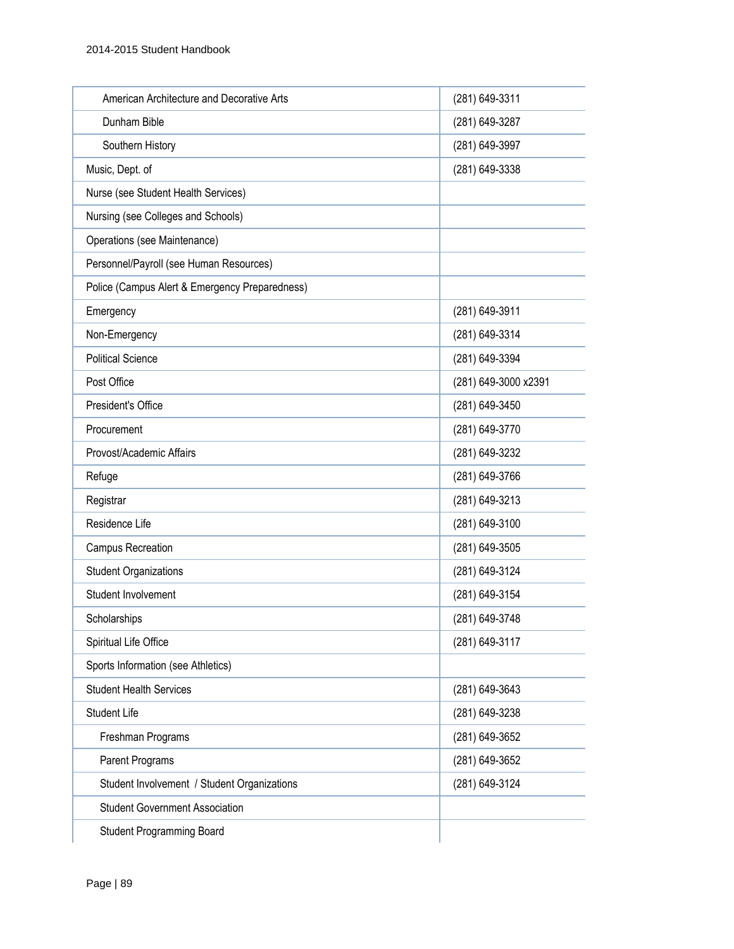| American Architecture and Decorative Arts      | (281) 649-3311       |
|------------------------------------------------|----------------------|
| Dunham Bible                                   | (281) 649-3287       |
| Southern History                               | (281) 649-3997       |
| Music, Dept. of                                | (281) 649-3338       |
| Nurse (see Student Health Services)            |                      |
| Nursing (see Colleges and Schools)             |                      |
| Operations (see Maintenance)                   |                      |
| Personnel/Payroll (see Human Resources)        |                      |
| Police (Campus Alert & Emergency Preparedness) |                      |
| Emergency                                      | (281) 649-3911       |
| Non-Emergency                                  | (281) 649-3314       |
| <b>Political Science</b>                       | (281) 649-3394       |
| Post Office                                    | (281) 649-3000 x2391 |
| President's Office                             | (281) 649-3450       |
| Procurement                                    | (281) 649-3770       |
| Provost/Academic Affairs                       | (281) 649-3232       |
| Refuge                                         | (281) 649-3766       |
| Registrar                                      | (281) 649-3213       |
| Residence Life                                 | (281) 649-3100       |
| Campus Recreation                              | (281) 649-3505       |
| <b>Student Organizations</b>                   | (281) 649-3124       |
| Student Involvement                            | (281) 649-3154       |
| Scholarships                                   | (281) 649-3748       |
| Spiritual Life Office                          | (281) 649-3117       |
| Sports Information (see Athletics)             |                      |
| <b>Student Health Services</b>                 | (281) 649-3643       |
| <b>Student Life</b>                            | (281) 649-3238       |
| Freshman Programs                              | (281) 649-3652       |
| Parent Programs                                | (281) 649-3652       |
| Student Involvement / Student Organizations    | (281) 649-3124       |
| <b>Student Government Association</b>          |                      |
| <b>Student Programming Board</b>               |                      |